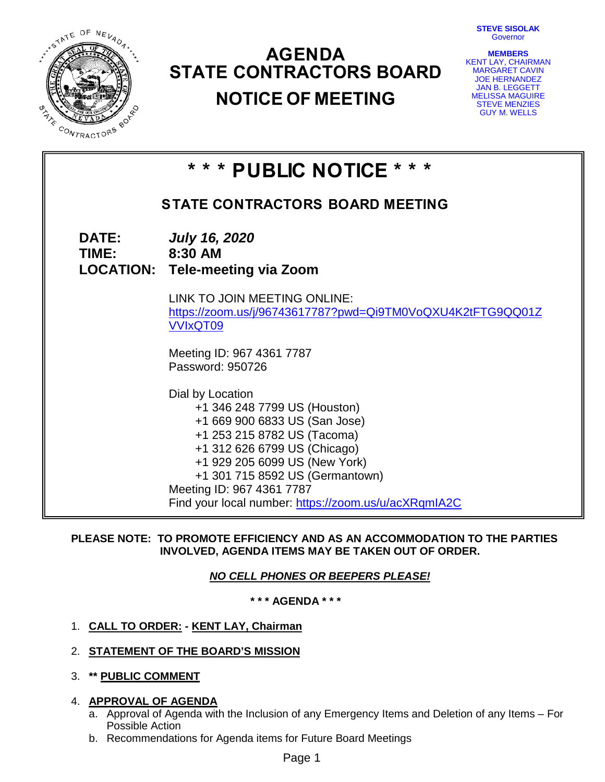FISTATE OF NEVADA 今天 **MAR** CONTRACTORS

# **AGENDA STATE CONTRACTORS BOARD NOTICE OF MEETING**

**STEVE SISOLAK Governor** 

**MEMBERS** KENT LAY, CHAIRMAN MARGARET CAVIN JOE HERNANDEZ JAN B. LEGGETT MELISSA MAGUIRE STEVE MENZIES GUY M. WELLS

|                               | * * * PUBLIC NOTICE * * *                                                                                                                                                                                                                                                                                 |  |  |  |  |
|-------------------------------|-----------------------------------------------------------------------------------------------------------------------------------------------------------------------------------------------------------------------------------------------------------------------------------------------------------|--|--|--|--|
|                               | <b>STATE CONTRACTORS BOARD MEETING</b>                                                                                                                                                                                                                                                                    |  |  |  |  |
| <b>DATE:</b><br>TIME: 8:30 AM | <b>July 16, 2020</b><br><b>LOCATION: Tele-meeting via Zoom</b>                                                                                                                                                                                                                                            |  |  |  |  |
|                               | LINK TO JOIN MEETING ONLINE:<br>https://zoom.us/j/96743617787?pwd=Qi9TM0VoQXU4K2tFTG9QQ01Z<br><b>VVIxQT09</b>                                                                                                                                                                                             |  |  |  |  |
|                               | Meeting ID: 967 4361 7787<br>Password: 950726                                                                                                                                                                                                                                                             |  |  |  |  |
|                               | Dial by Location<br>+1 346 248 7799 US (Houston)<br>+1 669 900 6833 US (San Jose)<br>+1 253 215 8782 US (Tacoma)<br>+1 312 626 6799 US (Chicago)<br>+1 929 205 6099 US (New York)<br>+1 301 715 8592 US (Germantown)<br>Meeting ID: 967 4361 7787<br>Find your local number: https://zoom.us/u/acXRqmIA2C |  |  |  |  |

## **PLEASE NOTE: TO PROMOTE EFFICIENCY AND AS AN ACCOMMODATION TO THE PARTIES INVOLVED, AGENDA ITEMS MAY BE TAKEN OUT OF ORDER.**

## *NO CELL PHONES OR BEEPERS PLEASE!*

**\* \* \* AGENDA \* \* \***

- 1. **CALL TO ORDER: KENT LAY, Chairman**
- 2. **STATEMENT OF THE BOARD'S MISSION**
- 3. **\*\* PUBLIC COMMENT**
- 4. **APPROVAL OF AGENDA**
	- a. Approval of Agenda with the Inclusion of any Emergency Items and Deletion of any Items For Possible Action
	- b. Recommendations for Agenda items for Future Board Meetings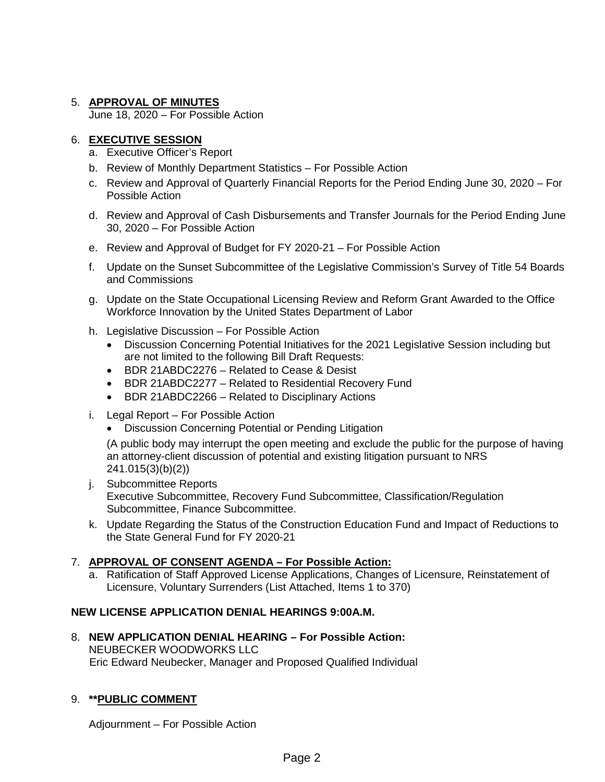## 5. **APPROVAL OF MINUTES**

June 18, 2020 – For Possible Action

## 6. **EXECUTIVE SESSION**

- a. Executive Officer's Report
- b. Review of Monthly Department Statistics For Possible Action
- c. Review and Approval of Quarterly Financial Reports for the Period Ending June 30, 2020 For Possible Action
- d. Review and Approval of Cash Disbursements and Transfer Journals for the Period Ending June 30, 2020 – For Possible Action
- e. Review and Approval of Budget for FY 2020-21 For Possible Action
- f. Update on the Sunset Subcommittee of the Legislative Commission's Survey of Title 54 Boards and Commissions
- g. Update on the State Occupational Licensing Review and Reform Grant Awarded to the Office Workforce Innovation by the United States Department of Labor
- h. Legislative Discussion For Possible Action
	- Discussion Concerning Potential Initiatives for the 2021 Legislative Session including but are not limited to the following Bill Draft Requests:
	- BDR 21ABDC2276 Related to Cease & Desist
	- BDR 21ABDC2277 Related to Residential Recovery Fund
	- BDR 21ABDC2266 Related to Disciplinary Actions
- i. Legal Report For Possible Action
	- Discussion Concerning Potential or Pending Litigation

(A public body may interrupt the open meeting and exclude the public for the purpose of having an attorney-client discussion of potential and existing litigation pursuant to NRS 241.015(3)(b)(2))

- j. Subcommittee Reports Executive Subcommittee, Recovery Fund Subcommittee, Classification/Regulation Subcommittee, Finance Subcommittee.
- k. Update Regarding the Status of the Construction Education Fund and Impact of Reductions to the State General Fund for FY 2020-21

## 7. **APPROVAL OF CONSENT AGENDA – For Possible Action:**

a. Ratification of Staff Approved License Applications, Changes of Licensure, Reinstatement of Licensure, Voluntary Surrenders (List Attached, Items 1 to 370)

## **NEW LICENSE APPLICATION DENIAL HEARINGS 9:00A.M.**

8. **NEW APPLICATION DENIAL HEARING – For Possible Action:** NEUBECKER WOODWORKS LLC Eric Edward Neubecker, Manager and Proposed Qualified Individual

## 9. **\*\*PUBLIC COMMENT**

Adjournment – For Possible Action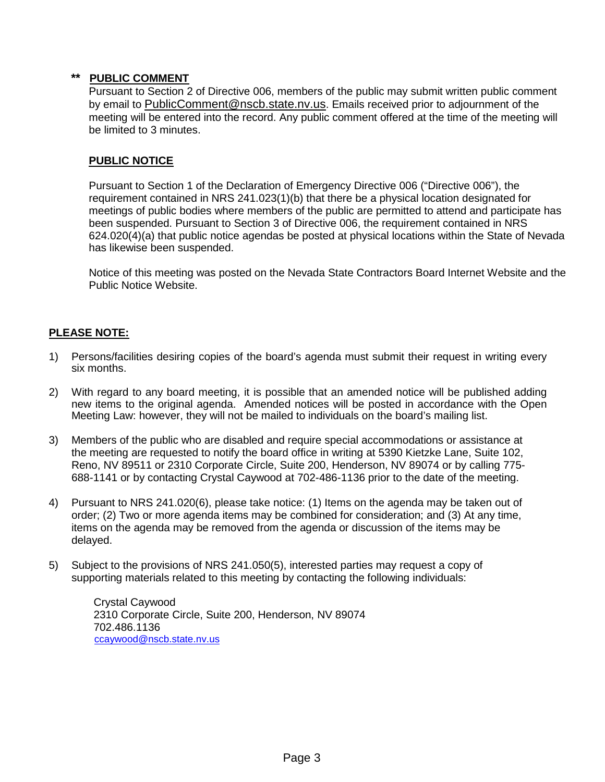## **\*\* PUBLIC COMMENT**

Pursuant to Section 2 of Directive 006, members of the public may submit written public comment by email to [PublicComment@nscb.state.nv.us.](mailto:PublicComment@nscb.state.nv.us) Emails received prior to adjournment of the meeting will be entered into the record. Any public comment offered at the time of the meeting will be limited to 3 minutes.

## **PUBLIC NOTICE**

Pursuant to Section 1 of the Declaration of Emergency Directive 006 ("Directive 006"), the requirement contained in NRS 241.023(1)(b) that there be a physical location designated for meetings of public bodies where members of the public are permitted to attend and participate has been suspended. Pursuant to Section 3 of Directive 006, the requirement contained in NRS 624.020(4)(a) that public notice agendas be posted at physical locations within the State of Nevada has likewise been suspended.

Notice of this meeting was posted on the Nevada State Contractors Board Internet Website and the Public Notice Website.

## **PLEASE NOTE:**

- 1) Persons/facilities desiring copies of the board's agenda must submit their request in writing every six months.
- 2) With regard to any board meeting, it is possible that an amended notice will be published adding new items to the original agenda. Amended notices will be posted in accordance with the Open Meeting Law: however, they will not be mailed to individuals on the board's mailing list.
- 3) Members of the public who are disabled and require special accommodations or assistance at the meeting are requested to notify the board office in writing at 5390 Kietzke Lane, Suite 102, Reno, NV 89511 or 2310 Corporate Circle, Suite 200, Henderson, NV 89074 or by calling 775- 688-1141 or by contacting Crystal Caywood at 702-486-1136 prior to the date of the meeting.
- 4) Pursuant to NRS 241.020(6), please take notice: (1) Items on the agenda may be taken out of order; (2) Two or more agenda items may be combined for consideration; and (3) At any time, items on the agenda may be removed from the agenda or discussion of the items may be delayed.
- 5) Subject to the provisions of NRS 241.050(5), interested parties may request a copy of supporting materials related to this meeting by contacting the following individuals:

Crystal Caywood 2310 Corporate Circle, Suite 200, Henderson, NV 89074 702.486.1136 [ccaywood@nscb.state.nv.us](mailto:ccaywood@nscb.state.nv.us)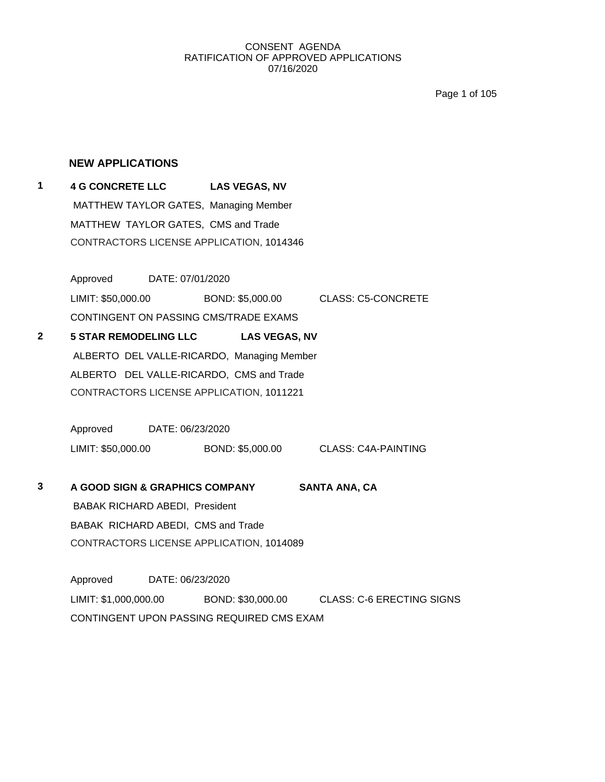Page 1 of 105

## **NEW APPLICATIONS**

**1 4 G CONCRETE LLC LAS VEGAS, NV** MATTHEW TAYLOR GATES, Managing Member MATTHEW TAYLOR GATES, CMS and Trade CONTRACTORS LICENSE APPLICATION, 1014346

> Approved DATE: 07/01/2020 LIMIT: \$50,000.00 BOND: \$5,000.00 CLASS: C5-CONCRETE CONTINGENT ON PASSING CMS/TRADE EXAMS

**2 5 STAR REMODELING LLC LAS VEGAS, NV** ALBERTO DEL VALLE-RICARDO, Managing Member ALBERTO DEL VALLE-RICARDO, CMS and Trade CONTRACTORS LICENSE APPLICATION, 1011221

> Approved DATE: 06/23/2020 LIMIT: \$50,000.00 BOND: \$5,000.00 CLASS: C4A-PAINTING

**3 A GOOD SIGN & GRAPHICS COMPANY SANTA ANA, CA** BABAK RICHARD ABEDI, President BABAK RICHARD ABEDI, CMS and Trade CONTRACTORS LICENSE APPLICATION, 1014089

Approved DATE: 06/23/2020 LIMIT: \$1,000,000.00 BOND: \$30,000.00 CLASS: C-6 ERECTING SIGNS CONTINGENT UPON PASSING REQUIRED CMS EXAM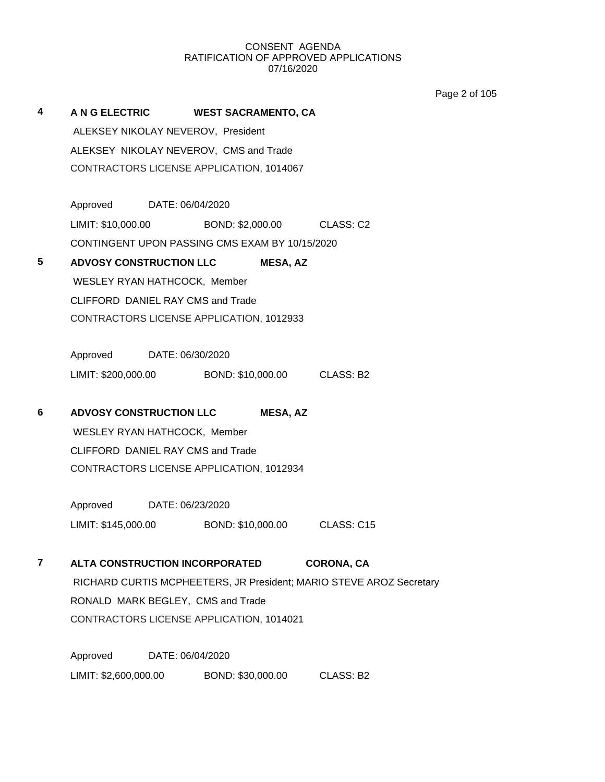Page 2 of 105

**4 A N G ELECTRIC WEST SACRAMENTO, CA** ALEKSEY NIKOLAY NEVEROV, President ALEKSEY NIKOLAY NEVEROV, CMS and Trade CONTRACTORS LICENSE APPLICATION, 1014067 Approved DATE: 06/04/2020 LIMIT: \$10,000.00 BOND: \$2,000.00 CLASS: C2 CONTINGENT UPON PASSING CMS EXAM BY 10/15/2020 **5 ADVOSY CONSTRUCTION LLC MESA, AZ** WESLEY RYAN HATHCOCK, Member CLIFFORD DANIEL RAY CMS and Trade CONTRACTORS LICENSE APPLICATION, 1012933 Approved DATE: 06/30/2020 LIMIT: \$200,000.00 BOND: \$10,000.00 CLASS: B2 **6 ADVOSY CONSTRUCTION LLC MESA, AZ** WESLEY RYAN HATHCOCK, Member CLIFFORD DANIEL RAY CMS and Trade CONTRACTORS LICENSE APPLICATION, 1012934 Approved DATE: 06/23/2020 LIMIT: \$145,000.00 BOND: \$10,000.00 CLASS: C15 **7 ALTA CONSTRUCTION INCORPORATED CORONA, CA** RICHARD CURTIS MCPHEETERS, JR President; MARIO STEVE AROZ Secretary RONALD MARK BEGLEY, CMS and Trade CONTRACTORS LICENSE APPLICATION, 1014021 Approved DATE: 06/04/2020 LIMIT: \$2,600,000.00 BOND: \$30,000.00 CLASS: B2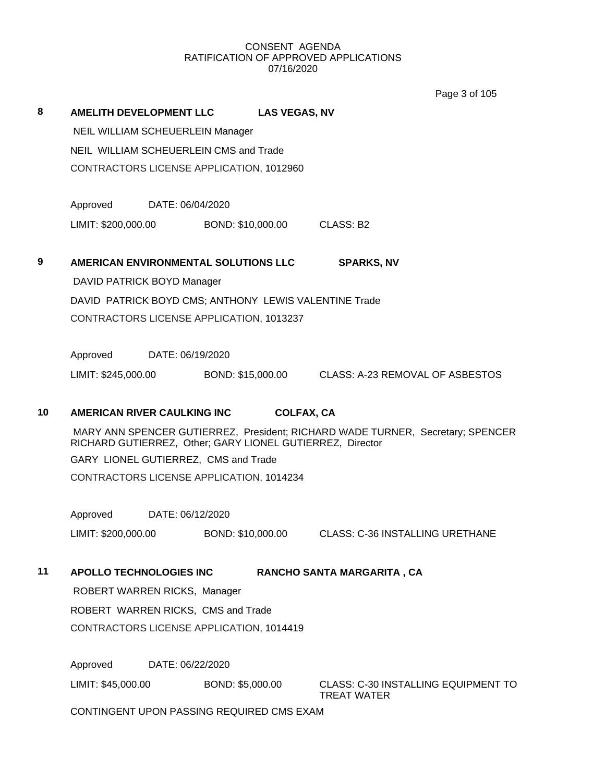Page 3 of 105

## **8 AMELITH DEVELOPMENT LLC LAS VEGAS, NV**

NEIL WILLIAM SCHEUERLEIN Manager NEIL WILLIAM SCHEUERLEIN CMS and Trade CONTRACTORS LICENSE APPLICATION, 1012960

Approved DATE: 06/04/2020 LIMIT: \$200,000.00 BOND: \$10,000.00 CLASS: B2

**9 AMERICAN ENVIRONMENTAL SOLUTIONS LLC SPARKS, NV** DAVID PATRICK BOYD Manager DAVID PATRICK BOYD CMS; ANTHONY LEWIS VALENTINE Trade CONTRACTORS LICENSE APPLICATION, 1013237

Approved DATE: 06/19/2020

LIMIT: \$245,000.00 BOND: \$15,000.00 CLASS: A-23 REMOVAL OF ASBESTOS

## **10 AMERICAN RIVER CAULKING INC COLFAX, CA**

MARY ANN SPENCER GUTIERREZ, President; RICHARD WADE TURNER, Secretary; SPENCER RICHARD GUTIERREZ, Other; GARY LIONEL GUTIERREZ, Director GARY LIONEL GUTIERREZ, CMS and Trade CONTRACTORS LICENSE APPLICATION, 1014234

Approved DATE: 06/12/2020 LIMIT: \$200,000.00 BOND: \$10,000.00 CLASS: C-36 INSTALLING URETHANE

## **11 APOLLO TECHNOLOGIES INC RANCHO SANTA MARGARITA , CA**

ROBERT WARREN RICKS, Manager ROBERT WARREN RICKS, CMS and Trade CONTRACTORS LICENSE APPLICATION, 1014419

Approved DATE: 06/22/2020

LIMIT: \$45,000.00 BOND: \$5,000.00 CLASS: C-30 INSTALLING EQUIPMENT TO

TREAT WATER

CONTINGENT UPON PASSING REQUIRED CMS EXAM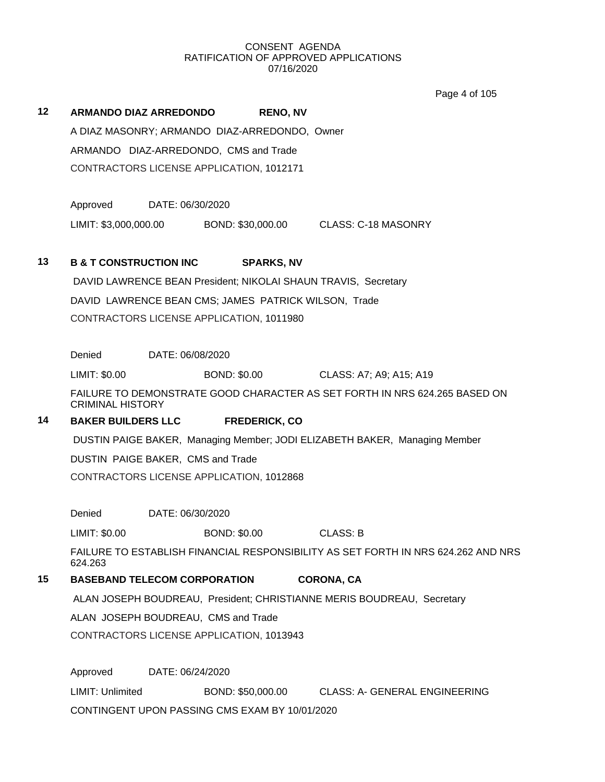Page 4 of 105

## **12 ARMANDO DIAZ ARREDONDO RENO, NV** A DIAZ MASONRY; ARMANDO DIAZ-ARREDONDO, Owner ARMANDO DIAZ-ARREDONDO, CMS and Trade CONTRACTORS LICENSE APPLICATION, 1012171

Approved DATE: 06/30/2020

LIMIT: \$3,000,000.00 BOND: \$30,000.00 CLASS: C-18 MASONRY

## **13 B & T CONSTRUCTION INC SPARKS, NV**

DAVID LAWRENCE BEAN President; NIKOLAI SHAUN TRAVIS, Secretary DAVID LAWRENCE BEAN CMS; JAMES PATRICK WILSON, Trade CONTRACTORS LICENSE APPLICATION, 1011980

Denied DATE: 06/08/2020

LIMIT: \$0.00 BOND: \$0.00 CLASS: A7; A9; A15; A19

FAILURE TO DEMONSTRATE GOOD CHARACTER AS SET FORTH IN NRS 624.265 BASED ON CRIMINAL HISTORY

## **14 BAKER BUILDERS LLC FREDERICK, CO**

DUSTIN PAIGE BAKER, Managing Member; JODI ELIZABETH BAKER, Managing Member

DUSTIN PAIGE BAKER, CMS and Trade

CONTRACTORS LICENSE APPLICATION, 1012868

Denied DATE: 06/30/2020

LIMIT: \$0.00 BOND: \$0.00 CLASS: B

FAILURE TO ESTABLISH FINANCIAL RESPONSIBILITY AS SET FORTH IN NRS 624.262 AND NRS 624.263

## **15 BASEBAND TELECOM CORPORATION CORONA, CA**

ALAN JOSEPH BOUDREAU, President; CHRISTIANNE MERIS BOUDREAU, Secretary

ALAN JOSEPH BOUDREAU, CMS and Trade

CONTRACTORS LICENSE APPLICATION, 1013943

Approved DATE: 06/24/2020

LIMIT: Unlimited BOND: \$50,000.00 CLASS: A- GENERAL ENGINEERING CONTINGENT UPON PASSING CMS EXAM BY 10/01/2020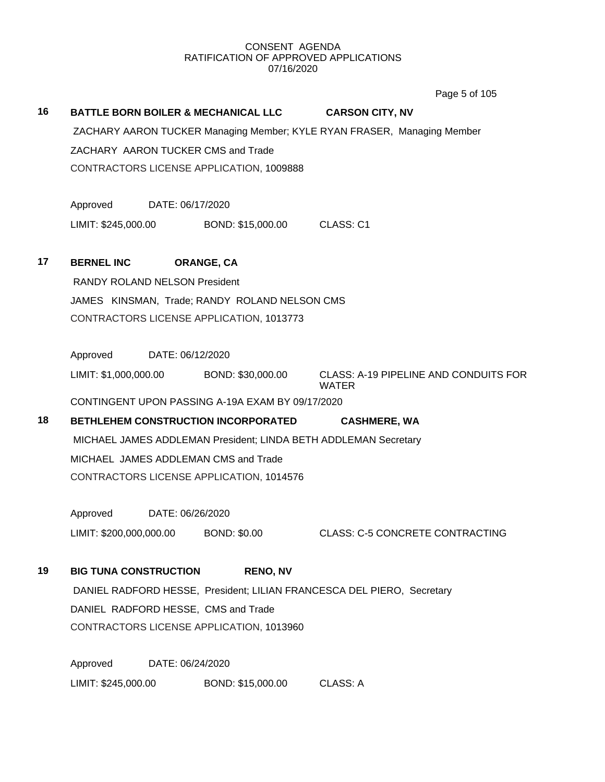Page 5 of 105

# **16 BATTLE BORN BOILER & MECHANICAL LLC CARSON CITY, NV** ZACHARY AARON TUCKER Managing Member; KYLE RYAN FRASER, Managing Member ZACHARY AARON TUCKER CMS and Trade CONTRACTORS LICENSE APPLICATION, 1009888 Approved DATE: 06/17/2020 LIMIT: \$245,000.00 BOND: \$15,000.00 CLASS: C1 **17 BERNEL INC ORANGE, CA** RANDY ROLAND NELSON President JAMES KINSMAN, Trade; RANDY ROLAND NELSON CMS CONTRACTORS LICENSE APPLICATION, 1013773 Approved DATE: 06/12/2020 LIMIT: \$1,000,000.00 BOND: \$30,000.00 CLASS: A-19 PIPELINE AND CONDUITS FOR WATER CONTINGENT UPON PASSING A-19A EXAM BY 09/17/2020 **18 BETHLEHEM CONSTRUCTION INCORPORATED CASHMERE, WA** MICHAEL JAMES ADDLEMAN President; LINDA BETH ADDLEMAN Secretary MICHAEL JAMES ADDLEMAN CMS and Trade CONTRACTORS LICENSE APPLICATION, 1014576 Approved DATE: 06/26/2020 LIMIT: \$200,000,000.00 BOND: \$0.00 CLASS: C-5 CONCRETE CONTRACTING **19 BIG TUNA CONSTRUCTION RENO, NV** DANIEL RADFORD HESSE, President; LILIAN FRANCESCA DEL PIERO, Secretary DANIEL RADFORD HESSE, CMS and Trade CONTRACTORS LICENSE APPLICATION, 1013960 Approved DATE: 06/24/2020 LIMIT: \$245,000.00 BOND: \$15,000.00 CLASS: A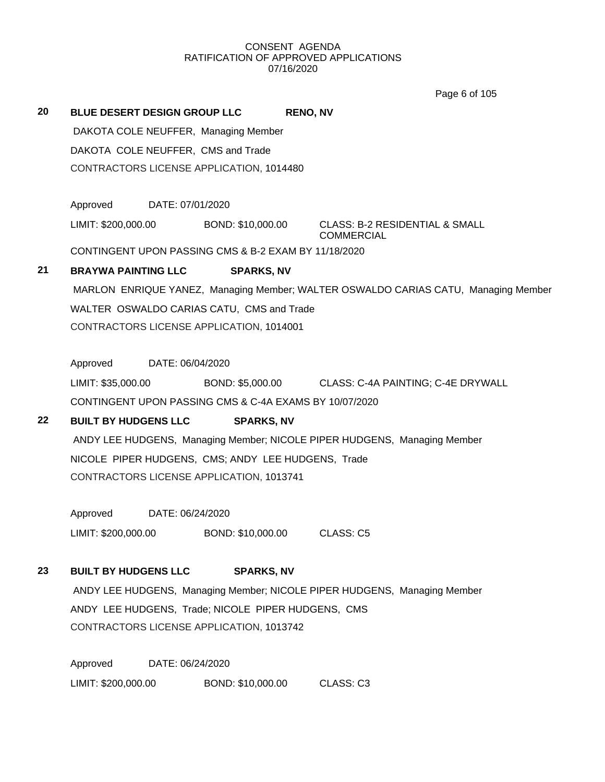Page 6 of 105

| 20 | <b>BLUE DESERT DESIGN GROUP LLC</b>                  |                  |                                      | <b>RENO, NV</b> |                                                                                    |
|----|------------------------------------------------------|------------------|--------------------------------------|-----------------|------------------------------------------------------------------------------------|
|    |                                                      |                  | DAKOTA COLE NEUFFER, Managing Member |                 |                                                                                    |
|    | DAKOTA COLE NEUFFER, CMS and Trade                   |                  |                                      |                 |                                                                                    |
|    | CONTRACTORS LICENSE APPLICATION, 1014480             |                  |                                      |                 |                                                                                    |
|    |                                                      |                  |                                      |                 |                                                                                    |
|    | Approved                                             | DATE: 07/01/2020 |                                      |                 |                                                                                    |
|    | LIMIT: \$200,000.00                                  |                  | BOND: \$10,000.00                    |                 | CLASS: B-2 RESIDENTIAL & SMALL<br><b>COMMERCIAL</b>                                |
|    | CONTINGENT UPON PASSING CMS & B-2 EXAM BY 11/18/2020 |                  |                                      |                 |                                                                                    |
| 21 | <b>BRAYWA PAINTING LLC</b>                           |                  | <b>SPARKS, NV</b>                    |                 |                                                                                    |
|    |                                                      |                  |                                      |                 | MARLON ENRIQUE YANEZ, Managing Member; WALTER OSWALDO CARIAS CATU, Managing Member |
|    | WALTER OSWALDO CARIAS CATU, CMS and Trade            |                  |                                      |                 |                                                                                    |
|    | CONTRACTORS LICENSE APPLICATION, 1014001             |                  |                                      |                 |                                                                                    |
|    |                                                      |                  |                                      |                 |                                                                                    |
|    | Approved                                             | DATE: 06/04/2020 |                                      |                 |                                                                                    |
|    |                                                      |                  |                                      |                 |                                                                                    |

LIMIT: \$35,000.00 BOND: \$5,000.00 CLASS: C-4A PAINTING; C-4E DRYWALL CONTINGENT UPON PASSING CMS & C-4A EXAMS BY 10/07/2020

## **22 BUILT BY HUDGENS LLC SPARKS, NV**

ANDY LEE HUDGENS, Managing Member; NICOLE PIPER HUDGENS, Managing Member NICOLE PIPER HUDGENS, CMS; ANDY LEE HUDGENS, Trade CONTRACTORS LICENSE APPLICATION, 1013741

Approved DATE: 06/24/2020 LIMIT: \$200,000.00 BOND: \$10,000.00 CLASS: C5

## **23 BUILT BY HUDGENS LLC SPARKS, NV**

ANDY LEE HUDGENS, Managing Member; NICOLE PIPER HUDGENS, Managing Member ANDY LEE HUDGENS, Trade; NICOLE PIPER HUDGENS, CMS CONTRACTORS LICENSE APPLICATION, 1013742

Approved DATE: 06/24/2020 LIMIT: \$200,000.00 BOND: \$10,000.00 CLASS: C3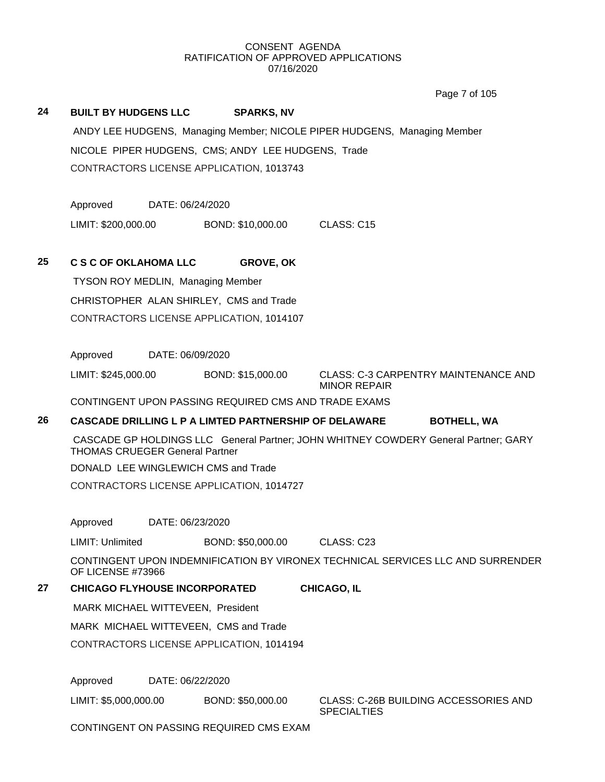Page 7 of 105

## **24 BUILT BY HUDGENS LLC SPARKS, NV**

ANDY LEE HUDGENS, Managing Member; NICOLE PIPER HUDGENS, Managing Member NICOLE PIPER HUDGENS, CMS; ANDY LEE HUDGENS, Trade CONTRACTORS LICENSE APPLICATION, 1013743

Approved DATE: 06/24/2020

LIMIT: \$200,000.00 BOND: \$10,000.00 CLASS: C15

## **25 C S C OF OKLAHOMA LLC GROVE, OK**

TYSON ROY MEDLIN, Managing Member CHRISTOPHER ALAN SHIRLEY, CMS and Trade CONTRACTORS LICENSE APPLICATION, 1014107

Approved DATE: 06/09/2020

LIMIT: \$245,000.00 BOND: \$15,000.00 CLASS: C-3 CARPENTRY MAINTENANCE AND

MINOR REPAIR

CONTINGENT UPON PASSING REQUIRED CMS AND TRADE EXAMS

## **26 CASCADE DRILLING L P A LIMTED PARTNERSHIP OF DELAWARE BOTHELL, WA**

CASCADE GP HOLDINGS LLC General Partner; JOHN WHITNEY COWDERY General Partner; GARY THOMAS CRUEGER General Partner

DONALD LEE WINGLEWICH CMS and Trade

CONTRACTORS LICENSE APPLICATION, 1014727

Approved DATE: 06/23/2020

LIMIT: Unlimited BOND: \$50,000.00 CLASS: C23

CONTINGENT UPON INDEMNIFICATION BY VIRONEX TECHNICAL SERVICES LLC AND SURRENDER OF LICENSE #73966

**27 CHICAGO FLYHOUSE INCORPORATED CHICAGO, IL**

MARK MICHAEL WITTEVEEN, President

MARK MICHAEL WITTEVEEN, CMS and Trade

CONTRACTORS LICENSE APPLICATION, 1014194

Approved DATE: 06/22/2020

LIMIT: \$5,000,000.00 BOND: \$50,000.00 CLASS: C-26B BUILDING ACCESSORIES AND **SPECIALTIES** 

CONTINGENT ON PASSING REQUIRED CMS EXAM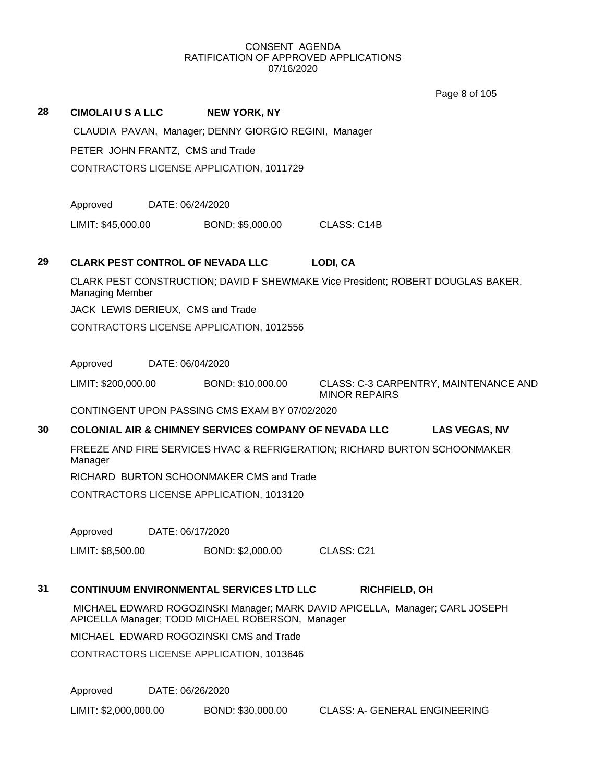Page 8 of 105

| 28 | <b>CIMOLAI U S A LLC</b>                |                  | <b>NEW YORK, NY</b>                                              |                                                                                 |                                       |
|----|-----------------------------------------|------------------|------------------------------------------------------------------|---------------------------------------------------------------------------------|---------------------------------------|
|    |                                         |                  | CLAUDIA PAVAN, Manager; DENNY GIORGIO REGINI, Manager            |                                                                                 |                                       |
|    | PETER JOHN FRANTZ, CMS and Trade        |                  |                                                                  |                                                                                 |                                       |
|    |                                         |                  | CONTRACTORS LICENSE APPLICATION, 1011729                         |                                                                                 |                                       |
|    | Approved                                | DATE: 06/24/2020 |                                                                  |                                                                                 |                                       |
|    | LIMIT: \$45,000.00                      |                  | BOND: \$5,000.00                                                 | CLASS: C14B                                                                     |                                       |
| 29 | <b>CLARK PEST CONTROL OF NEVADA LLC</b> |                  |                                                                  | LODI, CA                                                                        |                                       |
|    | <b>Managing Member</b>                  |                  |                                                                  | CLARK PEST CONSTRUCTION; DAVID F SHEWMAKE Vice President; ROBERT DOUGLAS BAKER, |                                       |
|    | JACK LEWIS DERIEUX, CMS and Trade       |                  |                                                                  |                                                                                 |                                       |
|    |                                         |                  | CONTRACTORS LICENSE APPLICATION, 1012556                         |                                                                                 |                                       |
|    | Approved                                | DATE: 06/04/2020 |                                                                  |                                                                                 |                                       |
|    | LIMIT: \$200,000.00                     |                  | BOND: \$10,000.00                                                | <b>MINOR REPAIRS</b>                                                            | CLASS: C-3 CARPENTRY, MAINTENANCE AND |
|    |                                         |                  | CONTINGENT UPON PASSING CMS EXAM BY 07/02/2020                   |                                                                                 |                                       |
| 30 |                                         |                  | <b>COLONIAL AIR &amp; CHIMNEY SERVICES COMPANY OF NEVADA LLC</b> |                                                                                 | <b>LAS VEGAS, NV</b>                  |
|    | Manager                                 |                  |                                                                  | FREEZE AND FIRE SERVICES HVAC & REFRIGERATION; RICHARD BURTON SCHOONMAKER       |                                       |
|    |                                         |                  | RICHARD BURTON SCHOONMAKER CMS and Trade                         |                                                                                 |                                       |
|    |                                         |                  | CONTRACTORS LICENSE APPLICATION, 1013120                         |                                                                                 |                                       |
|    | Approved                                | DATE: 06/17/2020 |                                                                  |                                                                                 |                                       |
|    | LIMIT: \$8,500.00                       |                  | BOND: \$2,000.00                                                 | CLASS: C21                                                                      |                                       |
| 31 |                                         |                  | <b>CONTINUUM ENVIRONMENTAL SERVICES LTD LLC</b>                  | <b>RICHFIELD, OH</b>                                                            |                                       |
|    |                                         |                  | APICELLA Manager; TODD MICHAEL ROBERSON, Manager                 | MICHAEL EDWARD ROGOZINSKI Manager; MARK DAVID APICELLA, Manager; CARL JOSEPH    |                                       |
|    |                                         |                  | MICHAEL EDWARD ROGOZINSKI CMS and Trade                          |                                                                                 |                                       |
|    |                                         |                  | CONTRACTORS LICENSE APPLICATION, 1013646                         |                                                                                 |                                       |
|    | Approved                                | DATE: 06/26/2020 |                                                                  |                                                                                 |                                       |

LIMIT: \$2,000,000.00 BOND: \$30,000.00 CLASS: A- GENERAL ENGINEERING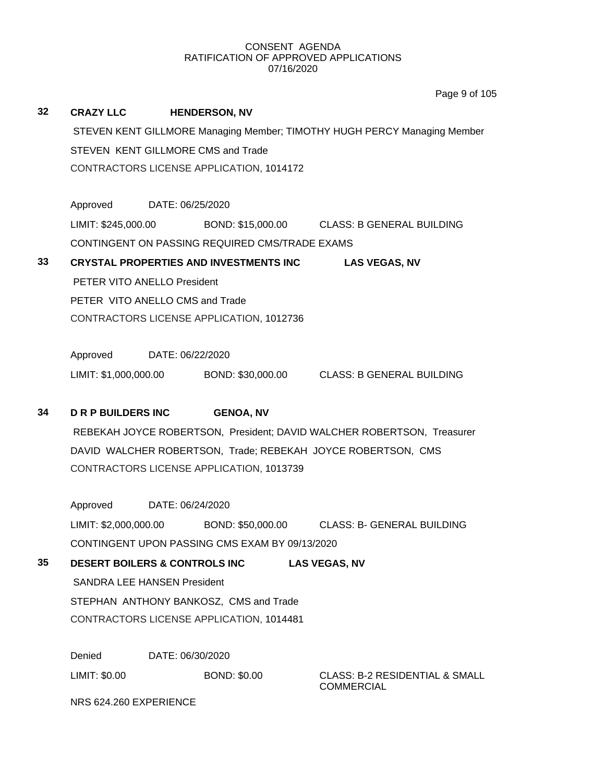|    |                                           |                  |                                                | Page 9 of 105                                                            |
|----|-------------------------------------------|------------------|------------------------------------------------|--------------------------------------------------------------------------|
| 32 | <b>CRAZY LLC</b>                          |                  | <b>HENDERSON, NV</b>                           |                                                                          |
|    |                                           |                  |                                                | STEVEN KENT GILLMORE Managing Member; TIMOTHY HUGH PERCY Managing Member |
|    |                                           |                  | STEVEN KENT GILLMORE CMS and Trade             |                                                                          |
|    |                                           |                  | CONTRACTORS LICENSE APPLICATION, 1014172       |                                                                          |
|    |                                           |                  |                                                |                                                                          |
|    | Approved                                  | DATE: 06/25/2020 |                                                |                                                                          |
|    |                                           |                  |                                                | LIMIT: \$245,000.00 BOND: \$15,000.00 CLASS: B GENERAL BUILDING          |
|    |                                           |                  | CONTINGENT ON PASSING REQUIRED CMS/TRADE EXAMS |                                                                          |
| 33 |                                           |                  | CRYSTAL PROPERTIES AND INVESTMENTS INC         | <b>LAS VEGAS, NV</b>                                                     |
|    | PETER VITO ANELLO President               |                  |                                                |                                                                          |
|    | PETER VITO ANELLO CMS and Trade           |                  |                                                |                                                                          |
|    |                                           |                  | CONTRACTORS LICENSE APPLICATION, 1012736       |                                                                          |
|    |                                           |                  |                                                |                                                                          |
|    | Approved                                  | DATE: 06/22/2020 |                                                |                                                                          |
|    |                                           |                  |                                                | LIMIT: \$1,000,000.00 BOND: \$30,000.00 CLASS: B GENERAL BUILDING        |
| 34 | <b>DRP BUILDERS INC</b>                   |                  | <b>GENOA, NV</b>                               |                                                                          |
|    |                                           |                  |                                                | REBEKAH JOYCE ROBERTSON, President; DAVID WALCHER ROBERTSON, Treasurer   |
|    |                                           |                  |                                                | DAVID WALCHER ROBERTSON, Trade; REBEKAH JOYCE ROBERTSON, CMS             |
|    |                                           |                  | CONTRACTORS LICENSE APPLICATION, 1013739       |                                                                          |
|    |                                           |                  |                                                |                                                                          |
|    | Approved                                  | DATE: 06/24/2020 |                                                |                                                                          |
|    | LIMIT: \$2,000,000.00                     |                  | BOND: \$50,000.00                              | <b>CLASS: B- GENERAL BUILDING</b>                                        |
|    |                                           |                  | CONTINGENT UPON PASSING CMS EXAM BY 09/13/2020 |                                                                          |
| 35 | <b>DESERT BOILERS &amp; CONTROLS INC.</b> |                  |                                                | <b>LAS VEGAS, NV</b>                                                     |
|    | <b>SANDRA LEE HANSEN President</b>        |                  |                                                |                                                                          |
|    |                                           |                  | STEPHAN ANTHONY BANKOSZ, CMS and Trade         |                                                                          |
|    |                                           |                  | CONTRACTORS LICENSE APPLICATION, 1014481       |                                                                          |
|    |                                           |                  |                                                |                                                                          |
|    | Denied                                    |                  | DATE: 06/30/2020                               |                                                                          |
|    | LIMIT: \$0.00                             |                  | <b>BOND: \$0.00</b>                            | <b>CLASS: B-2 RESIDENTIAL &amp; SMALL</b><br><b>COMMERCIAL</b>           |

NRS 624.260 EXPERIENCE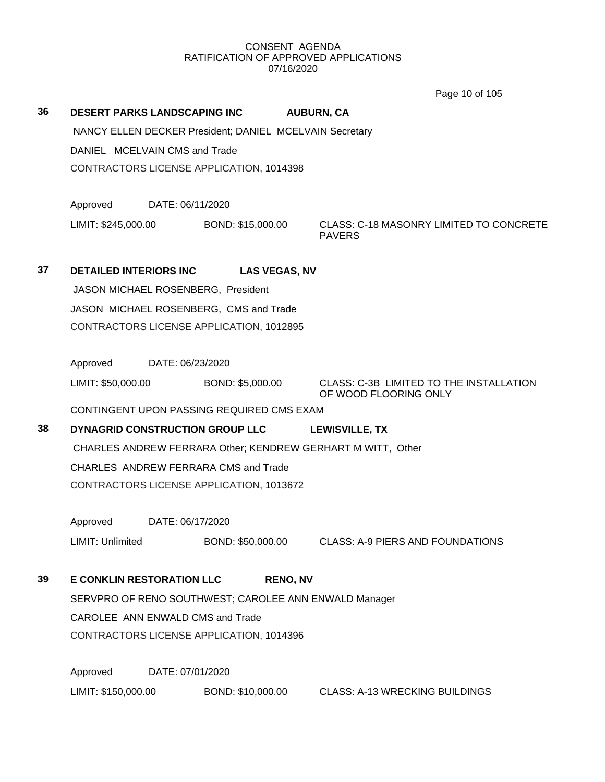Page 10 of 105

| 36 | <b>DESERT PARKS LANDSCAPING INC</b>    |                  |                                                         | <b>AUBURN, CA</b>                                                |  |  |  |
|----|----------------------------------------|------------------|---------------------------------------------------------|------------------------------------------------------------------|--|--|--|
|    |                                        |                  | NANCY ELLEN DECKER President; DANIEL MCELVAIN Secretary |                                                                  |  |  |  |
|    | DANIEL MCELVAIN CMS and Trade          |                  |                                                         |                                                                  |  |  |  |
|    |                                        |                  | CONTRACTORS LICENSE APPLICATION, 1014398                |                                                                  |  |  |  |
|    |                                        |                  |                                                         |                                                                  |  |  |  |
|    | Approved                               | DATE: 06/11/2020 |                                                         |                                                                  |  |  |  |
|    | LIMIT: \$245,000.00                    |                  | BOND: \$15,000.00                                       | CLASS: C-18 MASONRY LIMITED TO CONCRETE<br><b>PAVERS</b>         |  |  |  |
| 37 | <b>DETAILED INTERIORS INC</b>          |                  | <b>LAS VEGAS, NV</b>                                    |                                                                  |  |  |  |
|    |                                        |                  | JASON MICHAEL ROSENBERG, President                      |                                                                  |  |  |  |
|    | JASON MICHAEL ROSENBERG, CMS and Trade |                  |                                                         |                                                                  |  |  |  |
|    |                                        |                  | CONTRACTORS LICENSE APPLICATION, 1012895                |                                                                  |  |  |  |
|    |                                        |                  |                                                         |                                                                  |  |  |  |
|    | Approved                               | DATE: 06/23/2020 |                                                         |                                                                  |  |  |  |
|    | LIMIT: \$50,000.00                     |                  | BOND: \$5,000.00                                        | CLASS: C-3B LIMITED TO THE INSTALLATION<br>OF WOOD FLOORING ONLY |  |  |  |
|    |                                        |                  | CONTINGENT UPON PASSING REQUIRED CMS EXAM               |                                                                  |  |  |  |
| 38 |                                        |                  | DYNAGRID CONSTRUCTION GROUP LLC                         | <b>LEWISVILLE, TX</b>                                            |  |  |  |
|    |                                        |                  |                                                         | CHARLES ANDREW FERRARA Other; KENDREW GERHART M WITT, Other      |  |  |  |
|    | CHARLES ANDREW FERRARA CMS and Trade   |                  |                                                         |                                                                  |  |  |  |
|    |                                        |                  | CONTRACTORS LICENSE APPLICATION, 1013672                |                                                                  |  |  |  |
|    | Approved                               | DATE: 06/17/2020 |                                                         |                                                                  |  |  |  |
|    | LIMIT: Unlimited                       |                  |                                                         | BOND: \$50,000.00 CLASS: A-9 PIERS AND FOUNDATIONS               |  |  |  |
| 39 | <b>E CONKLIN RESTORATION LLC</b>       |                  | <b>RENO, NV</b>                                         |                                                                  |  |  |  |
|    |                                        |                  |                                                         | SERVPRO OF RENO SOUTHWEST; CAROLEE ANN ENWALD Manager            |  |  |  |
|    | CAROLEE ANN ENWALD CMS and Trade       |                  |                                                         |                                                                  |  |  |  |
|    |                                        |                  | CONTRACTORS LICENSE APPLICATION, 1014396                |                                                                  |  |  |  |
|    | Approved                               | DATE: 07/01/2020 |                                                         |                                                                  |  |  |  |
|    | LIMIT: \$150,000.00                    |                  | BOND: \$10,000.00                                       | <b>CLASS: A-13 WRECKING BUILDINGS</b>                            |  |  |  |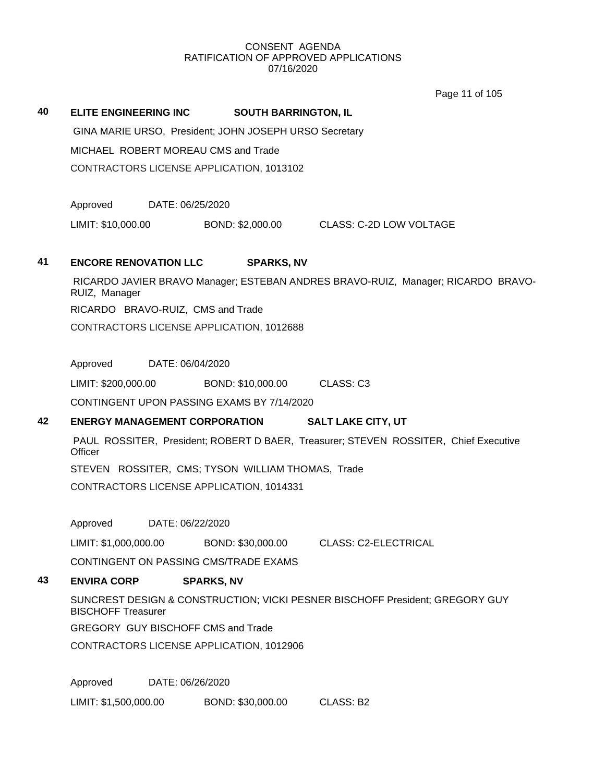Page 11 of 105

## **40 ELITE ENGINEERING INC SOUTH BARRINGTON, IL**

GINA MARIE URSO, President; JOHN JOSEPH URSO Secretary MICHAEL ROBERT MOREAU CMS and Trade CONTRACTORS LICENSE APPLICATION, 1013102

Approved DATE: 06/25/2020

LIMIT: \$10,000.00 BOND: \$2,000.00 CLASS: C-2D LOW VOLTAGE

## **41 ENCORE RENOVATION LLC SPARKS, NV**

RICARDO JAVIER BRAVO Manager; ESTEBAN ANDRES BRAVO-RUIZ, Manager; RICARDO BRAVO-RUIZ, Manager RICARDO BRAVO-RUIZ, CMS and Trade CONTRACTORS LICENSE APPLICATION, 1012688

Approved DATE: 06/04/2020

LIMIT: \$200,000.00 BOND: \$10,000.00 CLASS: C3

CONTINGENT UPON PASSING EXAMS BY 7/14/2020

## **42 ENERGY MANAGEMENT CORPORATION SALT LAKE CITY, UT**

PAUL ROSSITER, President; ROBERT D BAER, Treasurer; STEVEN ROSSITER, Chief Executive **Officer** 

STEVEN ROSSITER, CMS; TYSON WILLIAM THOMAS, Trade CONTRACTORS LICENSE APPLICATION, 1014331

Approved DATE: 06/22/2020

LIMIT: \$1,000,000.00 BOND: \$30,000.00 CLASS: C2-ELECTRICAL

CONTINGENT ON PASSING CMS/TRADE EXAMS

## **43 ENVIRA CORP SPARKS, NV**

SUNCREST DESIGN & CONSTRUCTION; VICKI PESNER BISCHOFF President; GREGORY GUY BISCHOFF Treasurer

GREGORY GUY BISCHOFF CMS and Trade

CONTRACTORS LICENSE APPLICATION, 1012906

Approved DATE: 06/26/2020

LIMIT: \$1,500,000.00 BOND: \$30,000.00 CLASS: B2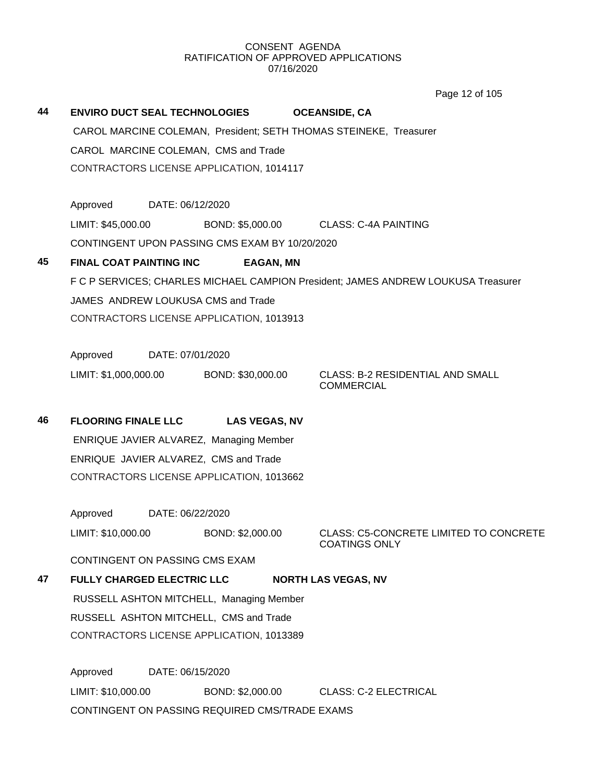Page 12 of 105

| 44 |                                      |                  | <b>ENVIRO DUCT SEAL TECHNOLOGIES</b>           |  | <b>OCEANSIDE, CA</b>                                                              |  |  |
|----|--------------------------------------|------------------|------------------------------------------------|--|-----------------------------------------------------------------------------------|--|--|
|    |                                      |                  |                                                |  | CAROL MARCINE COLEMAN, President; SETH THOMAS STEINEKE, Treasurer                 |  |  |
|    | CAROL MARCINE COLEMAN, CMS and Trade |                  |                                                |  |                                                                                   |  |  |
|    |                                      |                  | CONTRACTORS LICENSE APPLICATION, 1014117       |  |                                                                                   |  |  |
|    | Approved                             | DATE: 06/12/2020 |                                                |  |                                                                                   |  |  |
|    | LIMIT: \$45,000.00                   |                  |                                                |  | BOND: \$5,000.00 CLASS: C-4A PAINTING                                             |  |  |
|    |                                      |                  | CONTINGENT UPON PASSING CMS EXAM BY 10/20/2020 |  |                                                                                   |  |  |
| 45 | <b>FINAL COAT PAINTING INC</b>       |                  | <b>EAGAN, MN</b>                               |  |                                                                                   |  |  |
|    |                                      |                  |                                                |  | F C P SERVICES; CHARLES MICHAEL CAMPION President; JAMES ANDREW LOUKUSA Treasurer |  |  |
|    |                                      |                  | JAMES ANDREW LOUKUSA CMS and Trade             |  |                                                                                   |  |  |
|    |                                      |                  | CONTRACTORS LICENSE APPLICATION, 1013913       |  |                                                                                   |  |  |
|    | Approved                             | DATE: 07/01/2020 |                                                |  |                                                                                   |  |  |
|    |                                      |                  | LIMIT: \$1,000,000.00 BOND: \$30,000.00        |  | <b>CLASS: B-2 RESIDENTIAL AND SMALL</b><br><b>COMMERCIAL</b>                      |  |  |
| 46 | <b>FLOORING FINALE LLC</b>           |                  | <b>LAS VEGAS, NV</b>                           |  |                                                                                   |  |  |
|    |                                      |                  | ENRIQUE JAVIER ALVAREZ, Managing Member        |  |                                                                                   |  |  |
|    |                                      |                  | ENRIQUE JAVIER ALVAREZ, CMS and Trade          |  |                                                                                   |  |  |
|    |                                      |                  | CONTRACTORS LICENSE APPLICATION, 1013662       |  |                                                                                   |  |  |
|    | Approved                             | DATE: 06/22/2020 |                                                |  |                                                                                   |  |  |
|    | LIMIT: \$10,000.00                   |                  | BOND: \$2,000.00                               |  | <b>CLASS: C5-CONCRETE LIMITED TO CONCRETE</b><br><b>COATINGS ONLY</b>             |  |  |
|    | CONTINGENT ON PASSING CMS EXAM       |                  |                                                |  |                                                                                   |  |  |
| 47 | <b>FULLY CHARGED ELECTRIC LLC</b>    |                  |                                                |  | <b>NORTH LAS VEGAS, NV</b>                                                        |  |  |
|    |                                      |                  | RUSSELL ASHTON MITCHELL, Managing Member       |  |                                                                                   |  |  |
|    |                                      |                  | RUSSELL ASHTON MITCHELL, CMS and Trade         |  |                                                                                   |  |  |
|    |                                      |                  | CONTRACTORS LICENSE APPLICATION, 1013389       |  |                                                                                   |  |  |
|    | Approved                             | DATE: 06/15/2020 |                                                |  |                                                                                   |  |  |

LIMIT: \$10,000.00 BOND: \$2,000.00 CLASS: C-2 ELECTRICAL CONTINGENT ON PASSING REQUIRED CMS/TRADE EXAMS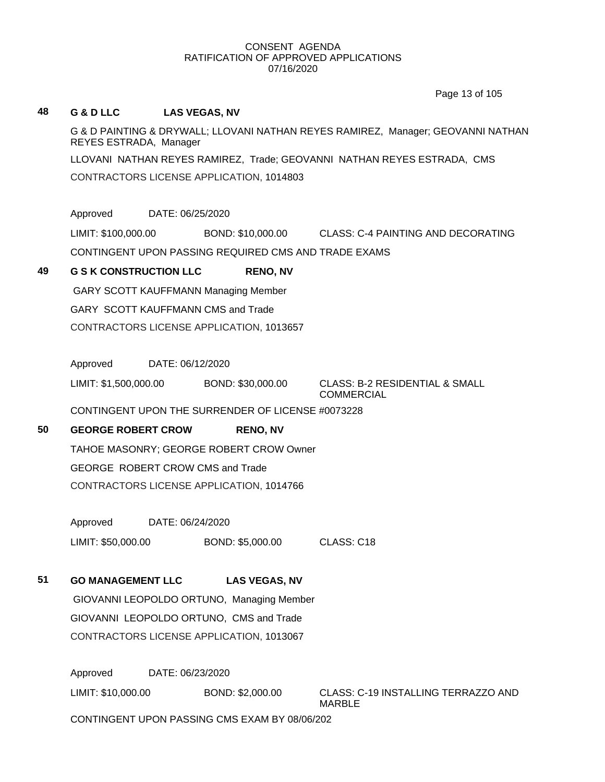Page 13 of 105

## **48 G & D LLC LAS VEGAS, NV**

G & D PAINTING & DRYWALL; LLOVANI NATHAN REYES RAMIREZ, Manager; GEOVANNI NATHAN REYES ESTRADA, Manager

LLOVANI NATHAN REYES RAMIREZ, Trade; GEOVANNI NATHAN REYES ESTRADA, CMS CONTRACTORS LICENSE APPLICATION, 1014803

Approved DATE: 06/25/2020

LIMIT: \$100,000.00 BOND: \$10,000.00 CLASS: C-4 PAINTING AND DECORATING

CONTINGENT UPON PASSING REQUIRED CMS AND TRADE EXAMS

## **49 G S K CONSTRUCTION LLC RENO, NV**

GARY SCOTT KAUFFMANN Managing Member GARY SCOTT KAUFFMANN CMS and Trade CONTRACTORS LICENSE APPLICATION, 1013657

Approved DATE: 06/12/2020

LIMIT: \$1,500,000.00 BOND: \$30,000.00 CLASS: B-2 RESIDENTIAL & SMALL

**COMMERCIAL** 

CONTINGENT UPON THE SURRENDER OF LICENSE #0073228

## **50 GEORGE ROBERT CROW RENO, NV**

TAHOE MASONRY; GEORGE ROBERT CROW Owner GEORGE ROBERT CROW CMS and Trade CONTRACTORS LICENSE APPLICATION, 1014766

Approved DATE: 06/24/2020 LIMIT: \$50,000.00 BOND: \$5,000.00 CLASS: C18

## **51 GO MANAGEMENT LLC LAS VEGAS, NV**

GIOVANNI LEOPOLDO ORTUNO, Managing Member GIOVANNI LEOPOLDO ORTUNO, CMS and Trade CONTRACTORS LICENSE APPLICATION, 1013067

Approved DATE: 06/23/2020

LIMIT: \$10,000.00 BOND: \$2,000.00 CLASS: C-19 INSTALLING TERRAZZO AND MARBLE

CONTINGENT UPON PASSING CMS EXAM BY 08/06/202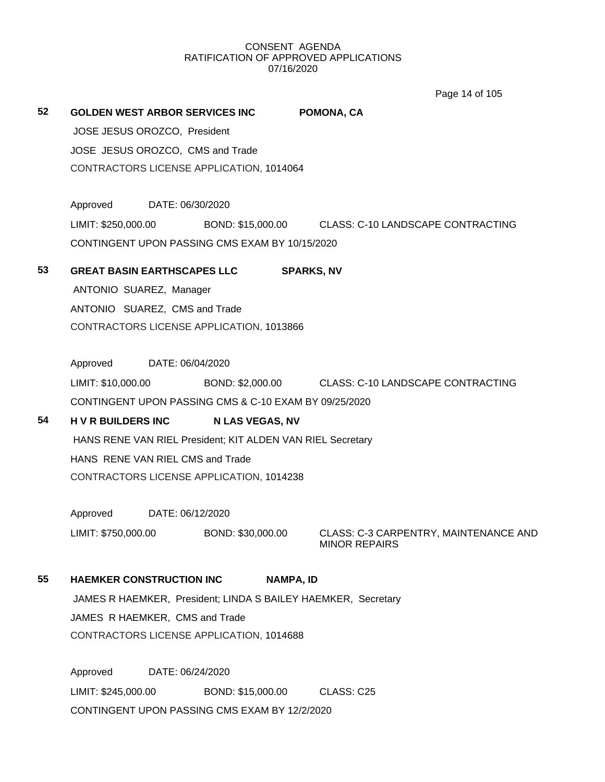Page 14 of 105

| 52 | JOSE JESUS OROZCO, President<br>JOSE JESUS OROZCO, CMS and Trade | GOLDEN WEST ARBOR SERVICES INC<br>CONTRACTORS LICENSE APPLICATION, 1014064 | POMONA, CA                                                              |
|----|------------------------------------------------------------------|----------------------------------------------------------------------------|-------------------------------------------------------------------------|
|    | Approved DATE: 06/30/2020                                        |                                                                            |                                                                         |
|    |                                                                  |                                                                            | LIMIT: \$250,000.00 BOND: \$15,000.00 CLASS: C-10 LANDSCAPE CONTRACTING |
|    |                                                                  | CONTINGENT UPON PASSING CMS EXAM BY 10/15/2020                             |                                                                         |
| 53 |                                                                  | GREAT BASIN EARTHSCAPES LLC SPARKS, NV                                     |                                                                         |
|    | ANTONIO SUAREZ, Manager                                          |                                                                            |                                                                         |
|    | ANTONIO SUAREZ, CMS and Trade                                    |                                                                            |                                                                         |
|    |                                                                  | CONTRACTORS LICENSE APPLICATION, 1013866                                   |                                                                         |
|    | Approved DATE: 06/04/2020                                        |                                                                            |                                                                         |
|    |                                                                  |                                                                            | LIMIT: \$10,000.00 BOND: \$2,000.00 CLASS: C-10 LANDSCAPE CONTRACTING   |
|    |                                                                  | CONTINGENT UPON PASSING CMS & C-10 EXAM BY 09/25/2020                      |                                                                         |
| 54 | <b>HVR BUILDERS INC</b>                                          | <b>N LAS VEGAS, NV</b>                                                     |                                                                         |
|    |                                                                  | HANS RENE VAN RIEL President; KIT ALDEN VAN RIEL Secretary                 |                                                                         |
|    | HANS RENE VAN RIEL CMS and Trade                                 |                                                                            |                                                                         |
|    |                                                                  | CONTRACTORS LICENSE APPLICATION, 1014238                                   |                                                                         |
|    | Approved DATE: 06/12/2020                                        |                                                                            |                                                                         |
|    | LIMIT: \$750,000.00                                              | BOND: \$30,000.00                                                          | CLASS: C-3 CARPENTRY, MAINTENANCE AND<br><b>MINOR REPAIRS</b>           |
| 55 | <b>HAEMKER CONSTRUCTION INC</b>                                  | <b>NAMPA, ID</b>                                                           |                                                                         |
|    |                                                                  | JAMES R HAEMKER, President; LINDA S BAILEY HAEMKER, Secretary              |                                                                         |
|    | JAMES R HAEMKER, CMS and Trade                                   |                                                                            |                                                                         |
|    |                                                                  | CONTRACTORS LICENSE APPLICATION, 1014688                                   |                                                                         |

Approved DATE: 06/24/2020 LIMIT: \$245,000.00 BOND: \$15,000.00 CLASS: C25 CONTINGENT UPON PASSING CMS EXAM BY 12/2/2020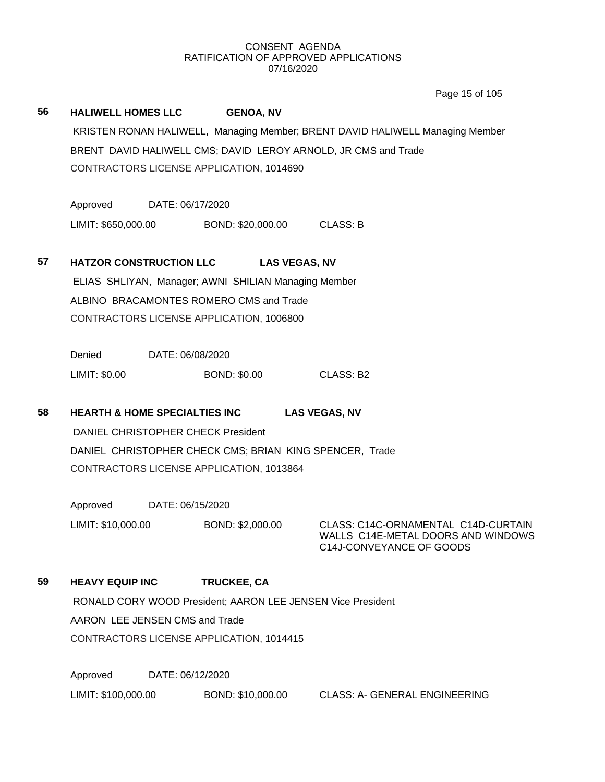Page 15 of 105

# **56 HALIWELL HOMES LLC GENOA, NV** KRISTEN RONAN HALIWELL, Managing Member; BRENT DAVID HALIWELL Managing Member BRENT DAVID HALIWELL CMS; DAVID LEROY ARNOLD, JR CMS and Trade CONTRACTORS LICENSE APPLICATION, 1014690 Approved DATE: 06/17/2020 LIMIT: \$650,000.00 BOND: \$20,000.00 CLASS: B **57 HATZOR CONSTRUCTION LLC LAS VEGAS, NV** ELIAS SHLIYAN, Manager; AWNI SHILIAN Managing Member ALBINO BRACAMONTES ROMERO CMS and Trade CONTRACTORS LICENSE APPLICATION, 1006800 Denied DATE: 06/08/2020 LIMIT: \$0.00 BOND: \$0.00 CLASS: B2 **58 HEARTH & HOME SPECIALTIES INC LAS VEGAS, NV** DANIEL CHRISTOPHER CHECK President DANIEL CHRISTOPHER CHECK CMS; BRIAN KING SPENCER, Trade CONTRACTORS LICENSE APPLICATION, 1013864 Approved DATE: 06/15/2020 LIMIT: \$10,000.00 BOND: \$2,000.00 CLASS: C14C-ORNAMENTAL C14D-CURTAIN WALLS C14E-METAL DOORS AND WINDOWS C14J-CONVEYANCE OF GOODS **59 HEAVY EQUIP INC TRUCKEE, CA** RONALD CORY WOOD President; AARON LEE JENSEN Vice President AARON LEE JENSEN CMS and Trade CONTRACTORS LICENSE APPLICATION, 1014415 Approved DATE: 06/12/2020 LIMIT: \$100,000.00 BOND: \$10,000.00 CLASS: A- GENERAL ENGINEERING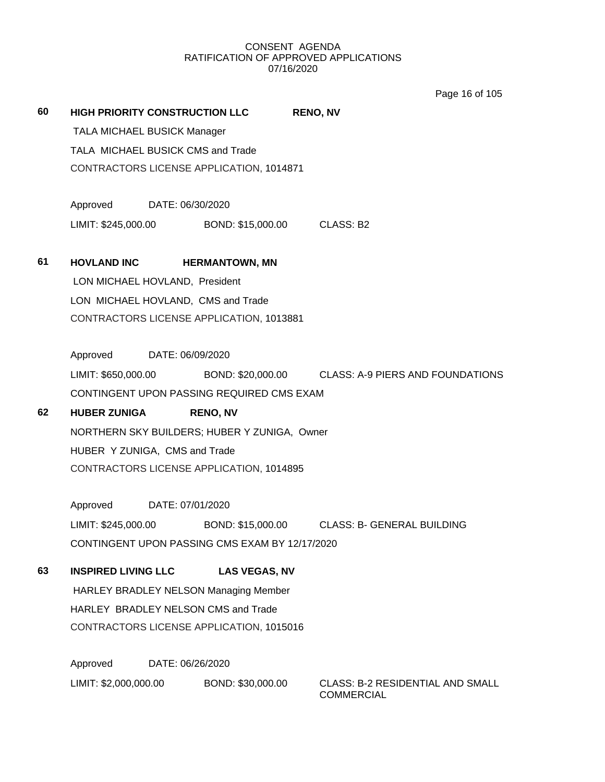Page 16 of 105

| 60 |                                    |                  | HIGH PRIORITY CONSTRUCTION LLC                  | <b>RENO, NV</b>                                                        |
|----|------------------------------------|------------------|-------------------------------------------------|------------------------------------------------------------------------|
|    | <b>TALA MICHAEL BUSICK Manager</b> |                  |                                                 |                                                                        |
|    | TALA MICHAEL BUSICK CMS and Trade  |                  |                                                 |                                                                        |
|    |                                    |                  | CONTRACTORS LICENSE APPLICATION, 1014871        |                                                                        |
|    | Approved DATE: 06/30/2020          |                  |                                                 |                                                                        |
|    |                                    |                  | LIMIT: \$245,000.00 BOND: \$15,000.00 CLASS: B2 |                                                                        |
| 61 | <b>HOVLAND INC</b>                 |                  | <b>HERMANTOWN, MN</b>                           |                                                                        |
|    | LON MICHAEL HOVLAND, President     |                  |                                                 |                                                                        |
|    |                                    |                  | LON MICHAEL HOVLAND, CMS and Trade              |                                                                        |
|    |                                    |                  | CONTRACTORS LICENSE APPLICATION, 1013881        |                                                                        |
|    | Approved DATE: 06/09/2020          |                  |                                                 |                                                                        |
|    |                                    |                  |                                                 | LIMIT: \$650,000.00 BOND: \$20,000.00 CLASS: A-9 PIERS AND FOUNDATIONS |
|    |                                    |                  | CONTINGENT UPON PASSING REQUIRED CMS EXAM       |                                                                        |
| 62 | <b>HUBER ZUNIGA</b>                |                  | <b>RENO, NV</b>                                 |                                                                        |
|    |                                    |                  | NORTHERN SKY BUILDERS; HUBER Y ZUNIGA, Owner    |                                                                        |
|    | HUBER Y ZUNIGA, CMS and Trade      |                  |                                                 |                                                                        |
|    |                                    |                  | CONTRACTORS LICENSE APPLICATION, 1014895        |                                                                        |
|    | Approved DATE: 07/01/2020          |                  |                                                 |                                                                        |
|    | LIMIT: \$245,000.00                |                  |                                                 | BOND: \$15,000.00 CLASS: B- GENERAL BUILDING                           |
|    |                                    |                  | CONTINGENT UPON PASSING CMS EXAM BY 12/17/2020  |                                                                        |
| 63 | <b>INSPIRED LIVING LLC</b>         |                  | <b>LAS VEGAS, NV</b>                            |                                                                        |
|    |                                    |                  | HARLEY BRADLEY NELSON Managing Member           |                                                                        |
|    |                                    |                  | HARLEY BRADLEY NELSON CMS and Trade             |                                                                        |
|    |                                    |                  | CONTRACTORS LICENSE APPLICATION, 1015016        |                                                                        |
|    | Approved                           | DATE: 06/26/2020 |                                                 |                                                                        |
|    | LIMIT: \$2,000,000.00              |                  | BOND: \$30,000.00                               | <b>CLASS: B-2 RESIDENTIAL AND SMALL</b><br><b>COMMERCIAL</b>           |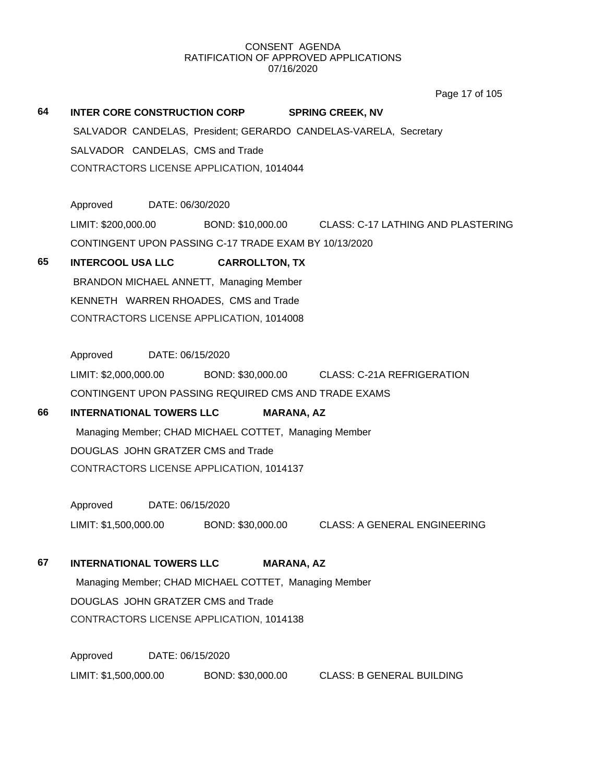Page 17 of 105

| 64 | INTER CORE CONSTRUCTION CORP                          |                       | <b>SPRING CREEK, NV</b>                                          |
|----|-------------------------------------------------------|-----------------------|------------------------------------------------------------------|
|    |                                                       |                       | SALVADOR CANDELAS, President; GERARDO CANDELAS-VARELA, Secretary |
|    | SALVADOR CANDELAS, CMS and Trade                      |                       |                                                                  |
|    | CONTRACTORS LICENSE APPLICATION, 1014044              |                       |                                                                  |
|    |                                                       |                       |                                                                  |
|    | Approved<br>DATE: 06/30/2020                          |                       |                                                                  |
|    | LIMIT: \$200,000.00                                   |                       | BOND: \$10,000.00 CLASS: C-17 LATHING AND PLASTERING             |
|    | CONTINGENT UPON PASSING C-17 TRADE EXAM BY 10/13/2020 |                       |                                                                  |
| 65 | <b>INTERCOOL USA LLC</b>                              | <b>CARROLLTON, TX</b> |                                                                  |
|    | BRANDON MICHAEL ANNETT, Managing Member               |                       |                                                                  |
|    | KENNETH WARREN RHOADES, CMS and Trade                 |                       |                                                                  |
|    | CONTRACTORS LICENSE APPLICATION, 1014008              |                       |                                                                  |
|    |                                                       |                       |                                                                  |
|    | Approved<br>DATE: 06/15/2020                          |                       |                                                                  |
|    | LIMIT: \$2,000,000.00                                 |                       | BOND: \$30,000.00 CLASS: C-21A REFRIGERATION                     |
|    | CONTINGENT UPON PASSING REQUIRED CMS AND TRADE EXAMS  |                       |                                                                  |
| 66 | <b>INTERNATIONAL TOWERS LLC</b>                       | <b>MARANA, AZ</b>     |                                                                  |
|    | Managing Member; CHAD MICHAEL COTTET, Managing Member |                       |                                                                  |
|    | DOUGLAS JOHN GRATZER CMS and Trade                    |                       |                                                                  |
|    | CONTRACTORS LICENSE APPLICATION, 1014137              |                       |                                                                  |
|    |                                                       |                       |                                                                  |
|    | Approved<br>DATE: 06/15/2020                          |                       |                                                                  |
|    | LIMIT: \$1,500,000.00                                 |                       | BOND: \$30,000.00 CLASS: A GENERAL ENGINEERING                   |
|    |                                                       |                       |                                                                  |
| 67 | <b>INTERNATIONAL TOWERS LLC</b>                       | <b>MARANA, AZ</b>     |                                                                  |
|    | Managing Member; CHAD MICHAEL COTTET, Managing Member |                       |                                                                  |
|    | DOUGLAS JOHN GRATZER CMS and Trade                    |                       |                                                                  |
|    | CONTRACTORS LICENSE APPLICATION, 1014138              |                       |                                                                  |
|    |                                                       |                       |                                                                  |
|    | Approved<br>DATE: 06/15/2020                          |                       |                                                                  |
|    | LIMIT: \$1,500,000.00                                 | BOND: \$30,000.00     | <b>CLASS: B GENERAL BUILDING</b>                                 |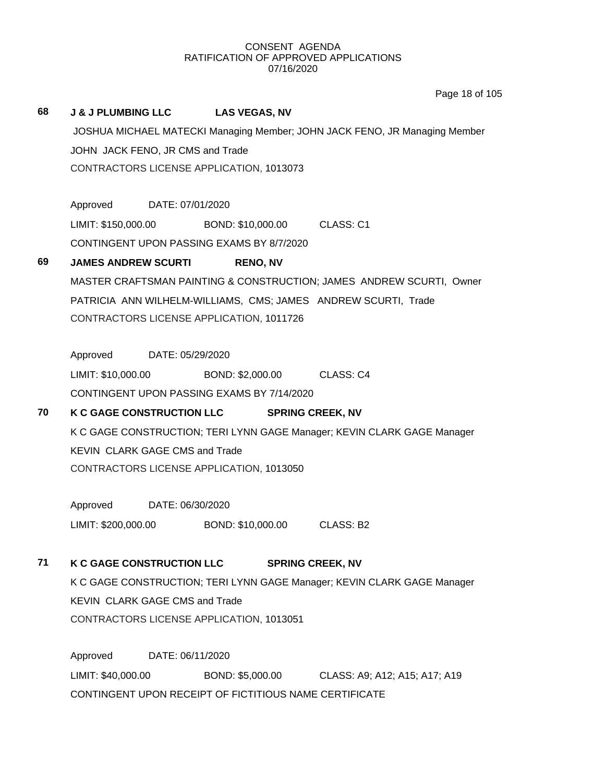Page 18 of 105

# **68 J & J PLUMBING LLC LAS VEGAS, NV** JOSHUA MICHAEL MATECKI Managing Member; JOHN JACK FENO, JR Managing Member JOHN JACK FENO, JR CMS and Trade CONTRACTORS LICENSE APPLICATION, 1013073 Approved DATE: 07/01/2020 LIMIT: \$150,000.00 BOND: \$10,000.00 CLASS: C1 CONTINGENT UPON PASSING EXAMS BY 8/7/2020 **69 JAMES ANDREW SCURTI RENO, NV** MASTER CRAFTSMAN PAINTING & CONSTRUCTION; JAMES ANDREW SCURTI, Owner PATRICIA ANN WILHELM-WILLIAMS, CMS; JAMES ANDREW SCURTI, Trade CONTRACTORS LICENSE APPLICATION, 1011726 Approved DATE: 05/29/2020 LIMIT: \$10,000.00 BOND: \$2,000.00 CLASS: C4 CONTINGENT UPON PASSING EXAMS BY 7/14/2020 **70 K C GAGE CONSTRUCTION LLC SPRING CREEK, NV** K C GAGE CONSTRUCTION; TERI LYNN GAGE Manager; KEVIN CLARK GAGE Manager KEVIN CLARK GAGE CMS and Trade CONTRACTORS LICENSE APPLICATION, 1013050 Approved DATE: 06/30/2020 LIMIT: \$200,000.00 BOND: \$10,000.00 CLASS: B2 **71 K C GAGE CONSTRUCTION LLC SPRING CREEK, NV** K C GAGE CONSTRUCTION; TERI LYNN GAGE Manager; KEVIN CLARK GAGE Manager KEVIN CLARK GAGE CMS and Trade CONTRACTORS LICENSE APPLICATION, 1013051 Approved DATE: 06/11/2020 LIMIT: \$40,000.00 BOND: \$5,000.00 CLASS: A9; A12; A15; A17; A19 CONTINGENT UPON RECEIPT OF FICTITIOUS NAME CERTIFICATE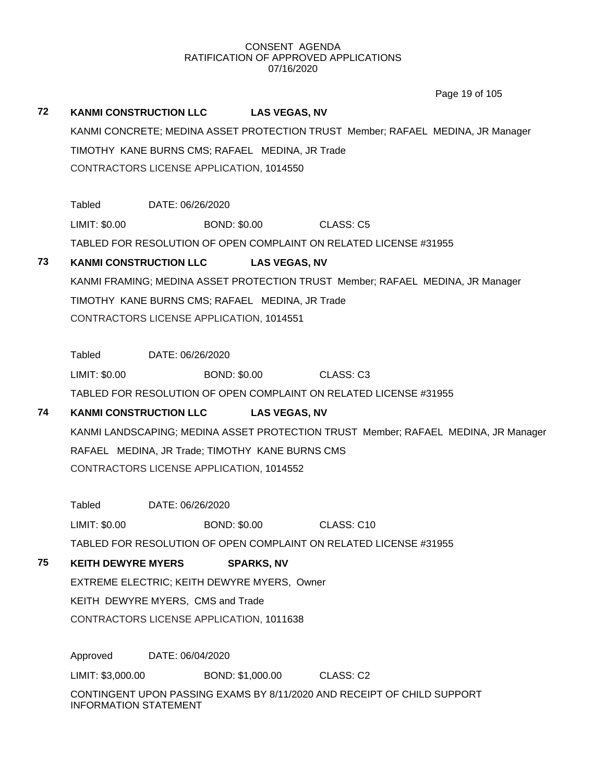Page 19 of 105

## **72 KANMI CONSTRUCTION LLC LAS VEGAS, NV**

KANMI CONCRETE; MEDINA ASSET PROTECTION TRUST Member; RAFAEL MEDINA, JR Manager TIMOTHY KANE BURNS CMS; RAFAEL MEDINA, JR Trade CONTRACTORS LICENSE APPLICATION, 1014550

Tabled DATE: 06/26/2020 LIMIT: \$0.00 BOND: \$0.00 CLASS: C5 TABLED FOR RESOLUTION OF OPEN COMPLAINT ON RELATED LICENSE #31955

## **73 KANMI CONSTRUCTION LLC LAS VEGAS, NV**

KANMI FRAMING; MEDINA ASSET PROTECTION TRUST Member; RAFAEL MEDINA, JR Manager TIMOTHY KANE BURNS CMS; RAFAEL MEDINA, JR Trade CONTRACTORS LICENSE APPLICATION, 1014551

Tabled DATE: 06/26/2020

LIMIT: \$0.00 BOND: \$0.00 CLASS: C3

TABLED FOR RESOLUTION OF OPEN COMPLAINT ON RELATED LICENSE #31955

## **74 KANMI CONSTRUCTION LLC LAS VEGAS, NV**

KANMI LANDSCAPING; MEDINA ASSET PROTECTION TRUST Member; RAFAEL MEDINA, JR Manager RAFAEL MEDINA, JR Trade; TIMOTHY KANE BURNS CMS CONTRACTORS LICENSE APPLICATION, 1014552

Tabled DATE: 06/26/2020

LIMIT: \$0.00 BOND: \$0.00 CLASS: C10

TABLED FOR RESOLUTION OF OPEN COMPLAINT ON RELATED LICENSE #31955

## **75 KEITH DEWYRE MYERS SPARKS, NV**

EXTREME ELECTRIC; KEITH DEWYRE MYERS, Owner

KEITH DEWYRE MYERS, CMS and Trade

CONTRACTORS LICENSE APPLICATION, 1011638

Approved DATE: 06/04/2020

LIMIT: \$3,000.00 BOND: \$1,000.00 CLASS: C2

CONTINGENT UPON PASSING EXAMS BY 8/11/2020 AND RECEIPT OF CHILD SUPPORT INFORMATION STATEMENT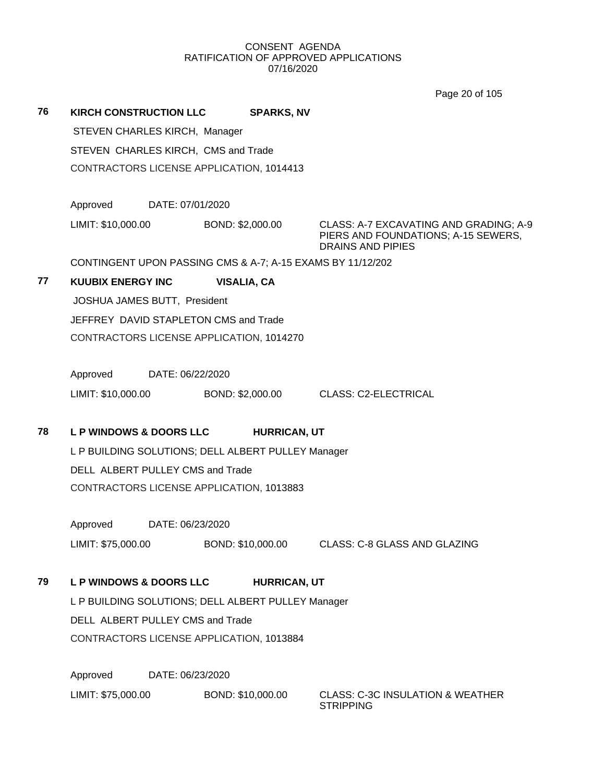Page 20 of 105

**76 KIRCH CONSTRUCTION LLC SPARKS, NV**

STEVEN CHARLES KIRCH, Manager

STEVEN CHARLES KIRCH, CMS and Trade

CONTRACTORS LICENSE APPLICATION, 1014413

Approved DATE: 07/01/2020

LIMIT: \$10,000.00 BOND: \$2,000.00 CLASS: A-7 EXCAVATING AND GRADING; A-9

PIERS AND FOUNDATIONS; A-15 SEWERS, DRAINS AND PIPIES

CONTINGENT UPON PASSING CMS & A-7; A-15 EXAMS BY 11/12/202

## **77 KUUBIX ENERGY INC VISALIA, CA**

JOSHUA JAMES BUTT, President JEFFREY DAVID STAPLETON CMS and Trade CONTRACTORS LICENSE APPLICATION, 1014270

Approved DATE: 06/22/2020

LIMIT: \$10,000.00 BOND: \$2,000.00 CLASS: C2-ELECTRICAL

## **78 L P WINDOWS & DOORS LLC HURRICAN, UT**

L P BUILDING SOLUTIONS; DELL ALBERT PULLEY Manager DELL ALBERT PULLEY CMS and Trade CONTRACTORS LICENSE APPLICATION, 1013883

Approved DATE: 06/23/2020

LIMIT: \$75,000.00 BOND: \$10,000.00 CLASS: C-8 GLASS AND GLAZING

## **79 L P WINDOWS & DOORS LLC HURRICAN, UT**

L P BUILDING SOLUTIONS; DELL ALBERT PULLEY Manager DELL ALBERT PULLEY CMS and Trade CONTRACTORS LICENSE APPLICATION, 1013884

Approved DATE: 06/23/2020

LIMIT: \$75,000.00 BOND: \$10,000.00 CLASS: C-3C INSULATION & WEATHER

**STRIPPING**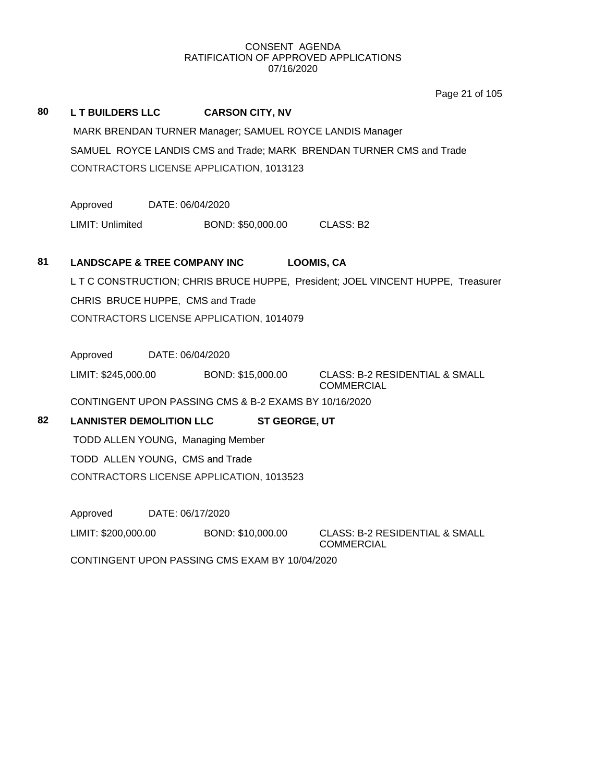Page 21 of 105

## **80 L T BUILDERS LLC CARSON CITY, NV**

MARK BRENDAN TURNER Manager; SAMUEL ROYCE LANDIS Manager SAMUEL ROYCE LANDIS CMS and Trade; MARK BRENDAN TURNER CMS and Trade CONTRACTORS LICENSE APPLICATION, 1013123

Approved DATE: 06/04/2020

LIMIT: Unlimited BOND: \$50,000.00 CLASS: B2

## **81 LANDSCAPE & TREE COMPANY INC LOOMIS, CA**

L T C CONSTRUCTION; CHRIS BRUCE HUPPE, President; JOEL VINCENT HUPPE, Treasurer CHRIS BRUCE HUPPE, CMS and Trade CONTRACTORS LICENSE APPLICATION, 1014079

Approved DATE: 06/04/2020

LIMIT: \$245,000.00 BOND: \$15,000.00 CLASS: B-2 RESIDENTIAL & SMALL

COMMERCIAL

CONTINGENT UPON PASSING CMS & B-2 EXAMS BY 10/16/2020

## **82 LANNISTER DEMOLITION LLC ST GEORGE, UT**

TODD ALLEN YOUNG, Managing Member TODD ALLEN YOUNG, CMS and Trade CONTRACTORS LICENSE APPLICATION, 1013523

Approved DATE: 06/17/2020

LIMIT: \$200,000.00 BOND: \$10,000.00 CLASS: B-2 RESIDENTIAL & SMALL

COMMERCIAL

CONTINGENT UPON PASSING CMS EXAM BY 10/04/2020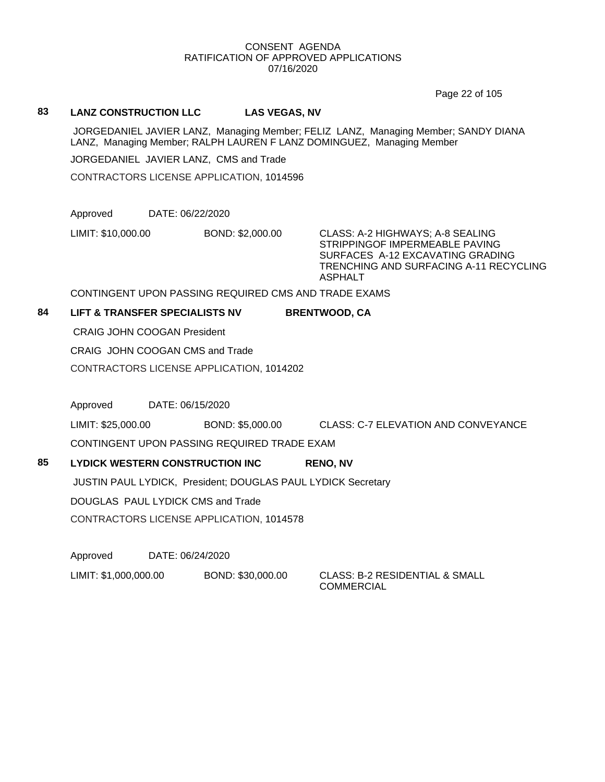Page 22 of 105

## **83 LANZ CONSTRUCTION LLC LAS VEGAS, NV**

JORGEDANIEL JAVIER LANZ, Managing Member; FELIZ LANZ, Managing Member; SANDY DIANA LANZ, Managing Member; RALPH LAUREN F LANZ DOMINGUEZ, Managing Member

JORGEDANIEL JAVIER LANZ, CMS and Trade

CONTRACTORS LICENSE APPLICATION, 1014596

Approved DATE: 06/22/2020

LIMIT: \$10,000.00 BOND: \$2,000.00 CLASS: A-2 HIGHWAYS; A-8 SEALING

STRIPPINGOF IMPERMEABLE PAVING SURFACES A-12 EXCAVATING GRADING TRENCHING AND SURFACING A-11 RECYCLING ASPHALT

CONTINGENT UPON PASSING REQUIRED CMS AND TRADE EXAMS

## **84 LIFT & TRANSFER SPECIALISTS NV BRENTWOOD, CA**

CRAIG JOHN COOGAN President

CRAIG JOHN COOGAN CMS and Trade

CONTRACTORS LICENSE APPLICATION, 1014202

Approved DATE: 06/15/2020

LIMIT: \$25,000.00 BOND: \$5,000.00 CLASS: C-7 ELEVATION AND CONVEYANCE

CONTINGENT UPON PASSING REQUIRED TRADE EXAM

## **85 LYDICK WESTERN CONSTRUCTION INC RENO, NV** JUSTIN PAUL LYDICK, President; DOUGLAS PAUL LYDICK Secretary DOUGLAS PAUL LYDICK CMS and Trade

CONTRACTORS LICENSE APPLICATION, 1014578

Approved DATE: 06/24/2020

LIMIT: \$1,000,000.00 BOND: \$30,000.00 CLASS: B-2 RESIDENTIAL & SMALL **COMMERCIAL**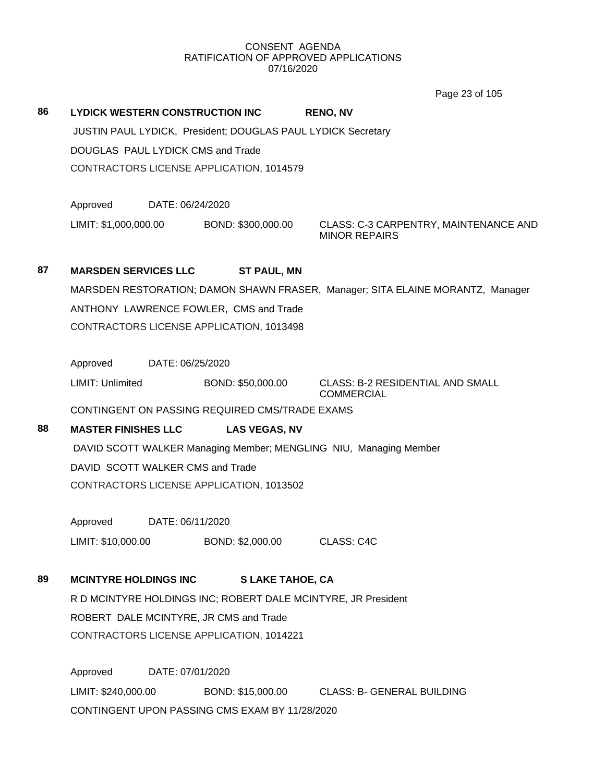Page 23 of 105

| 86 | LYDICK WESTERN CONSTRUCTION INC          |                  | JUSTIN PAUL LYDICK, President; DOUGLAS PAUL LYDICK Secretary | <b>RENO, NV</b>                                                                |
|----|------------------------------------------|------------------|--------------------------------------------------------------|--------------------------------------------------------------------------------|
|    | <b>DOUGLAS PAUL LYDICK CMS and Trade</b> |                  | CONTRACTORS LICENSE APPLICATION, 1014579                     |                                                                                |
|    | Approved                                 | DATE: 06/24/2020 |                                                              |                                                                                |
|    | LIMIT: \$1,000,000.00                    |                  | BOND: \$300,000.00                                           | CLASS: C-3 CARPENTRY, MAINTENANCE AND<br><b>MINOR REPAIRS</b>                  |
| 87 | <b>MARSDEN SERVICES LLC</b>              |                  | <b>ST PAUL, MN</b>                                           |                                                                                |
|    |                                          |                  |                                                              | MARSDEN RESTORATION; DAMON SHAWN FRASER, Manager; SITA ELAINE MORANTZ, Manager |
|    |                                          |                  | ANTHONY LAWRENCE FOWLER, CMS and Trade                       |                                                                                |
|    |                                          |                  | CONTRACTORS LICENSE APPLICATION, 1013498                     |                                                                                |
|    | Approved                                 | DATE: 06/25/2020 |                                                              |                                                                                |
|    | LIMIT: Unlimited                         |                  | BOND: \$50,000.00                                            | <b>CLASS: B-2 RESIDENTIAL AND SMALL</b><br><b>COMMERCIAL</b>                   |
|    |                                          |                  | CONTINGENT ON PASSING REQUIRED CMS/TRADE EXAMS               |                                                                                |
| 88 | <b>MASTER FINISHES LLC</b>               |                  | <b>LAS VEGAS, NV</b>                                         |                                                                                |
|    |                                          |                  |                                                              | DAVID SCOTT WALKER Managing Member; MENGLING NIU, Managing Member              |
|    | DAVID SCOTT WALKER CMS and Trade         |                  |                                                              |                                                                                |
|    |                                          |                  | CONTRACTORS LICENSE APPLICATION, 1013502                     |                                                                                |
|    | Approved                                 | DATE: 06/11/2020 |                                                              |                                                                                |
|    | LIMIT: \$10,000.00                       |                  | BOND: \$2,000.00 CLASS: C4C                                  |                                                                                |
| 89 | <b>MCINTYRE HOLDINGS INC</b>             |                  | <b>S LAKE TAHOE, CA</b>                                      |                                                                                |
|    |                                          |                  |                                                              | R D MCINTYRE HOLDINGS INC; ROBERT DALE MCINTYRE, JR President                  |
|    |                                          |                  | ROBERT DALE MCINTYRE, JR CMS and Trade                       |                                                                                |
|    |                                          |                  |                                                              |                                                                                |
|    |                                          |                  | CONTRACTORS LICENSE APPLICATION, 1014221                     |                                                                                |
|    | Approved                                 | DATE: 07/01/2020 |                                                              |                                                                                |
|    | LIMIT: \$240,000.00                      |                  |                                                              | BOND: \$15,000.00 CLASS: B- GENERAL BUILDING                                   |
|    |                                          |                  | CONTINGENT UPON PASSING CMS EXAM BY 11/28/2020               |                                                                                |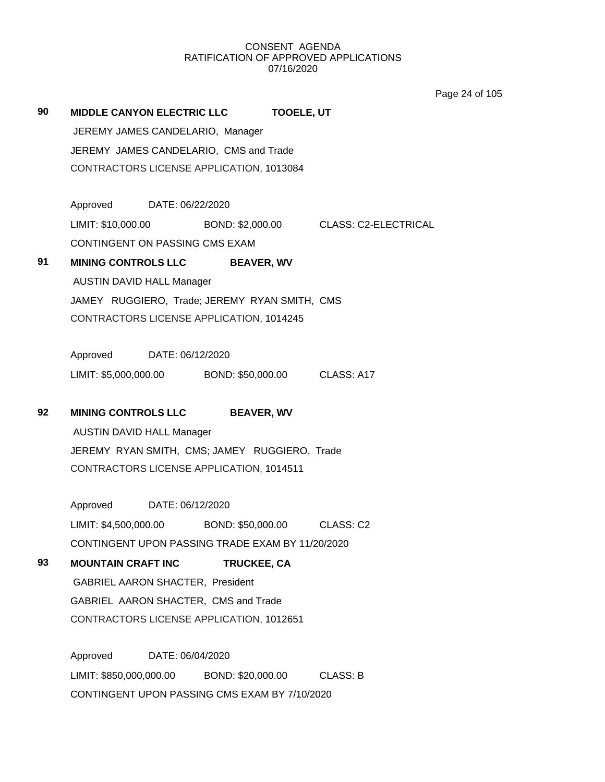Page 24 of 105

**90 MIDDLE CANYON ELECTRIC LLC TOOELE, UT** JEREMY JAMES CANDELARIO, Manager JEREMY JAMES CANDELARIO, CMS and Trade CONTRACTORS LICENSE APPLICATION, 1013084 Approved DATE: 06/22/2020 LIMIT: \$10,000.00 BOND: \$2,000.00 CLASS: C2-ELECTRICAL CONTINGENT ON PASSING CMS EXAM **91 MINING CONTROLS LLC BEAVER, WV** AUSTIN DAVID HALL Manager JAMEY RUGGIERO, Trade; JEREMY RYAN SMITH, CMS CONTRACTORS LICENSE APPLICATION, 1014245 Approved DATE: 06/12/2020 LIMIT: \$5,000,000.00 BOND: \$50,000.00 CLASS: A17 **92 MINING CONTROLS LLC BEAVER, WV** AUSTIN DAVID HALL Manager JEREMY RYAN SMITH, CMS; JAMEY RUGGIERO, Trade CONTRACTORS LICENSE APPLICATION, 1014511 Approved DATE: 06/12/2020 LIMIT: \$4,500,000.00 BOND: \$50,000.00 CLASS: C2 CONTINGENT UPON PASSING TRADE EXAM BY 11/20/2020 **93 MOUNTAIN CRAFT INC TRUCKEE, CA** GABRIEL AARON SHACTER, President GABRIEL AARON SHACTER, CMS and Trade CONTRACTORS LICENSE APPLICATION, 1012651 Approved DATE: 06/04/2020 LIMIT: \$850,000,000.00 BOND: \$20,000.00 CLASS: B CONTINGENT UPON PASSING CMS EXAM BY 7/10/2020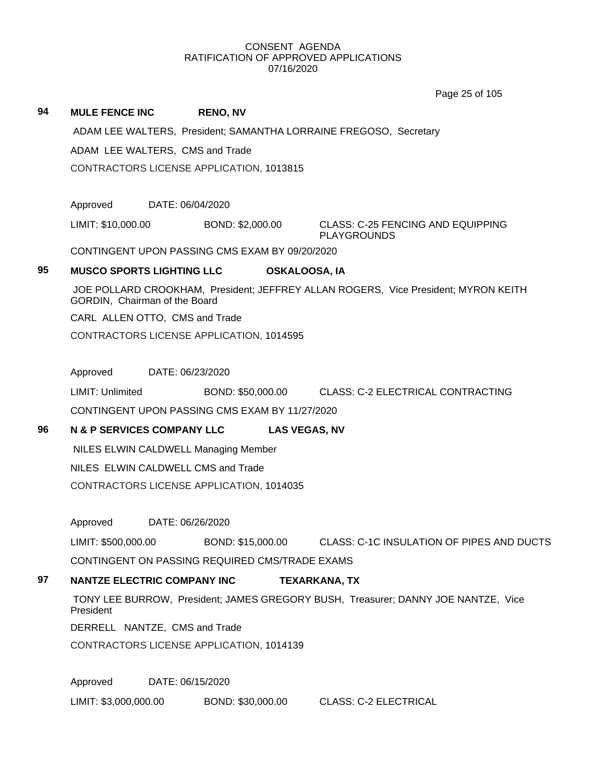Page 25 of 105

|    |                                       |                                                | Page 20 UI TUO                                                                     |
|----|---------------------------------------|------------------------------------------------|------------------------------------------------------------------------------------|
| 94 | <b>MULE FENCE INC</b>                 | <b>RENO, NV</b>                                |                                                                                    |
|    |                                       |                                                | ADAM LEE WALTERS, President; SAMANTHA LORRAINE FREGOSO, Secretary                  |
|    | ADAM LEE WALTERS, CMS and Trade       |                                                |                                                                                    |
|    |                                       | CONTRACTORS LICENSE APPLICATION, 1013815       |                                                                                    |
|    | Approved                              | DATE: 06/04/2020                               |                                                                                    |
|    | LIMIT: \$10,000.00                    | BOND: \$2,000.00                               | <b>CLASS: C-25 FENCING AND EQUIPPING</b><br><b>PLAYGROUNDS</b>                     |
|    |                                       | CONTINGENT UPON PASSING CMS EXAM BY 09/20/2020 |                                                                                    |
| 95 | <b>MUSCO SPORTS LIGHTING LLC</b>      |                                                | <b>OSKALOOSA, IA</b>                                                               |
|    | GORDIN, Chairman of the Board         |                                                | JOE POLLARD CROOKHAM, President; JEFFREY ALLAN ROGERS, Vice President; MYRON KEITH |
|    | CARL ALLEN OTTO, CMS and Trade        |                                                |                                                                                    |
|    |                                       | CONTRACTORS LICENSE APPLICATION, 1014595       |                                                                                    |
|    | Approved                              | DATE: 06/23/2020                               |                                                                                    |
|    | LIMIT: Unlimited                      |                                                | BOND: \$50,000.00 CLASS: C-2 ELECTRICAL CONTRACTING                                |
|    |                                       | CONTINGENT UPON PASSING CMS EXAM BY 11/27/2020 |                                                                                    |
| 96 | <b>N &amp; P SERVICES COMPANY LLC</b> |                                                | <b>LAS VEGAS, NV</b>                                                               |
|    |                                       | NILES ELWIN CALDWELL Managing Member           |                                                                                    |
|    | NILES ELWIN CALDWELL CMS and Trade    |                                                |                                                                                    |
|    |                                       | CONTRACTORS LICENSE APPLICATION, 1014035       |                                                                                    |
|    | Approved                              | DATE: 06/26/2020                               |                                                                                    |
|    | LIMIT: \$500,000.00                   | BOND: \$15,000.00                              | CLASS: C-1C INSULATION OF PIPES AND DUCTS                                          |
|    |                                       | CONTINGENT ON PASSING REQUIRED CMS/TRADE EXAMS |                                                                                    |
| 97 | <b>NANTZE ELECTRIC COMPANY INC</b>    |                                                | <b>TEXARKANA, TX</b>                                                               |

TONY LEE BURROW, President; JAMES GREGORY BUSH, Treasurer; DANNY JOE NANTZE, Vice President

DERRELL NANTZE, CMS and Trade

CONTRACTORS LICENSE APPLICATION, 1014139

Approved DATE: 06/15/2020

LIMIT: \$3,000,000.00 BOND: \$30,000.00 CLASS: C-2 ELECTRICAL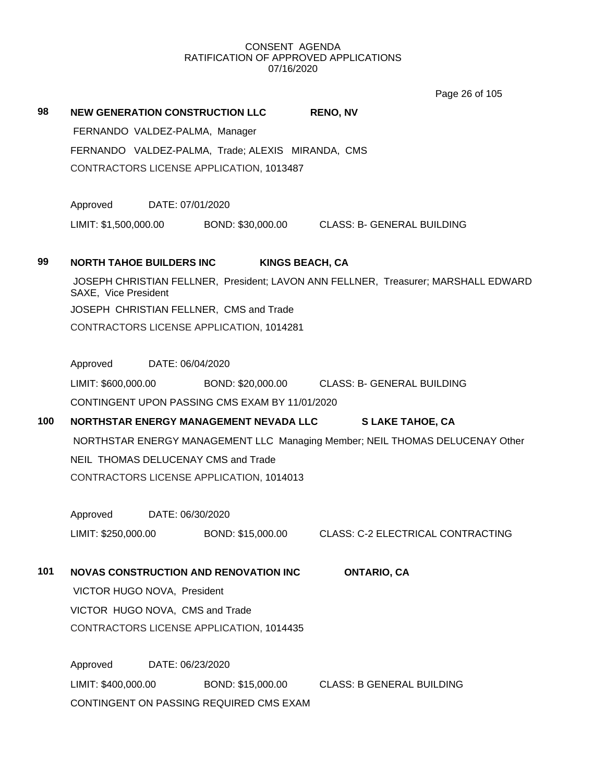Page 26 of 105

| 98  | <b>NEW GENERATION CONSTRUCTION LLC</b><br><b>RENO, NV</b>                                                  |  |  |  |  |  |  |
|-----|------------------------------------------------------------------------------------------------------------|--|--|--|--|--|--|
|     | FERNANDO VALDEZ-PALMA, Manager                                                                             |  |  |  |  |  |  |
|     | FERNANDO VALDEZ-PALMA, Trade; ALEXIS MIRANDA, CMS                                                          |  |  |  |  |  |  |
|     | CONTRACTORS LICENSE APPLICATION, 1013487                                                                   |  |  |  |  |  |  |
|     | Approved<br>DATE: 07/01/2020                                                                               |  |  |  |  |  |  |
|     | LIMIT: \$1,500,000.00 BOND: \$30,000.00 CLASS: B- GENERAL BUILDING                                         |  |  |  |  |  |  |
| 99  | <b>NORTH TAHOE BUILDERS INC</b><br><b>KINGS BEACH, CA</b>                                                  |  |  |  |  |  |  |
|     | JOSEPH CHRISTIAN FELLNER, President; LAVON ANN FELLNER, Treasurer; MARSHALL EDWARD<br>SAXE, Vice President |  |  |  |  |  |  |
|     | JOSEPH CHRISTIAN FELLNER, CMS and Trade                                                                    |  |  |  |  |  |  |
|     | CONTRACTORS LICENSE APPLICATION, 1014281                                                                   |  |  |  |  |  |  |
|     | Approved<br>DATE: 06/04/2020                                                                               |  |  |  |  |  |  |
|     | LIMIT: \$600,000.00<br>BOND: \$20,000.00 CLASS: B- GENERAL BUILDING                                        |  |  |  |  |  |  |
|     | CONTINGENT UPON PASSING CMS EXAM BY 11/01/2020                                                             |  |  |  |  |  |  |
| 100 | NORTHSTAR ENERGY MANAGEMENT NEVADA LLC<br><b>SLAKE TAHOE, CA</b>                                           |  |  |  |  |  |  |
|     | NORTHSTAR ENERGY MANAGEMENT LLC Managing Member; NEIL THOMAS DELUCENAY Other                               |  |  |  |  |  |  |
|     | NEIL THOMAS DELUCENAY CMS and Trade                                                                        |  |  |  |  |  |  |
|     | CONTRACTORS LICENSE APPLICATION, 1014013                                                                   |  |  |  |  |  |  |
|     | Approved DATE: 06/30/2020                                                                                  |  |  |  |  |  |  |
|     | LIMIT: \$250,000.00<br>BOND: \$15,000.00 CLASS: C-2 ELECTRICAL CONTRACTING                                 |  |  |  |  |  |  |
| 101 | <b>NOVAS CONSTRUCTION AND RENOVATION INC</b><br><b>ONTARIO, CA</b>                                         |  |  |  |  |  |  |
|     | VICTOR HUGO NOVA, President                                                                                |  |  |  |  |  |  |
|     | VICTOR HUGO NOVA, CMS and Trade                                                                            |  |  |  |  |  |  |
|     | CONTRACTORS LICENSE APPLICATION, 1014435                                                                   |  |  |  |  |  |  |
|     | Approved<br>DATE: 06/23/2020                                                                               |  |  |  |  |  |  |
|     | LIMIT: \$400,000.00<br><b>CLASS: B GENERAL BUILDING</b><br>BOND: \$15,000.00                               |  |  |  |  |  |  |
|     | CONTINGENT ON PASSING REQUIRED CMS EXAM                                                                    |  |  |  |  |  |  |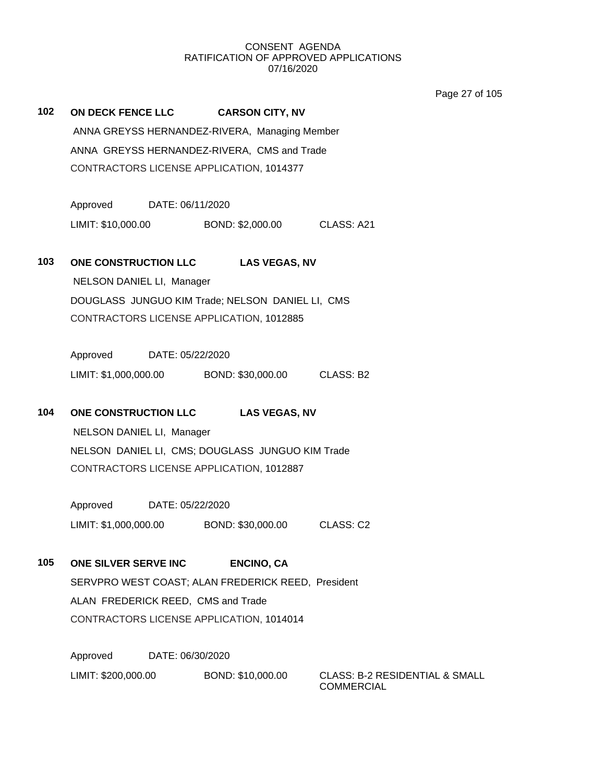Page 27 of 105

**102 ON DECK FENCE LLC CARSON CITY, NV** ANNA GREYSS HERNANDEZ-RIVERA, Managing Member ANNA GREYSS HERNANDEZ-RIVERA, CMS and Trade CONTRACTORS LICENSE APPLICATION, 1014377

> Approved DATE: 06/11/2020 LIMIT: \$10,000.00 BOND: \$2,000.00 CLASS: A21

### **103 ONE CONSTRUCTION LLC LAS VEGAS, NV**

NELSON DANIEL LI, Manager DOUGLASS JUNGUO KIM Trade; NELSON DANIEL LI, CMS CONTRACTORS LICENSE APPLICATION, 1012885

Approved DATE: 05/22/2020 LIMIT: \$1,000,000.00 BOND: \$30,000.00 CLASS: B2

## **104 ONE CONSTRUCTION LLC LAS VEGAS, NV**

NELSON DANIEL LI, Manager NELSON DANIEL LI, CMS; DOUGLASS JUNGUO KIM Trade CONTRACTORS LICENSE APPLICATION, 1012887

Approved DATE: 05/22/2020 LIMIT: \$1,000,000.00 BOND: \$30,000.00 CLASS: C2

**105 ONE SILVER SERVE INC ENCINO, CA** SERVPRO WEST COAST; ALAN FREDERICK REED, President ALAN FREDERICK REED, CMS and Trade CONTRACTORS LICENSE APPLICATION, 1014014

Approved DATE: 06/30/2020 LIMIT: \$200,000.00 BOND: \$10,000.00 CLASS: B-2 RESIDENTIAL & SMALL

**COMMERCIAL**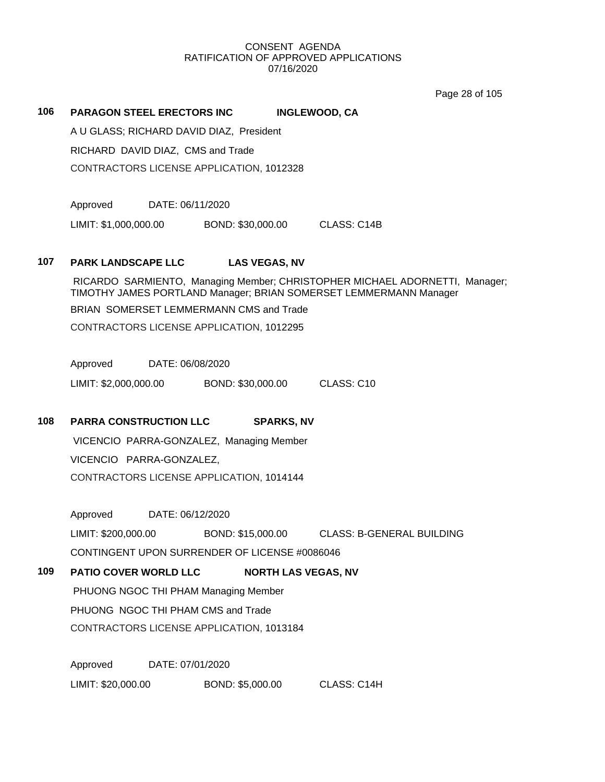Page 28 of 105

## **106 PARAGON STEEL ERECTORS INC INGLEWOOD, CA**

A U GLASS; RICHARD DAVID DIAZ, President

RICHARD DAVID DIAZ, CMS and Trade

CONTRACTORS LICENSE APPLICATION, 1012328

Approved DATE: 06/11/2020

LIMIT: \$1,000,000.00 BOND: \$30,000.00 CLASS: C14B

## **107 PARK LANDSCAPE LLC LAS VEGAS, NV**

RICARDO SARMIENTO, Managing Member; CHRISTOPHER MICHAEL ADORNETTI, Manager; TIMOTHY JAMES PORTLAND Manager; BRIAN SOMERSET LEMMERMANN Manager

BRIAN SOMERSET LEMMERMANN CMS and Trade

CONTRACTORS LICENSE APPLICATION, 1012295

Approved DATE: 06/08/2020

LIMIT: \$2,000,000.00 BOND: \$30,000.00 CLASS: C10

## **108 PARRA CONSTRUCTION LLC SPARKS, NV**

VICENCIO PARRA-GONZALEZ, Managing Member VICENCIO PARRA-GONZALEZ, CONTRACTORS LICENSE APPLICATION, 1014144

Approved DATE: 06/12/2020

LIMIT: \$200,000.00 BOND: \$15,000.00 CLASS: B-GENERAL BUILDING

CONTINGENT UPON SURRENDER OF LICENSE #0086046

**109 PATIO COVER WORLD LLC NORTH LAS VEGAS, NV**

PHUONG NGOC THI PHAM Managing Member

PHUONG NGOC THI PHAM CMS and Trade

CONTRACTORS LICENSE APPLICATION, 1013184

Approved DATE: 07/01/2020 LIMIT: \$20,000.00 BOND: \$5,000.00 CLASS: C14H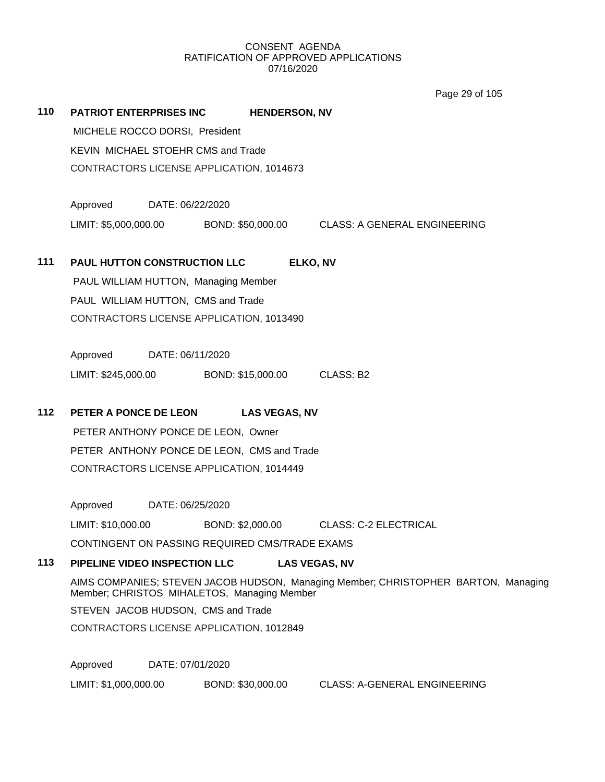Page 29 of 105

|     |                                                                                                                                                                         |                      | ι αγο Ζυ υι τυυ                     |  |
|-----|-------------------------------------------------------------------------------------------------------------------------------------------------------------------------|----------------------|-------------------------------------|--|
| 110 | <b>PATRIOT ENTERPRISES INC</b>                                                                                                                                          | <b>HENDERSON, NV</b> |                                     |  |
|     | MICHELE ROCCO DORSI, President                                                                                                                                          |                      |                                     |  |
|     | KEVIN MICHAEL STOEHR CMS and Trade                                                                                                                                      |                      |                                     |  |
|     | CONTRACTORS LICENSE APPLICATION, 1014673                                                                                                                                |                      |                                     |  |
|     |                                                                                                                                                                         |                      |                                     |  |
|     | Approved<br>DATE: 06/22/2020                                                                                                                                            |                      |                                     |  |
|     | LIMIT: \$5,000,000.00 BOND: \$50,000.00                                                                                                                                 |                      | <b>CLASS: A GENERAL ENGINEERING</b> |  |
|     |                                                                                                                                                                         |                      |                                     |  |
| 111 | PAUL HUTTON CONSTRUCTION LLC                                                                                                                                            | ELKO, NV             |                                     |  |
|     | PAUL WILLIAM HUTTON, Managing Member                                                                                                                                    |                      |                                     |  |
|     | PAUL WILLIAM HUTTON, CMS and Trade                                                                                                                                      |                      |                                     |  |
|     | CONTRACTORS LICENSE APPLICATION, 1013490                                                                                                                                |                      |                                     |  |
|     |                                                                                                                                                                         |                      |                                     |  |
|     | Approved<br>DATE: 06/11/2020                                                                                                                                            |                      |                                     |  |
|     | LIMIT: \$245,000.00                                                                                                                                                     | BOND: \$15,000.00    | CLASS: B2                           |  |
| 112 | PETER A PONCE DE LEON                                                                                                                                                   | <b>LAS VEGAS, NV</b> |                                     |  |
|     |                                                                                                                                                                         |                      |                                     |  |
|     | PETER ANTHONY PONCE DE LEON, Owner<br>PETER ANTHONY PONCE DE LEON, CMS and Trade                                                                                        |                      |                                     |  |
|     | CONTRACTORS LICENSE APPLICATION, 1014449                                                                                                                                |                      |                                     |  |
|     |                                                                                                                                                                         |                      |                                     |  |
|     | Approved<br>DATE: 06/25/2020                                                                                                                                            |                      |                                     |  |
|     | LIMIT: \$10,000.00                                                                                                                                                      | BOND: \$2,000.00     | <b>CLASS: C-2 ELECTRICAL</b>        |  |
|     | CONTINGENT ON PASSING REQUIRED CMS/TRADE EXAMS                                                                                                                          |                      |                                     |  |
| 113 | PIPELINE VIDEO INSPECTION LLC                                                                                                                                           |                      | <b>LAS VEGAS, NV</b>                |  |
|     | AIMS COMPANIES; STEVEN JACOB HUDSON, Managing Member; CHRISTOPHER BARTON, Managing<br>Member; CHRISTOS MIHALETOS, Managing Member<br>STEVEN JACOB HUDSON, CMS and Trade |                      |                                     |  |
|     |                                                                                                                                                                         |                      |                                     |  |
|     | CONTRACTORS LICENSE APPLICATION, 1012849                                                                                                                                |                      |                                     |  |
|     |                                                                                                                                                                         |                      |                                     |  |
|     | Approved<br>DATE: 07/01/2020                                                                                                                                            |                      |                                     |  |
|     | LIMIT: \$1,000,000.00                                                                                                                                                   | BOND: \$30,000.00    | <b>CLASS: A-GENERAL ENGINEERING</b> |  |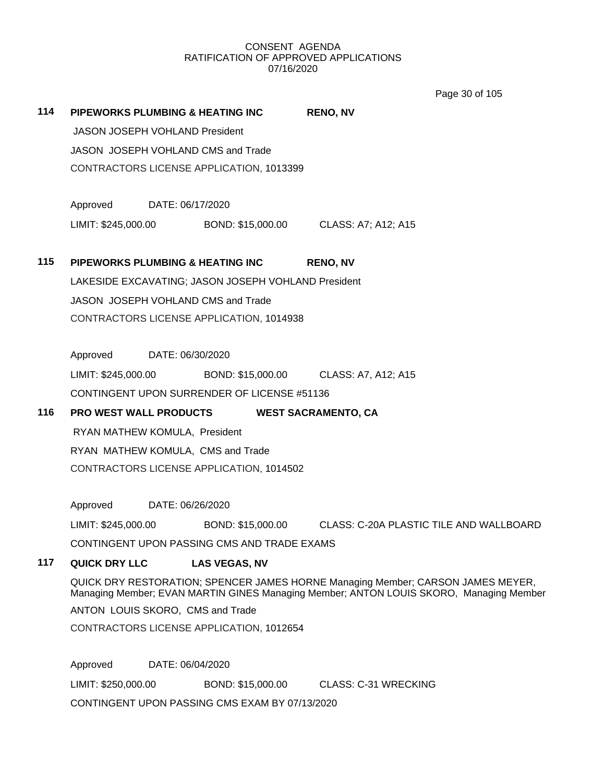Page 30 of 105

| 114 |                                                                                                                                                                           |                                                     | PIPEWORKS PLUMBING & HEATING INC               | <b>RENO, NV</b>                                                               |  |  |
|-----|---------------------------------------------------------------------------------------------------------------------------------------------------------------------------|-----------------------------------------------------|------------------------------------------------|-------------------------------------------------------------------------------|--|--|
|     | JASON JOSEPH VOHLAND President                                                                                                                                            |                                                     |                                                |                                                                               |  |  |
|     |                                                                                                                                                                           | JASON JOSEPH VOHLAND CMS and Trade                  |                                                |                                                                               |  |  |
|     |                                                                                                                                                                           | CONTRACTORS LICENSE APPLICATION, 1013399            |                                                |                                                                               |  |  |
|     | Approved DATE: 06/17/2020                                                                                                                                                 |                                                     |                                                |                                                                               |  |  |
|     |                                                                                                                                                                           |                                                     |                                                | LIMIT: \$245,000.00 BOND: \$15,000.00 CLASS: A7; A12; A15                     |  |  |
| 115 |                                                                                                                                                                           |                                                     | PIPEWORKS PLUMBING & HEATING INC               | <b>RENO, NV</b>                                                               |  |  |
|     |                                                                                                                                                                           | LAKESIDE EXCAVATING; JASON JOSEPH VOHLAND President |                                                |                                                                               |  |  |
|     |                                                                                                                                                                           |                                                     | JASON JOSEPH VOHLAND CMS and Trade             |                                                                               |  |  |
|     |                                                                                                                                                                           | CONTRACTORS LICENSE APPLICATION, 1014938            |                                                |                                                                               |  |  |
|     | Approved DATE: 06/30/2020                                                                                                                                                 |                                                     |                                                |                                                                               |  |  |
|     |                                                                                                                                                                           |                                                     |                                                | LIMIT: \$245,000.00 BOND: \$15,000.00 CLASS: A7, A12; A15                     |  |  |
|     |                                                                                                                                                                           |                                                     | CONTINGENT UPON SURRENDER OF LICENSE #51136    |                                                                               |  |  |
| 116 | <b>PRO WEST WALL PRODUCTS</b>                                                                                                                                             |                                                     |                                                | <b>WEST SACRAMENTO, CA</b>                                                    |  |  |
|     |                                                                                                                                                                           | RYAN MATHEW KOMULA, President                       |                                                |                                                                               |  |  |
|     |                                                                                                                                                                           | RYAN MATHEW KOMULA, CMS and Trade                   |                                                |                                                                               |  |  |
|     |                                                                                                                                                                           | CONTRACTORS LICENSE APPLICATION, 1014502            |                                                |                                                                               |  |  |
|     | Approved DATE: 06/26/2020                                                                                                                                                 |                                                     |                                                |                                                                               |  |  |
|     |                                                                                                                                                                           |                                                     |                                                | LIMIT: \$245,000.00 BOND: \$15,000.00 CLASS: C-20A PLASTIC TILE AND WALLBOARD |  |  |
|     | CONTINGENT UPON PASSING CMS AND TRADE EXAMS                                                                                                                               |                                                     |                                                |                                                                               |  |  |
| 117 | <b>QUICK DRY LLC</b>                                                                                                                                                      |                                                     | <b>LAS VEGAS, NV</b>                           |                                                                               |  |  |
|     | QUICK DRY RESTORATION; SPENCER JAMES HORNE Managing Member; CARSON JAMES MEYER,<br>Managing Member; EVAN MARTIN GINES Managing Member; ANTON LOUIS SKORO, Managing Member |                                                     |                                                |                                                                               |  |  |
|     | ANTON LOUIS SKORO, CMS and Trade                                                                                                                                          |                                                     |                                                |                                                                               |  |  |
|     | CONTRACTORS LICENSE APPLICATION, 1012654                                                                                                                                  |                                                     |                                                |                                                                               |  |  |
|     | Approved                                                                                                                                                                  |                                                     | DATE: 06/04/2020                               |                                                                               |  |  |
|     | LIMIT: \$250,000.00                                                                                                                                                       |                                                     | BOND: \$15,000.00                              | <b>CLASS: C-31 WRECKING</b>                                                   |  |  |
|     |                                                                                                                                                                           |                                                     | CONTINGENT UPON PASSING CMS EXAM BY 07/13/2020 |                                                                               |  |  |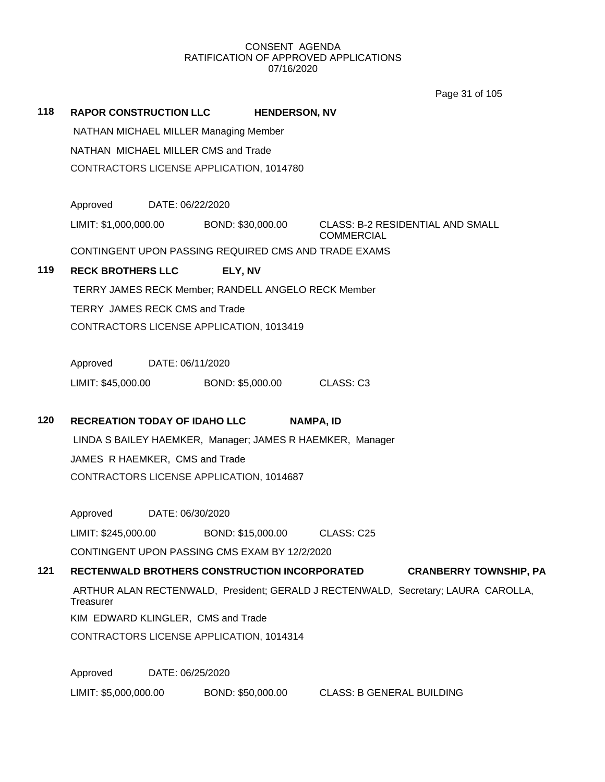Page 31 of 105

| 118 | <b>RAPOR CONSTRUCTION LLC</b><br><b>HENDERSON, NV</b>                                          |                                                              |  |  |
|-----|------------------------------------------------------------------------------------------------|--------------------------------------------------------------|--|--|
|     | NATHAN MICHAEL MILLER Managing Member                                                          |                                                              |  |  |
|     | NATHAN MICHAEL MILLER CMS and Trade                                                            |                                                              |  |  |
|     | CONTRACTORS LICENSE APPLICATION, 1014780                                                       |                                                              |  |  |
|     |                                                                                                |                                                              |  |  |
|     | Approved DATE: 06/22/2020                                                                      |                                                              |  |  |
|     | LIMIT: \$1,000,000.00 BOND: \$30,000.00                                                        | <b>CLASS: B-2 RESIDENTIAL AND SMALL</b><br><b>COMMERCIAL</b> |  |  |
|     | CONTINGENT UPON PASSING REQUIRED CMS AND TRADE EXAMS                                           |                                                              |  |  |
| 119 | <b>RECK BROTHERS LLC</b><br>ELY, NV                                                            |                                                              |  |  |
|     | TERRY JAMES RECK Member; RANDELL ANGELO RECK Member                                            |                                                              |  |  |
|     | <b>TERRY JAMES RECK CMS and Trade</b>                                                          |                                                              |  |  |
|     | CONTRACTORS LICENSE APPLICATION, 1013419                                                       |                                                              |  |  |
|     |                                                                                                |                                                              |  |  |
|     | Approved DATE: 06/11/2020                                                                      |                                                              |  |  |
|     | LIMIT: \$45,000.00 BOND: \$5,000.00 CLASS: C3                                                  |                                                              |  |  |
|     |                                                                                                |                                                              |  |  |
| 120 | <b>RECREATION TODAY OF IDAHO LLC</b><br><b>NAMPA, ID</b>                                       |                                                              |  |  |
|     | LINDA S BAILEY HAEMKER, Manager; JAMES R HAEMKER, Manager                                      |                                                              |  |  |
|     | JAMES R HAEMKER, CMS and Trade                                                                 |                                                              |  |  |
|     | CONTRACTORS LICENSE APPLICATION, 1014687                                                       |                                                              |  |  |
|     |                                                                                                |                                                              |  |  |
|     | Approved DATE: 06/30/2020                                                                      |                                                              |  |  |
|     | LIMIT: \$245,000.00<br>BOND: \$15,000.00                                                       | CLASS: C25                                                   |  |  |
|     | CONTINGENT UPON PASSING CMS EXAM BY 12/2/2020                                                  |                                                              |  |  |
|     |                                                                                                |                                                              |  |  |
| 121 | RECTENWALD BROTHERS CONSTRUCTION INCORPORATED                                                  | <b>CRANBERRY TOWNSHIP, PA</b>                                |  |  |
|     | ARTHUR ALAN RECTENWALD, President; GERALD J RECTENWALD, Secretary; LAURA CAROLLA,<br>Treasurer |                                                              |  |  |
|     | KIM EDWARD KLINGLER, CMS and Trade                                                             |                                                              |  |  |
|     | CONTRACTORS LICENSE APPLICATION, 1014314                                                       |                                                              |  |  |
|     |                                                                                                |                                                              |  |  |
|     | Approved<br>DATE: 06/25/2020                                                                   |                                                              |  |  |
|     | LIMIT: \$5,000,000.00<br>BOND: \$50,000.00                                                     | <b>CLASS: B GENERAL BUILDING</b>                             |  |  |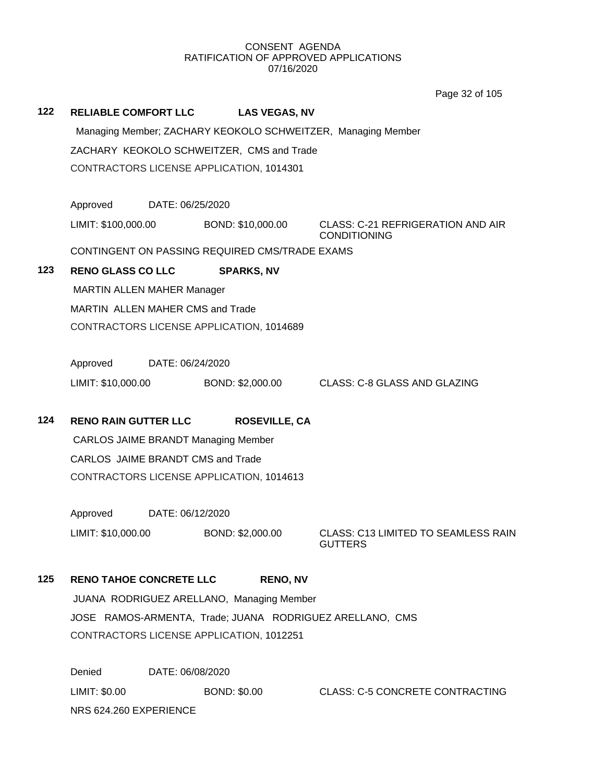Page 32 of 105

|     |                                                              |                                                |                                    | Page 32 of 105                                                  |  |  |
|-----|--------------------------------------------------------------|------------------------------------------------|------------------------------------|-----------------------------------------------------------------|--|--|
| 122 |                                                              |                                                | RELIABLE COMFORT LLC LAS VEGAS, NV |                                                                 |  |  |
|     | Managing Member; ZACHARY KEOKOLO SCHWEITZER, Managing Member |                                                |                                    |                                                                 |  |  |
|     | ZACHARY KEOKOLO SCHWEITZER, CMS and Trade                    |                                                |                                    |                                                                 |  |  |
|     |                                                              | CONTRACTORS LICENSE APPLICATION, 1014301       |                                    |                                                                 |  |  |
|     |                                                              |                                                |                                    |                                                                 |  |  |
|     | Approved                                                     | DATE: 06/25/2020                               |                                    |                                                                 |  |  |
|     | LIMIT: \$100,000.00                                          |                                                | BOND: \$10,000.00                  | <b>CLASS: C-21 REFRIGERATION AND AIR</b><br><b>CONDITIONING</b> |  |  |
|     |                                                              | CONTINGENT ON PASSING REQUIRED CMS/TRADE EXAMS |                                    |                                                                 |  |  |
| 123 | <b>RENO GLASS CO LLC</b>                                     |                                                | <b>SPARKS, NV</b>                  |                                                                 |  |  |
|     | <b>MARTIN ALLEN MAHER Manager</b>                            |                                                |                                    |                                                                 |  |  |
|     |                                                              | MARTIN ALLEN MAHER CMS and Trade               |                                    |                                                                 |  |  |
|     |                                                              | CONTRACTORS LICENSE APPLICATION, 1014689       |                                    |                                                                 |  |  |
|     |                                                              |                                                |                                    |                                                                 |  |  |
|     | Approved                                                     | DATE: 06/24/2020                               |                                    |                                                                 |  |  |
|     | LIMIT: \$10,000.00                                           |                                                | BOND: \$2,000.00                   | CLASS: C-8 GLASS AND GLAZING                                    |  |  |
|     |                                                              |                                                |                                    |                                                                 |  |  |
| 124 | <b>RENO RAIN GUTTER LLC</b>                                  |                                                | <b>ROSEVILLE, CA</b>               |                                                                 |  |  |
|     | <b>CARLOS JAIME BRANDT Managing Member</b>                   |                                                |                                    |                                                                 |  |  |
|     | CARLOS JAIME BRANDT CMS and Trade                            |                                                |                                    |                                                                 |  |  |
|     | CONTRACTORS LICENSE APPLICATION, 1014613                     |                                                |                                    |                                                                 |  |  |
|     | Approved                                                     | DATE: 06/12/2020                               |                                    |                                                                 |  |  |
|     | LIMIT: \$10,000.00                                           |                                                | BOND: \$2,000.00                   | CLASS: C13 LIMITED TO SEAMLESS RAIN                             |  |  |
|     |                                                              |                                                |                                    | <b>GUTTERS</b>                                                  |  |  |
| 125 | <b>RENO TAHOE CONCRETE LLC</b>                               |                                                | <b>RENO, NV</b>                    |                                                                 |  |  |
|     | JUANA RODRIGUEZ ARELLANO, Managing Member                    |                                                |                                    |                                                                 |  |  |
|     | JOSE RAMOS-ARMENTA, Trade; JUANA RODRIGUEZ ARELLANO, CMS     |                                                |                                    |                                                                 |  |  |
|     | CONTRACTORS LICENSE APPLICATION, 1012251                     |                                                |                                    |                                                                 |  |  |
|     |                                                              |                                                |                                    |                                                                 |  |  |
|     | Denied                                                       | DATE: 06/08/2020                               |                                    |                                                                 |  |  |
|     | LIMIT: \$0.00                                                |                                                | <b>BOND: \$0.00</b>                | <b>CLASS: C-5 CONCRETE CONTRACTING</b>                          |  |  |

NRS 624.260 EXPERIENCE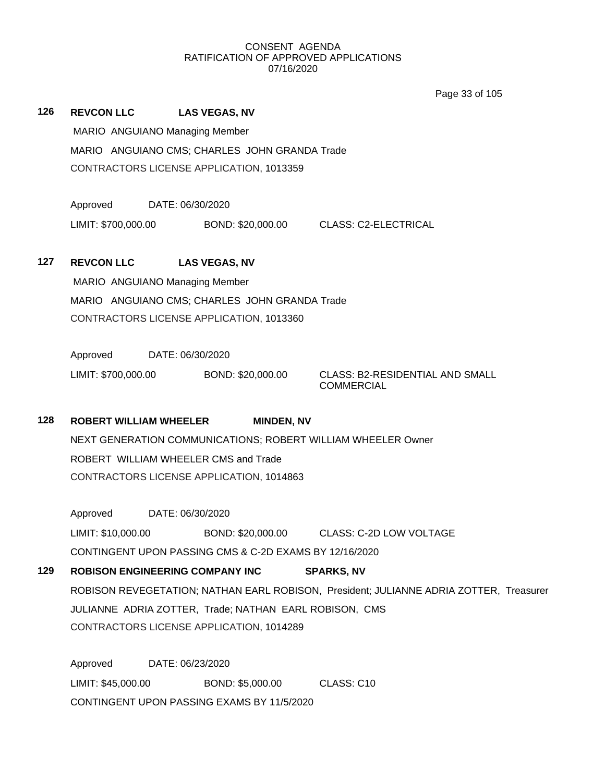Page 33 of 105

| 126 | <b>REVCON LLC</b> | <b>LAS VEGAS, NV</b>                          |  |
|-----|-------------------|-----------------------------------------------|--|
|     |                   | MARIO ANGUIANO Managing Member                |  |
|     |                   | MARIO ANGUIANO CMS; CHARLES JOHN GRANDA Trade |  |
|     |                   | CONTRACTORS LICENSE APPLICATION, 1013359      |  |

Approved DATE: 06/30/2020

LIMIT: \$700,000.00 BOND: \$20,000.00 CLASS: C2-ELECTRICAL

## **127 REVCON LLC LAS VEGAS, NV**

MARIO ANGUIANO Managing Member MARIO ANGUIANO CMS; CHARLES JOHN GRANDA Trade CONTRACTORS LICENSE APPLICATION, 1013360

Approved DATE: 06/30/2020 LIMIT: \$700,000.00 BOND: \$20,000.00 CLASS: B2-RESIDENTIAL AND SMALL

COMMERCIAL

## **128 ROBERT WILLIAM WHEELER MINDEN, NV**

NEXT GENERATION COMMUNICATIONS; ROBERT WILLIAM WHEELER Owner ROBERT WILLIAM WHEELER CMS and Trade CONTRACTORS LICENSE APPLICATION, 1014863

Approved DATE: 06/30/2020 LIMIT: \$10,000.00 BOND: \$20,000.00 CLASS: C-2D LOW VOLTAGE CONTINGENT UPON PASSING CMS & C-2D EXAMS BY 12/16/2020

## **129 ROBISON ENGINEERING COMPANY INC SPARKS, NV** ROBISON REVEGETATION; NATHAN EARL ROBISON, President; JULIANNE ADRIA ZOTTER, Treasurer JULIANNE ADRIA ZOTTER, Trade; NATHAN EARL ROBISON, CMS CONTRACTORS LICENSE APPLICATION, 1014289

Approved DATE: 06/23/2020 LIMIT: \$45,000.00 BOND: \$5,000.00 CLASS: C10 CONTINGENT UPON PASSING EXAMS BY 11/5/2020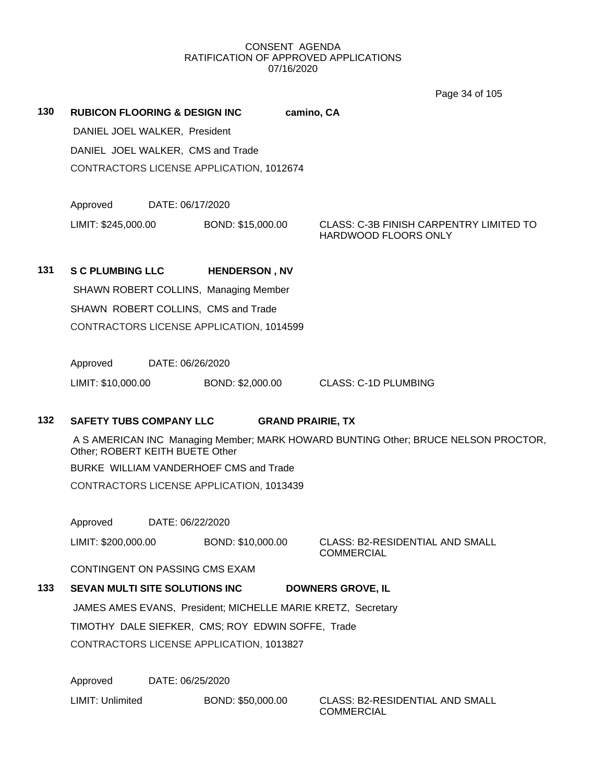Page 34 of 105

| 130 | <b>RUBICON FLOORING &amp; DESIGN INC</b>     |                      | camino, CA                  |                                         |  |
|-----|----------------------------------------------|----------------------|-----------------------------|-----------------------------------------|--|
|     | DANIEL JOEL WALKER, President                |                      |                             |                                         |  |
|     | DANIEL JOEL WALKER, CMS and Trade            |                      |                             |                                         |  |
|     | CONTRACTORS LICENSE APPLICATION, 1012674     |                      |                             |                                         |  |
|     |                                              |                      |                             |                                         |  |
|     | Approved<br>DATE: 06/17/2020                 |                      |                             |                                         |  |
|     | LIMIT: \$245,000.00                          | BOND: \$15,000.00    | <b>HARDWOOD FLOORS ONLY</b> | CLASS: C-3B FINISH CARPENTRY LIMITED TO |  |
|     |                                              |                      |                             |                                         |  |
| 131 | <b>S C PLUMBING LLC</b>                      | <b>HENDERSON, NV</b> |                             |                                         |  |
|     | <b>SHAWN ROBERT COLLINS, Managing Member</b> |                      |                             |                                         |  |
|     | SHAWN ROBERT COLLINS, CMS and Trade          |                      |                             |                                         |  |

CONTRACTORS LICENSE APPLICATION, 1014599

Approved DATE: 06/26/2020

LIMIT: \$10,000.00 BOND: \$2,000.00 CLASS: C-1D PLUMBING

## **132 SAFETY TUBS COMPANY LLC GRAND PRAIRIE, TX**

A S AMERICAN INC Managing Member; MARK HOWARD BUNTING Other; BRUCE NELSON PROCTOR, Other; ROBERT KEITH BUETE Other

BURKE WILLIAM VANDERHOEF CMS and Trade

CONTRACTORS LICENSE APPLICATION, 1013439

Approved DATE: 06/22/2020

LIMIT: \$200,000.00 BOND: \$10,000.00 CLASS: B2-RESIDENTIAL AND SMALL

COMMERCIAL

CONTINGENT ON PASSING CMS EXAM

# **133 SEVAN MULTI SITE SOLUTIONS INC DOWNERS GROVE, IL**

JAMES AMES EVANS, President; MICHELLE MARIE KRETZ, Secretary TIMOTHY DALE SIEFKER, CMS; ROY EDWIN SOFFE, Trade CONTRACTORS LICENSE APPLICATION, 1013827

Approved DATE: 06/25/2020

LIMIT: Unlimited BOND: \$50,000.00 CLASS: B2-RESIDENTIAL AND SMALL

COMMERCIAL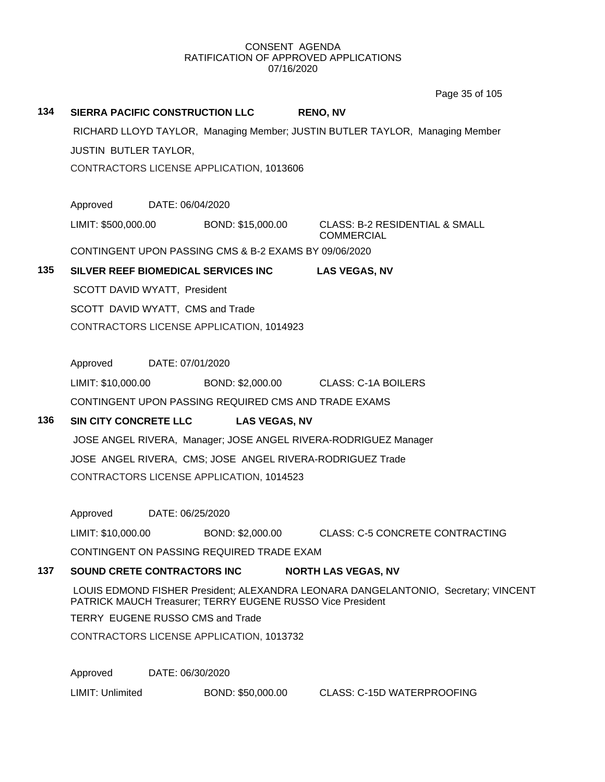Page 35 of 105

| 134 | SIERRA PACIFIC CONSTRUCTION LLC<br><b>RENO, NV</b>                                                                                               |                  |                                                       |                                                                |  |  |  |
|-----|--------------------------------------------------------------------------------------------------------------------------------------------------|------------------|-------------------------------------------------------|----------------------------------------------------------------|--|--|--|
|     | RICHARD LLOYD TAYLOR, Managing Member; JUSTIN BUTLER TAYLOR, Managing Member                                                                     |                  |                                                       |                                                                |  |  |  |
|     | <b>JUSTIN BUTLER TAYLOR,</b>                                                                                                                     |                  |                                                       |                                                                |  |  |  |
|     | CONTRACTORS LICENSE APPLICATION, 1013606                                                                                                         |                  |                                                       |                                                                |  |  |  |
|     |                                                                                                                                                  |                  |                                                       |                                                                |  |  |  |
|     | Approved                                                                                                                                         | DATE: 06/04/2020 |                                                       |                                                                |  |  |  |
|     |                                                                                                                                                  |                  | LIMIT: \$500,000.00 BOND: \$15,000.00                 | <b>CLASS: B-2 RESIDENTIAL &amp; SMALL</b><br><b>COMMERCIAL</b> |  |  |  |
|     |                                                                                                                                                  |                  | CONTINGENT UPON PASSING CMS & B-2 EXAMS BY 09/06/2020 |                                                                |  |  |  |
| 135 |                                                                                                                                                  |                  | SILVER REEF BIOMEDICAL SERVICES INC                   | <b>LAS VEGAS, NV</b>                                           |  |  |  |
|     | SCOTT DAVID WYATT, President                                                                                                                     |                  |                                                       |                                                                |  |  |  |
|     | SCOTT DAVID WYATT, CMS and Trade                                                                                                                 |                  |                                                       |                                                                |  |  |  |
|     |                                                                                                                                                  |                  | CONTRACTORS LICENSE APPLICATION, 1014923              |                                                                |  |  |  |
|     | Approved                                                                                                                                         | DATE: 07/01/2020 |                                                       |                                                                |  |  |  |
|     | LIMIT: \$10,000.00                                                                                                                               |                  | BOND: \$2,000.00                                      | CLASS: C-1A BOILERS                                            |  |  |  |
|     |                                                                                                                                                  |                  | CONTINGENT UPON PASSING REQUIRED CMS AND TRADE EXAMS  |                                                                |  |  |  |
| 136 | <b>SIN CITY CONCRETE LLC</b>                                                                                                                     |                  | <b>LAS VEGAS, NV</b>                                  |                                                                |  |  |  |
|     | JOSE ANGEL RIVERA, Manager; JOSE ANGEL RIVERA-RODRIGUEZ Manager                                                                                  |                  |                                                       |                                                                |  |  |  |
|     | JOSE ANGEL RIVERA, CMS; JOSE ANGEL RIVERA-RODRIGUEZ Trade<br>CONTRACTORS LICENSE APPLICATION, 1014523                                            |                  |                                                       |                                                                |  |  |  |
|     |                                                                                                                                                  |                  |                                                       |                                                                |  |  |  |
|     |                                                                                                                                                  |                  |                                                       |                                                                |  |  |  |
|     | Approved                                                                                                                                         | DATE: 06/25/2020 |                                                       |                                                                |  |  |  |
|     | LIMIT: \$10,000.00                                                                                                                               |                  | BOND: \$2,000.00                                      | <b>CLASS: C-5 CONCRETE CONTRACTING</b>                         |  |  |  |
|     |                                                                                                                                                  |                  | CONTINGENT ON PASSING REQUIRED TRADE EXAM             |                                                                |  |  |  |
| 137 | <b>SOUND CRETE CONTRACTORS INC.</b><br><b>NORTH LAS VEGAS, NV</b>                                                                                |                  |                                                       |                                                                |  |  |  |
|     | LOUIS EDMOND FISHER President; ALEXANDRA LEONARA DANGELANTONIO, Secretary; VINCENT<br>PATRICK MAUCH Treasurer; TERRY EUGENE RUSSO Vice President |                  |                                                       |                                                                |  |  |  |
|     | TERRY EUGENE RUSSO CMS and Trade                                                                                                                 |                  |                                                       |                                                                |  |  |  |
|     | CONTRACTORS LICENSE APPLICATION, 1013732                                                                                                         |                  |                                                       |                                                                |  |  |  |
|     |                                                                                                                                                  |                  |                                                       |                                                                |  |  |  |
|     | Approved                                                                                                                                         | DATE: 06/30/2020 |                                                       |                                                                |  |  |  |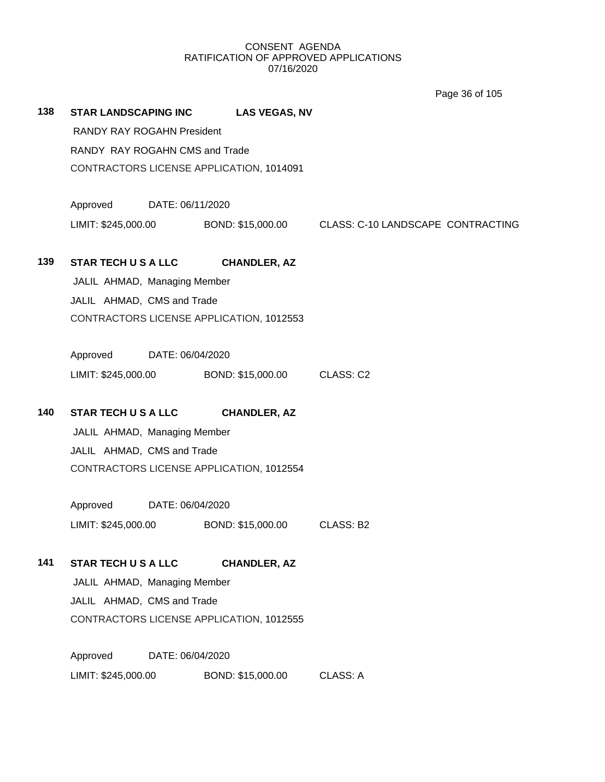Page 36 of 105

| 138 | <b>STAR LANDSCAPING INC</b>       |                                          | <b>LAS VEGAS, NV</b>                            |                                                                         |  |  |  |  |
|-----|-----------------------------------|------------------------------------------|-------------------------------------------------|-------------------------------------------------------------------------|--|--|--|--|
|     | <b>RANDY RAY ROGAHN President</b> |                                          |                                                 |                                                                         |  |  |  |  |
|     |                                   | RANDY RAY ROGAHN CMS and Trade           |                                                 |                                                                         |  |  |  |  |
|     |                                   | CONTRACTORS LICENSE APPLICATION, 1014091 |                                                 |                                                                         |  |  |  |  |
|     | Approved                          | DATE: 06/11/2020                         |                                                 |                                                                         |  |  |  |  |
|     |                                   |                                          |                                                 | LIMIT: \$245,000.00 BOND: \$15,000.00 CLASS: C-10 LANDSCAPE CONTRACTING |  |  |  |  |
| 139 | <b>STAR TECH U S A LLC</b>        |                                          | <b>CHANDLER, AZ</b>                             |                                                                         |  |  |  |  |
|     | JALIL AHMAD, Managing Member      |                                          |                                                 |                                                                         |  |  |  |  |
|     | JALIL AHMAD, CMS and Trade        |                                          |                                                 |                                                                         |  |  |  |  |
|     |                                   |                                          | CONTRACTORS LICENSE APPLICATION, 1012553        |                                                                         |  |  |  |  |
|     |                                   |                                          |                                                 |                                                                         |  |  |  |  |
|     | Approved DATE: 06/04/2020         |                                          |                                                 |                                                                         |  |  |  |  |
|     |                                   |                                          | LIMIT: \$245,000.00 BOND: \$15,000.00 CLASS: C2 |                                                                         |  |  |  |  |
| 140 | <b>STAR TECH U S A LLC</b>        |                                          | <b>CHANDLER, AZ</b>                             |                                                                         |  |  |  |  |
|     | JALIL AHMAD, Managing Member      |                                          |                                                 |                                                                         |  |  |  |  |
|     |                                   | JALIL AHMAD, CMS and Trade               |                                                 |                                                                         |  |  |  |  |
|     |                                   |                                          | CONTRACTORS LICENSE APPLICATION, 1012554        |                                                                         |  |  |  |  |
|     | Approved                          | DATE: 06/04/2020                         |                                                 |                                                                         |  |  |  |  |
|     | LIMIT: \$245,000.00               |                                          | BOND: \$15,000.00                               | CLASS: B2                                                               |  |  |  |  |
| 141 | <b>STAR TECH U S A LLC</b>        |                                          | <b>CHANDLER, AZ</b>                             |                                                                         |  |  |  |  |
|     | JALIL AHMAD, Managing Member      |                                          |                                                 |                                                                         |  |  |  |  |
|     | JALIL AHMAD, CMS and Trade        |                                          |                                                 |                                                                         |  |  |  |  |
|     |                                   |                                          | CONTRACTORS LICENSE APPLICATION, 1012555        |                                                                         |  |  |  |  |
|     | Approved                          | DATE: 06/04/2020                         |                                                 |                                                                         |  |  |  |  |
|     | LIMIT: \$245,000.00               |                                          | BOND: \$15,000.00                               | <b>CLASS: A</b>                                                         |  |  |  |  |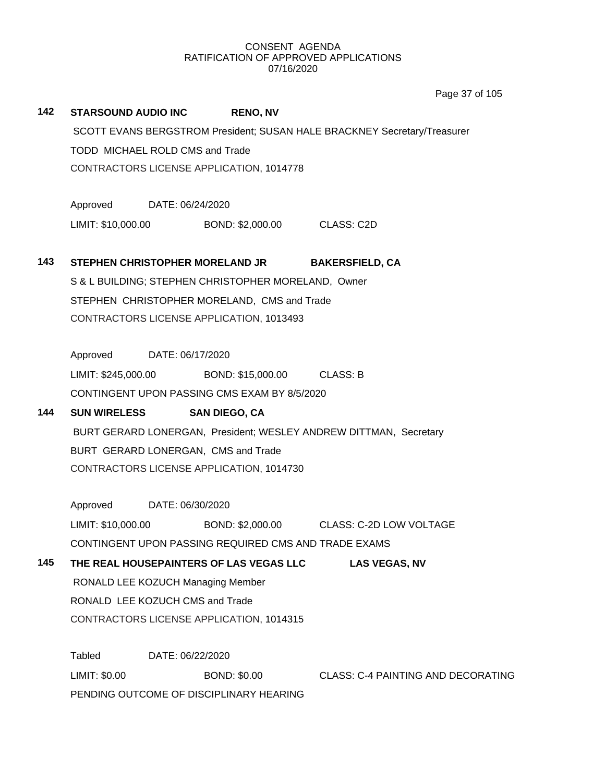Page 37 of 105

| 142                                                                      | <b>STARSOUND AUDIO INC</b>      |                  | <b>RENO, NV</b>                                      |                                                                   |  |
|--------------------------------------------------------------------------|---------------------------------|------------------|------------------------------------------------------|-------------------------------------------------------------------|--|
| SCOTT EVANS BERGSTROM President; SUSAN HALE BRACKNEY Secretary/Treasurer |                                 |                  |                                                      |                                                                   |  |
|                                                                          | TODD MICHAEL ROLD CMS and Trade |                  |                                                      |                                                                   |  |
|                                                                          |                                 |                  | CONTRACTORS LICENSE APPLICATION, 1014778             |                                                                   |  |
|                                                                          | Approved DATE: 06/24/2020       |                  |                                                      |                                                                   |  |
|                                                                          |                                 |                  | LIMIT: \$10,000.00 BOND: \$2,000.00 CLASS: C2D       |                                                                   |  |
| 143                                                                      |                                 |                  | STEPHEN CHRISTOPHER MORELAND JR                      | <b>BAKERSFIELD, CA</b>                                            |  |
|                                                                          |                                 |                  | S & L BUILDING; STEPHEN CHRISTOPHER MORELAND, Owner  |                                                                   |  |
|                                                                          |                                 |                  | STEPHEN CHRISTOPHER MORELAND, CMS and Trade          |                                                                   |  |
|                                                                          |                                 |                  | CONTRACTORS LICENSE APPLICATION, 1013493             |                                                                   |  |
|                                                                          |                                 |                  |                                                      |                                                                   |  |
|                                                                          | Approved DATE: 06/17/2020       |                  |                                                      |                                                                   |  |
|                                                                          |                                 |                  | LIMIT: \$245,000.00 BOND: \$15,000.00 CLASS: B       |                                                                   |  |
|                                                                          |                                 |                  | CONTINGENT UPON PASSING CMS EXAM BY 8/5/2020         |                                                                   |  |
| 144                                                                      | <b>SUN WIRELESS</b>             |                  | <b>SAN DIEGO, CA</b>                                 |                                                                   |  |
|                                                                          |                                 |                  |                                                      | BURT GERARD LONERGAN, President; WESLEY ANDREW DITTMAN, Secretary |  |
|                                                                          |                                 |                  | BURT GERARD LONERGAN, CMS and Trade                  |                                                                   |  |
|                                                                          |                                 |                  | CONTRACTORS LICENSE APPLICATION, 1014730             |                                                                   |  |
|                                                                          | Approved DATE: 06/30/2020       |                  |                                                      |                                                                   |  |
|                                                                          |                                 |                  |                                                      | LIMIT: \$10,000.00 BOND: \$2,000.00 CLASS: C-2D LOW VOLTAGE       |  |
|                                                                          |                                 |                  | CONTINGENT UPON PASSING REQUIRED CMS AND TRADE EXAMS |                                                                   |  |
| 145                                                                      |                                 |                  | THE REAL HOUSEPAINTERS OF LAS VEGAS LLC              | <b>LAS VEGAS, NV</b>                                              |  |
|                                                                          |                                 |                  | RONALD LEE KOZUCH Managing Member                    |                                                                   |  |
|                                                                          | RONALD LEE KOZUCH CMS and Trade |                  |                                                      |                                                                   |  |
|                                                                          |                                 |                  | CONTRACTORS LICENSE APPLICATION, 1014315             |                                                                   |  |
|                                                                          | Tabled                          | DATE: 06/22/2020 |                                                      |                                                                   |  |
|                                                                          | LIMIT: \$0.00                   |                  | <b>BOND: \$0.00</b>                                  | <b>CLASS: C-4 PAINTING AND DECORATING</b>                         |  |
|                                                                          |                                 |                  | PENDING OUTCOME OF DISCIPLINARY HEARING              |                                                                   |  |
|                                                                          |                                 |                  |                                                      |                                                                   |  |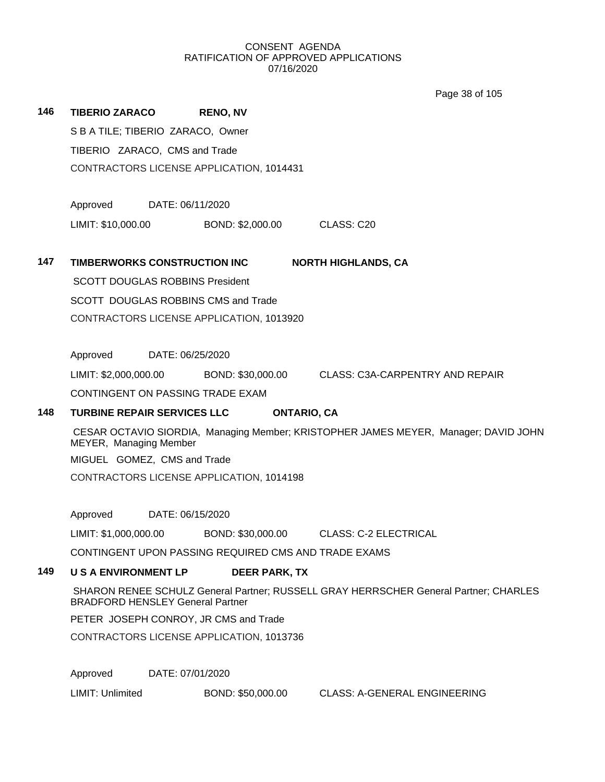Page 38 of 105

| 146 | <b>TIBERIO ZARACO</b>                                                                                                           | <b>RENO, NV</b>             |                                        |  |  |  |  |
|-----|---------------------------------------------------------------------------------------------------------------------------------|-----------------------------|----------------------------------------|--|--|--|--|
|     | S B A TILE; TIBERIO ZARACO, Owner                                                                                               |                             |                                        |  |  |  |  |
|     | TIBERIO ZARACO, CMS and Trade                                                                                                   |                             |                                        |  |  |  |  |
|     | CONTRACTORS LICENSE APPLICATION, 1014431                                                                                        |                             |                                        |  |  |  |  |
|     |                                                                                                                                 |                             |                                        |  |  |  |  |
|     | Approved<br>DATE: 06/11/2020                                                                                                    |                             |                                        |  |  |  |  |
|     | LIMIT: \$10,000.00                                                                                                              | BOND: \$2,000.00 CLASS: C20 |                                        |  |  |  |  |
| 147 | TIMBERWORKS CONSTRUCTION INC                                                                                                    |                             | <b>NORTH HIGHLANDS, CA</b>             |  |  |  |  |
|     | <b>SCOTT DOUGLAS ROBBINS President</b>                                                                                          |                             |                                        |  |  |  |  |
|     | SCOTT DOUGLAS ROBBINS CMS and Trade                                                                                             |                             |                                        |  |  |  |  |
|     | CONTRACTORS LICENSE APPLICATION, 1013920                                                                                        |                             |                                        |  |  |  |  |
|     |                                                                                                                                 |                             |                                        |  |  |  |  |
|     | Approved<br>DATE: 06/25/2020                                                                                                    |                             |                                        |  |  |  |  |
|     | LIMIT: \$2,000,000.00 BOND: \$30,000.00                                                                                         |                             | <b>CLASS: C3A-CARPENTRY AND REPAIR</b> |  |  |  |  |
|     | CONTINGENT ON PASSING TRADE EXAM                                                                                                |                             |                                        |  |  |  |  |
| 148 | <b>ONTARIO, CA</b><br><b>TURBINE REPAIR SERVICES LLC</b>                                                                        |                             |                                        |  |  |  |  |
|     | CESAR OCTAVIO SIORDIA, Managing Member; KRISTOPHER JAMES MEYER, Manager; DAVID JOHN<br>MEYER, Managing Member                   |                             |                                        |  |  |  |  |
|     | MIGUEL GOMEZ, CMS and Trade                                                                                                     |                             |                                        |  |  |  |  |
|     | CONTRACTORS LICENSE APPLICATION, 1014198                                                                                        |                             |                                        |  |  |  |  |
|     |                                                                                                                                 |                             |                                        |  |  |  |  |
|     | Approved<br>DATE: 06/15/2020                                                                                                    |                             |                                        |  |  |  |  |
|     | LIMIT: \$1,000,000.00 BOND: \$30,000.00                                                                                         |                             | <b>CLASS: C-2 ELECTRICAL</b>           |  |  |  |  |
|     | CONTINGENT UPON PASSING REQUIRED CMS AND TRADE EXAMS                                                                            |                             |                                        |  |  |  |  |
| 149 | <b>U S A ENVIRONMENT LP</b>                                                                                                     | <b>DEER PARK, TX</b>        |                                        |  |  |  |  |
|     | SHARON RENEE SCHULZ General Partner; RUSSELL GRAY HERRSCHER General Partner; CHARLES<br><b>BRADFORD HENSLEY General Partner</b> |                             |                                        |  |  |  |  |
|     | PETER JOSEPH CONROY, JR CMS and Trade                                                                                           |                             |                                        |  |  |  |  |
|     | CONTRACTORS LICENSE APPLICATION, 1013736                                                                                        |                             |                                        |  |  |  |  |
|     |                                                                                                                                 |                             |                                        |  |  |  |  |

Approved DATE: 07/01/2020

LIMIT: Unlimited BOND: \$50,000.00 CLASS: A-GENERAL ENGINEERING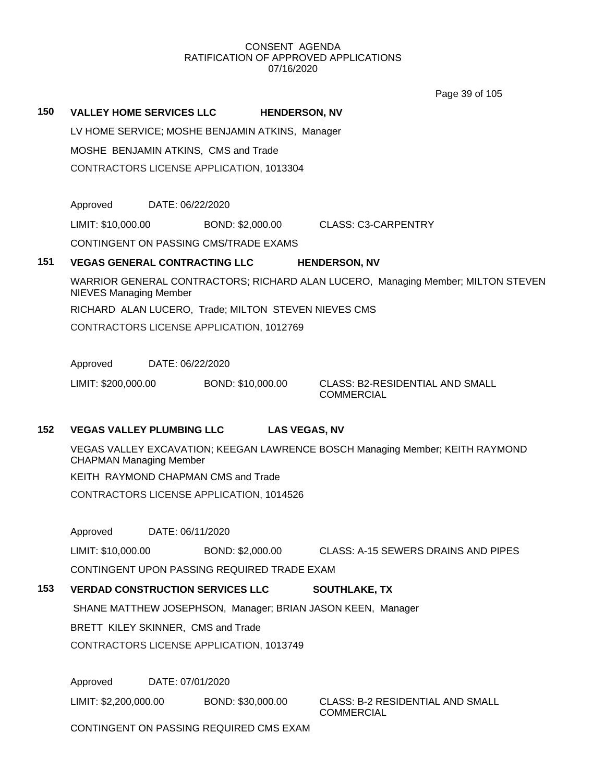|     |                                                                                |                  |                   |                      | Page 39 of 105                                                                   |  |
|-----|--------------------------------------------------------------------------------|------------------|-------------------|----------------------|----------------------------------------------------------------------------------|--|
| 150 | <b>VALLEY HOME SERVICES LLC</b>                                                |                  |                   | <b>HENDERSON, NV</b> |                                                                                  |  |
|     | LV HOME SERVICE; MOSHE BENJAMIN ATKINS, Manager                                |                  |                   |                      |                                                                                  |  |
|     | MOSHE BENJAMIN ATKINS, CMS and Trade                                           |                  |                   |                      |                                                                                  |  |
|     | CONTRACTORS LICENSE APPLICATION, 1013304                                       |                  |                   |                      |                                                                                  |  |
|     |                                                                                |                  |                   |                      |                                                                                  |  |
|     | Approved                                                                       | DATE: 06/22/2020 |                   |                      |                                                                                  |  |
|     | LIMIT: \$10,000.00                                                             |                  | BOND: \$2,000.00  |                      | <b>CLASS: C3-CARPENTRY</b>                                                       |  |
|     | CONTINGENT ON PASSING CMS/TRADE EXAMS                                          |                  |                   |                      |                                                                                  |  |
| 151 | <b>VEGAS GENERAL CONTRACTING LLC</b>                                           |                  |                   |                      | <b>HENDERSON, NV</b>                                                             |  |
|     | <b>NIEVES Managing Member</b>                                                  |                  |                   |                      | WARRIOR GENERAL CONTRACTORS; RICHARD ALAN LUCERO, Managing Member; MILTON STEVEN |  |
|     | RICHARD ALAN LUCERO, Trade; MILTON STEVEN NIEVES CMS                           |                  |                   |                      |                                                                                  |  |
|     | CONTRACTORS LICENSE APPLICATION, 1012769                                       |                  |                   |                      |                                                                                  |  |
|     |                                                                                |                  |                   |                      |                                                                                  |  |
|     | Approved                                                                       | DATE: 06/22/2020 |                   |                      |                                                                                  |  |
|     | LIMIT: \$200,000.00                                                            |                  | BOND: \$10,000.00 |                      | <b>CLASS: B2-RESIDENTIAL AND SMALL</b><br><b>COMMERCIAL</b>                      |  |
|     |                                                                                |                  |                   |                      |                                                                                  |  |
| 152 | <b>VEGAS VALLEY PLUMBING LLC</b>                                               |                  |                   | <b>LAS VEGAS, NV</b> |                                                                                  |  |
|     | <b>CHAPMAN Managing Member</b>                                                 |                  |                   |                      | VEGAS VALLEY EXCAVATION; KEEGAN LAWRENCE BOSCH Managing Member; KEITH RAYMOND    |  |
|     | KEITH RAYMOND CHAPMAN CMS and Trade                                            |                  |                   |                      |                                                                                  |  |
|     | CONTRACTORS LICENSE APPLICATION, 1014526                                       |                  |                   |                      |                                                                                  |  |
|     |                                                                                |                  |                   |                      |                                                                                  |  |
|     | Approved                                                                       | DATE: 06/11/2020 |                   |                      |                                                                                  |  |
|     | LIMIT: \$10,000.00                                                             |                  | BOND: \$2,000.00  |                      | <b>CLASS: A-15 SEWERS DRAINS AND PIPES</b>                                       |  |
|     | CONTINGENT UPON PASSING REQUIRED TRADE EXAM                                    |                  |                   |                      |                                                                                  |  |
| 153 | <b>VERDAD CONSTRUCTION SERVICES LLC</b>                                        |                  |                   |                      | <b>SOUTHLAKE, TX</b>                                                             |  |
|     | SHANE MATTHEW JOSEPHSON, Manager; BRIAN JASON KEEN, Manager                    |                  |                   |                      |                                                                                  |  |
|     | BRETT KILEY SKINNER, CMS and Trade<br>CONTRACTORS LICENSE APPLICATION, 1013749 |                  |                   |                      |                                                                                  |  |
|     |                                                                                |                  |                   |                      |                                                                                  |  |
|     | Approved                                                                       | DATE: 07/01/2020 |                   |                      |                                                                                  |  |
|     | LIMIT: \$2,200,000.00 BOND: \$30,000.00                                        |                  |                   |                      | <b>CLASS: B-2 RESIDENTIAL AND SMALL</b><br><b>COMMERCIAL</b>                     |  |
|     | CONTINGENT ON PASSING REQUIRED CMS EXAM                                        |                  |                   |                      |                                                                                  |  |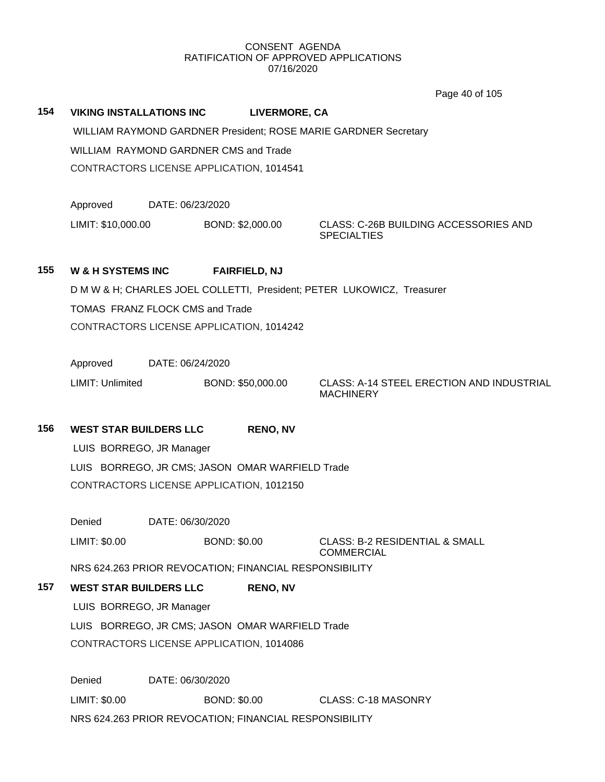Page 40 of 105

**154 VIKING INSTALLATIONS INC LIVERMORE, CA** WILLIAM RAYMOND GARDNER President; ROSE MARIE GARDNER Secretary WILLIAM RAYMOND GARDNER CMS and Trade CONTRACTORS LICENSE APPLICATION, 1014541

Approved DATE: 06/23/2020

LIMIT: \$10,000.00 BOND: \$2,000.00 CLASS: C-26B BUILDING ACCESSORIES AND **SPECIALTIES** 

## **155 W & H SYSTEMS INC FAIRFIELD, NJ**

D M W & H; CHARLES JOEL COLLETTI, President; PETER LUKOWICZ, Treasurer

TOMAS FRANZ FLOCK CMS and Trade

CONTRACTORS LICENSE APPLICATION, 1014242

Approved DATE: 06/24/2020

LIMIT: Unlimited BOND: \$50,000.00 CLASS: A-14 STEEL ERECTION AND INDUSTRIAL **MACHINERY** 

## **156 WEST STAR BUILDERS LLC RENO, NV**

LUIS BORREGO, JR Manager LUIS BORREGO, JR CMS; JASON OMAR WARFIELD Trade CONTRACTORS LICENSE APPLICATION, 1012150

Denied DATE: 06/30/2020

LIMIT: \$0.00 BOND: \$0.00 CLASS: B-2 RESIDENTIAL & SMALL

COMMERCIAL

NRS 624.263 PRIOR REVOCATION; FINANCIAL RESPONSIBILITY

## **157 WEST STAR BUILDERS LLC RENO, NV**

LUIS BORREGO, JR Manager LUIS BORREGO, JR CMS; JASON OMAR WARFIELD Trade CONTRACTORS LICENSE APPLICATION, 1014086

Denied DATE: 06/30/2020 LIMIT: \$0.00 BOND: \$0.00 CLASS: C-18 MASONRY NRS 624.263 PRIOR REVOCATION; FINANCIAL RESPONSIBILITY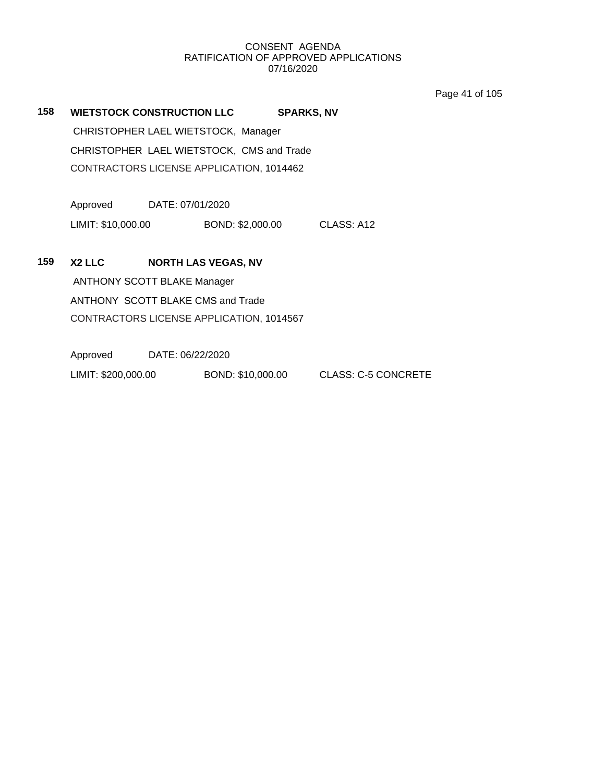Page 41 of 105

| 158 | <b>WIETSTOCK CONSTRUCTION LLC</b>  |                  |                                           | <b>SPARKS, NV</b> |            |
|-----|------------------------------------|------------------|-------------------------------------------|-------------------|------------|
|     |                                    |                  | CHRISTOPHER LAEL WIETSTOCK, Manager       |                   |            |
|     |                                    |                  | CHRISTOPHER LAEL WIETSTOCK, CMS and Trade |                   |            |
|     |                                    |                  | CONTRACTORS LICENSE APPLICATION, 1014462  |                   |            |
|     |                                    |                  |                                           |                   |            |
|     | Approved                           | DATE: 07/01/2020 |                                           |                   |            |
|     | LIMIT: \$10,000.00                 |                  | BOND: \$2,000.00                          |                   | CLASS: A12 |
|     |                                    |                  |                                           |                   |            |
| 159 | X <sub>2</sub> LLC                 |                  | <b>NORTH LAS VEGAS, NV</b>                |                   |            |
|     | <b>ANTHONY SCOTT BLAKE Manager</b> |                  |                                           |                   |            |
|     | ANTHONY SCOTT BLAKE CMS and Trade  |                  |                                           |                   |            |
|     |                                    |                  | CONTRACTORS LICENSE APPLICATION, 1014567  |                   |            |
|     |                                    |                  |                                           |                   |            |
|     | Approved                           | DATE: 06/22/2020 |                                           |                   |            |

LIMIT: \$200,000.00 BOND: \$10,000.00 CLASS: C-5 CONCRETE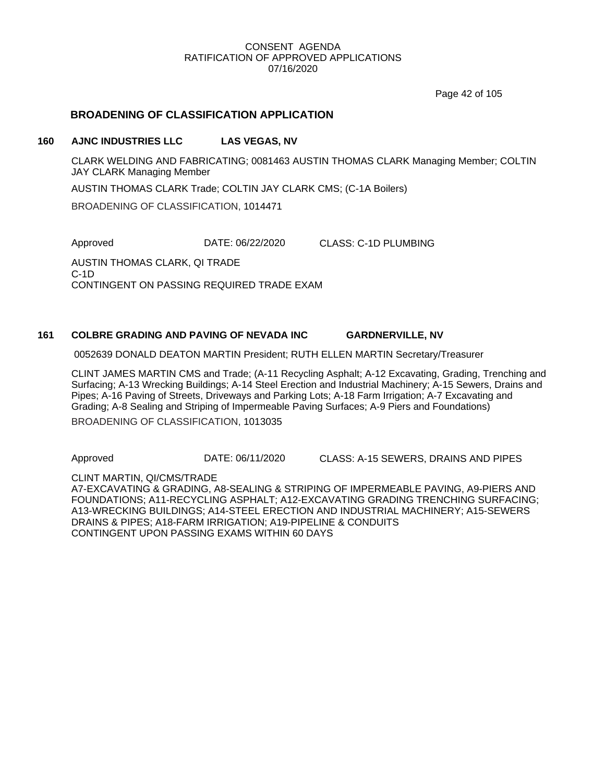Page 42 of 105

## **BROADENING OF CLASSIFICATION APPLICATION**

#### **160 AJNC INDUSTRIES LLC LAS VEGAS, NV**

CLARK WELDING AND FABRICATING; 0081463 AUSTIN THOMAS CLARK Managing Member; COLTIN JAY CLARK Managing Member

AUSTIN THOMAS CLARK Trade; COLTIN JAY CLARK CMS; (C-1A Boilers)

BROADENING OF CLASSIFICATION, 1014471

Approved DATE: 06/22/2020 CLASS: C-1D PLUMBING

AUSTIN THOMAS CLARK, QI TRADE C-1D CONTINGENT ON PASSING REQUIRED TRADE EXAM

#### **161 COLBRE GRADING AND PAVING OF NEVADA INC GARDNERVILLE, NV**

0052639 DONALD DEATON MARTIN President; RUTH ELLEN MARTIN Secretary/Treasurer

CLINT JAMES MARTIN CMS and Trade; (A-11 Recycling Asphalt; A-12 Excavating, Grading, Trenching and Surfacing; A-13 Wrecking Buildings; A-14 Steel Erection and Industrial Machinery; A-15 Sewers, Drains and Pipes; A-16 Paving of Streets, Driveways and Parking Lots; A-18 Farm Irrigation; A-7 Excavating and Grading; A-8 Sealing and Striping of Impermeable Paving Surfaces; A-9 Piers and Foundations) BROADENING OF CLASSIFICATION, 1013035

Approved DATE: 06/11/2020 CLASS: A-15 SEWERS, DRAINS AND PIPES

CLINT MARTIN, QI/CMS/TRADE A7-EXCAVATING & GRADING, A8-SEALING & STRIPING OF IMPERMEABLE PAVING, A9-PIERS AND FOUNDATIONS; A11-RECYCLING ASPHALT; A12-EXCAVATING GRADING TRENCHING SURFACING; A13-WRECKING BUILDINGS; A14-STEEL ERECTION AND INDUSTRIAL MACHINERY; A15-SEWERS DRAINS & PIPES; A18-FARM IRRIGATION; A19-PIPELINE & CONDUITS CONTINGENT UPON PASSING EXAMS WITHIN 60 DAYS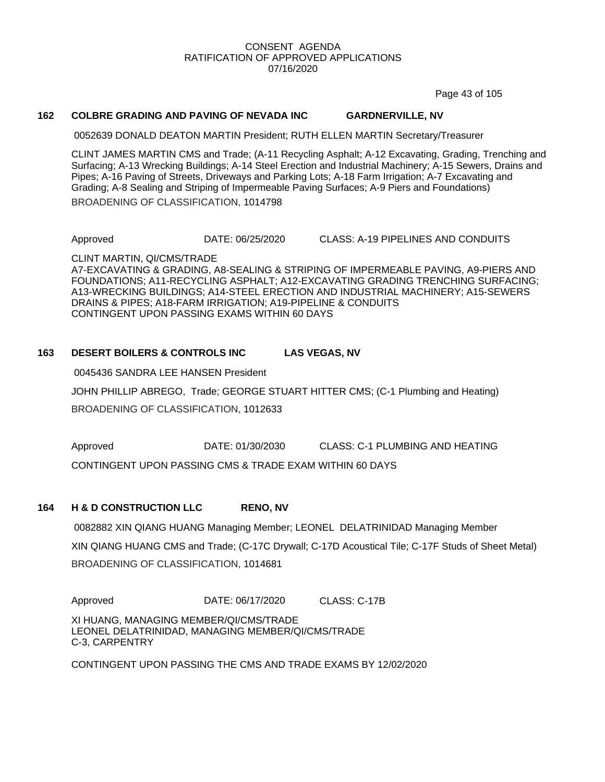Page 43 of 105

#### **162 COLBRE GRADING AND PAVING OF NEVADA INC GARDNERVILLE, NV**

0052639 DONALD DEATON MARTIN President; RUTH ELLEN MARTIN Secretary/Treasurer

CLINT JAMES MARTIN CMS and Trade; (A-11 Recycling Asphalt; A-12 Excavating, Grading, Trenching and Surfacing; A-13 Wrecking Buildings; A-14 Steel Erection and Industrial Machinery; A-15 Sewers, Drains and Pipes; A-16 Paving of Streets, Driveways and Parking Lots; A-18 Farm Irrigation; A-7 Excavating and Grading; A-8 Sealing and Striping of Impermeable Paving Surfaces; A-9 Piers and Foundations)

BROADENING OF CLASSIFICATION, 1014798

Approved DATE: 06/25/2020 CLASS: A-19 PIPELINES AND CONDUITS

CLINT MARTIN, QI/CMS/TRADE A7-EXCAVATING & GRADING, A8-SEALING & STRIPING OF IMPERMEABLE PAVING, A9-PIERS AND FOUNDATIONS; A11-RECYCLING ASPHALT; A12-EXCAVATING GRADING TRENCHING SURFACING; A13-WRECKING BUILDINGS; A14-STEEL ERECTION AND INDUSTRIAL MACHINERY; A15-SEWERS DRAINS & PIPES; A18-FARM IRRIGATION; A19-PIPELINE & CONDUITS CONTINGENT UPON PASSING EXAMS WITHIN 60 DAYS

## **163 DESERT BOILERS & CONTROLS INC LAS VEGAS, NV**

0045436 SANDRA LEE HANSEN President

JOHN PHILLIP ABREGO, Trade; GEORGE STUART HITTER CMS; (C-1 Plumbing and Heating) BROADENING OF CLASSIFICATION, 1012633

Approved DATE: 01/30/2030 CLASS: C-1 PLUMBING AND HEATING

CONTINGENT UPON PASSING CMS & TRADE EXAM WITHIN 60 DAYS

## **164 H & D CONSTRUCTION LLC RENO, NV**

0082882 XIN QIANG HUANG Managing Member; LEONEL DELATRINIDAD Managing Member XIN QIANG HUANG CMS and Trade; (C-17C Drywall; C-17D Acoustical Tile; C-17F Studs of Sheet Metal) BROADENING OF CLASSIFICATION, 1014681

Approved DATE: 06/17/2020 CLASS: C-17B

XI HUANG, MANAGING MEMBER/QI/CMS/TRADE LEONEL DELATRINIDAD, MANAGING MEMBER/QI/CMS/TRADE C-3, CARPENTRY

CONTINGENT UPON PASSING THE CMS AND TRADE EXAMS BY 12/02/2020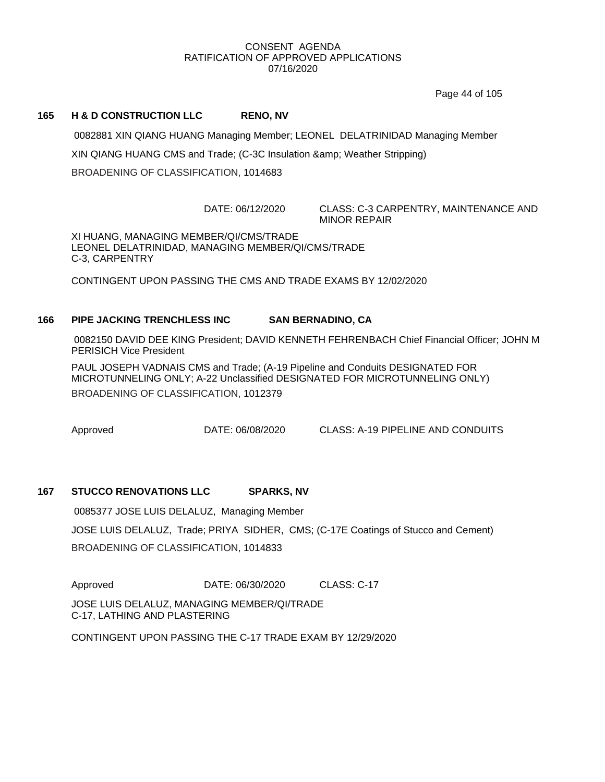Page 44 of 105

## **165 H & D CONSTRUCTION LLC RENO, NV**

0082881 XIN QIANG HUANG Managing Member; LEONEL DELATRINIDAD Managing Member XIN QIANG HUANG CMS and Trade; (C-3C Insulation & amp; Weather Stripping) BROADENING OF CLASSIFICATION, 1014683

DATE: 06/12/2020 CLASS: C-3 CARPENTRY, MAINTENANCE AND MINOR REPAIR

XI HUANG, MANAGING MEMBER/QI/CMS/TRADE LEONEL DELATRINIDAD, MANAGING MEMBER/QI/CMS/TRADE C-3, CARPENTRY

CONTINGENT UPON PASSING THE CMS AND TRADE EXAMS BY 12/02/2020

## **166 PIPE JACKING TRENCHLESS INC SAN BERNADINO, CA**

0082150 DAVID DEE KING President; DAVID KENNETH FEHRENBACH Chief Financial Officer; JOHN M PERISICH Vice President

PAUL JOSEPH VADNAIS CMS and Trade; (A-19 Pipeline and Conduits DESIGNATED FOR MICROTUNNELING ONLY; A-22 Unclassified DESIGNATED FOR MICROTUNNELING ONLY) BROADENING OF CLASSIFICATION, 1012379

Approved DATE: 06/08/2020 CLASS: A-19 PIPELINE AND CONDUITS

## **167 STUCCO RENOVATIONS LLC SPARKS, NV**

0085377 JOSE LUIS DELALUZ, Managing Member

JOSE LUIS DELALUZ, Trade; PRIYA SIDHER, CMS; (C-17E Coatings of Stucco and Cement) BROADENING OF CLASSIFICATION, 1014833

Approved DATE: 06/30/2020 CLASS: C-17

JOSE LUIS DELALUZ, MANAGING MEMBER/QI/TRADE C-17, LATHING AND PLASTERING

CONTINGENT UPON PASSING THE C-17 TRADE EXAM BY 12/29/2020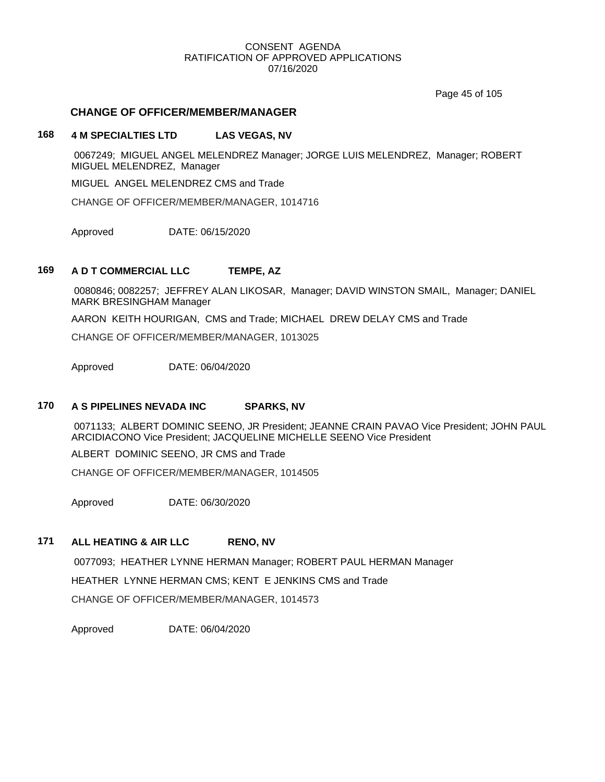Page 45 of 105

## **CHANGE OF OFFICER/MEMBER/MANAGER**

## **168 4 M SPECIALTIES LTD LAS VEGAS, NV**

0067249; MIGUEL ANGEL MELENDREZ Manager; JORGE LUIS MELENDREZ, Manager; ROBERT MIGUEL MELENDREZ, Manager

MIGUEL ANGEL MELENDREZ CMS and Trade

CHANGE OF OFFICER/MEMBER/MANAGER, 1014716

Approved DATE: 06/15/2020

## **169 A D T COMMERCIAL LLC TEMPE, AZ**

0080846; 0082257; JEFFREY ALAN LIKOSAR, Manager; DAVID WINSTON SMAIL, Manager; DANIEL MARK BRESINGHAM Manager

AARON KEITH HOURIGAN, CMS and Trade; MICHAEL DREW DELAY CMS and Trade

CHANGE OF OFFICER/MEMBER/MANAGER, 1013025

Approved DATE: 06/04/2020

## **170 A S PIPELINES NEVADA INC SPARKS, NV**

0071133; ALBERT DOMINIC SEENO, JR President; JEANNE CRAIN PAVAO Vice President; JOHN PAUL ARCIDIACONO Vice President; JACQUELINE MICHELLE SEENO Vice President

ALBERT DOMINIC SEENO, JR CMS and Trade

CHANGE OF OFFICER/MEMBER/MANAGER, 1014505

Approved DATE: 06/30/2020

## **171 ALL HEATING & AIR LLC RENO, NV**

0077093; HEATHER LYNNE HERMAN Manager; ROBERT PAUL HERMAN Manager HEATHER LYNNE HERMAN CMS; KENT E JENKINS CMS and Trade CHANGE OF OFFICER/MEMBER/MANAGER, 1014573

Approved DATE: 06/04/2020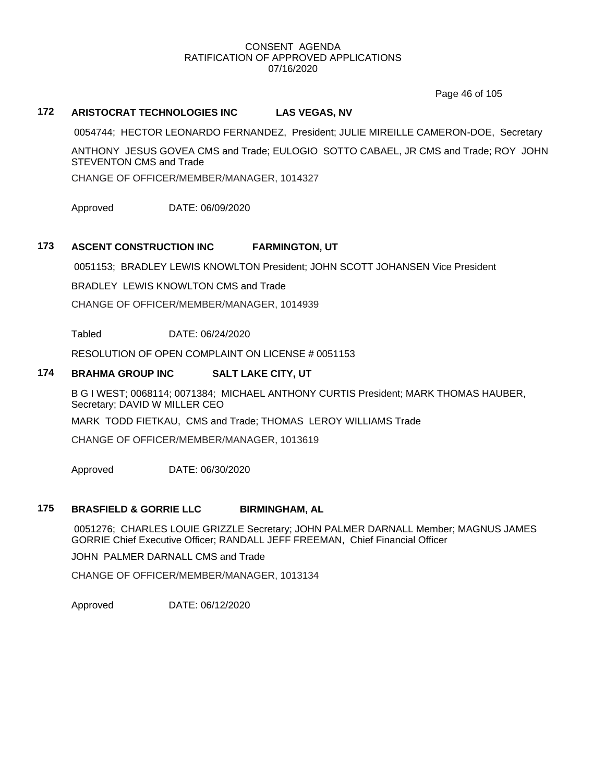Page 46 of 105

## **172 ARISTOCRAT TECHNOLOGIES INC LAS VEGAS, NV**

0054744; HECTOR LEONARDO FERNANDEZ, President; JULIE MIREILLE CAMERON-DOE, Secretary

ANTHONY JESUS GOVEA CMS and Trade; EULOGIO SOTTO CABAEL, JR CMS and Trade; ROY JOHN STEVENTON CMS and Trade

CHANGE OF OFFICER/MEMBER/MANAGER, 1014327

Approved DATE: 06/09/2020

## **173 ASCENT CONSTRUCTION INC FARMINGTON, UT**

0051153; BRADLEY LEWIS KNOWLTON President; JOHN SCOTT JOHANSEN Vice President

BRADLEY LEWIS KNOWLTON CMS and Trade

CHANGE OF OFFICER/MEMBER/MANAGER, 1014939

Tabled DATE: 06/24/2020

RESOLUTION OF OPEN COMPLAINT ON LICENSE # 0051153

## **174 BRAHMA GROUP INC SALT LAKE CITY, UT**

B G I WEST; 0068114; 0071384; MICHAEL ANTHONY CURTIS President; MARK THOMAS HAUBER, Secretary; DAVID W MILLER CEO

MARK TODD FIETKAU, CMS and Trade; THOMAS LEROY WILLIAMS Trade

CHANGE OF OFFICER/MEMBER/MANAGER, 1013619

Approved DATE: 06/30/2020

#### **175 BRASFIELD & GORRIE LLC BIRMINGHAM, AL**

0051276; CHARLES LOUIE GRIZZLE Secretary; JOHN PALMER DARNALL Member; MAGNUS JAMES GORRIE Chief Executive Officer; RANDALL JEFF FREEMAN, Chief Financial Officer

JOHN PALMER DARNALL CMS and Trade

CHANGE OF OFFICER/MEMBER/MANAGER, 1013134

Approved DATE: 06/12/2020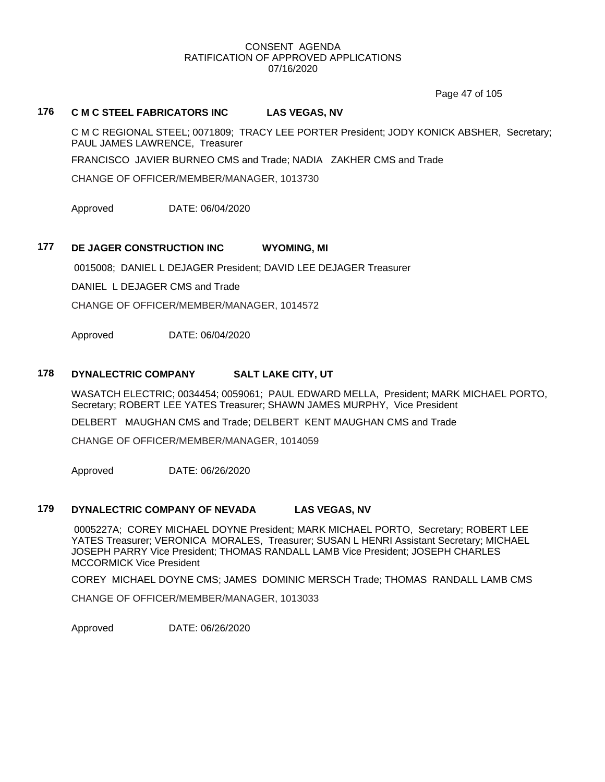Page 47 of 105

## **176 C M C STEEL FABRICATORS INC LAS VEGAS, NV**

C M C REGIONAL STEEL; 0071809; TRACY LEE PORTER President; JODY KONICK ABSHER, Secretary; PAUL JAMES LAWRENCE, Treasurer

FRANCISCO JAVIER BURNEO CMS and Trade; NADIA ZAKHER CMS and Trade

CHANGE OF OFFICER/MEMBER/MANAGER, 1013730

Approved DATE: 06/04/2020

## **177 DE JAGER CONSTRUCTION INC WYOMING, MI**

0015008; DANIEL L DEJAGER President; DAVID LEE DEJAGER Treasurer

DANIEL L DEJAGER CMS and Trade

CHANGE OF OFFICER/MEMBER/MANAGER, 1014572

Approved DATE: 06/04/2020

## **178 DYNALECTRIC COMPANY SALT LAKE CITY, UT**

WASATCH ELECTRIC; 0034454; 0059061; PAUL EDWARD MELLA, President; MARK MICHAEL PORTO, Secretary; ROBERT LEE YATES Treasurer; SHAWN JAMES MURPHY, Vice President

DELBERT MAUGHAN CMS and Trade; DELBERT KENT MAUGHAN CMS and Trade

CHANGE OF OFFICER/MEMBER/MANAGER, 1014059

Approved DATE: 06/26/2020

#### **179 DYNALECTRIC COMPANY OF NEVADA LAS VEGAS, NV**

0005227A; COREY MICHAEL DOYNE President; MARK MICHAEL PORTO, Secretary; ROBERT LEE YATES Treasurer; VERONICA MORALES, Treasurer; SUSAN L HENRI Assistant Secretary; MICHAEL JOSEPH PARRY Vice President; THOMAS RANDALL LAMB Vice President; JOSEPH CHARLES MCCORMICK Vice President

COREY MICHAEL DOYNE CMS; JAMES DOMINIC MERSCH Trade; THOMAS RANDALL LAMB CMS

CHANGE OF OFFICER/MEMBER/MANAGER, 1013033

Approved DATE: 06/26/2020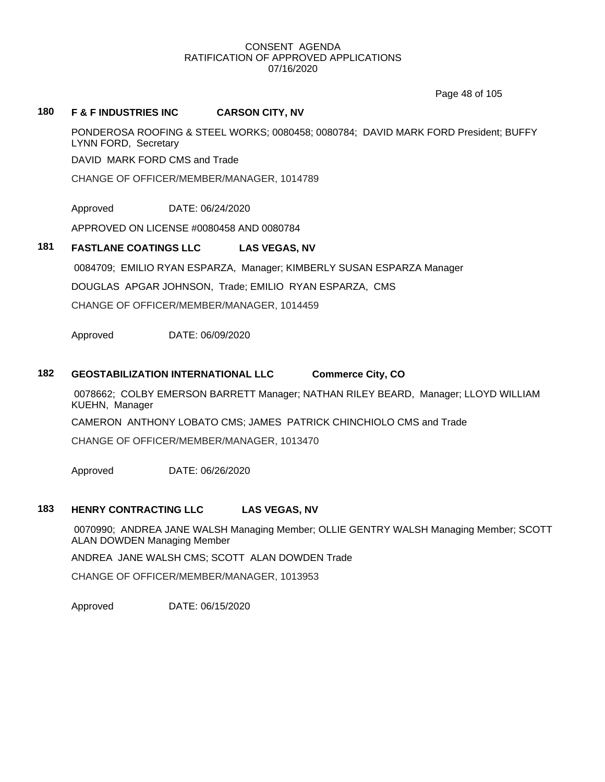Page 48 of 105

## **180 F & F INDUSTRIES INC CARSON CITY, NV**

PONDEROSA ROOFING & STEEL WORKS; 0080458; 0080784; DAVID MARK FORD President; BUFFY LYNN FORD, Secretary

DAVID MARK FORD CMS and Trade

CHANGE OF OFFICER/MEMBER/MANAGER, 1014789

Approved DATE: 06/24/2020

APPROVED ON LICENSE #0080458 AND 0080784

## **181 FASTLANE COATINGS LLC LAS VEGAS, NV**

0084709; EMILIO RYAN ESPARZA, Manager; KIMBERLY SUSAN ESPARZA Manager

DOUGLAS APGAR JOHNSON, Trade; EMILIO RYAN ESPARZA, CMS

CHANGE OF OFFICER/MEMBER/MANAGER, 1014459

Approved DATE: 06/09/2020

## **182 GEOSTABILIZATION INTERNATIONAL LLC Commerce City, CO**

0078662; COLBY EMERSON BARRETT Manager; NATHAN RILEY BEARD, Manager; LLOYD WILLIAM KUEHN, Manager

CAMERON ANTHONY LOBATO CMS; JAMES PATRICK CHINCHIOLO CMS and Trade

CHANGE OF OFFICER/MEMBER/MANAGER, 1013470

Approved DATE: 06/26/2020

## **183 HENRY CONTRACTING LLC LAS VEGAS, NV**

0070990; ANDREA JANE WALSH Managing Member; OLLIE GENTRY WALSH Managing Member; SCOTT ALAN DOWDEN Managing Member

ANDREA JANE WALSH CMS; SCOTT ALAN DOWDEN Trade

CHANGE OF OFFICER/MEMBER/MANAGER, 1013953

Approved DATE: 06/15/2020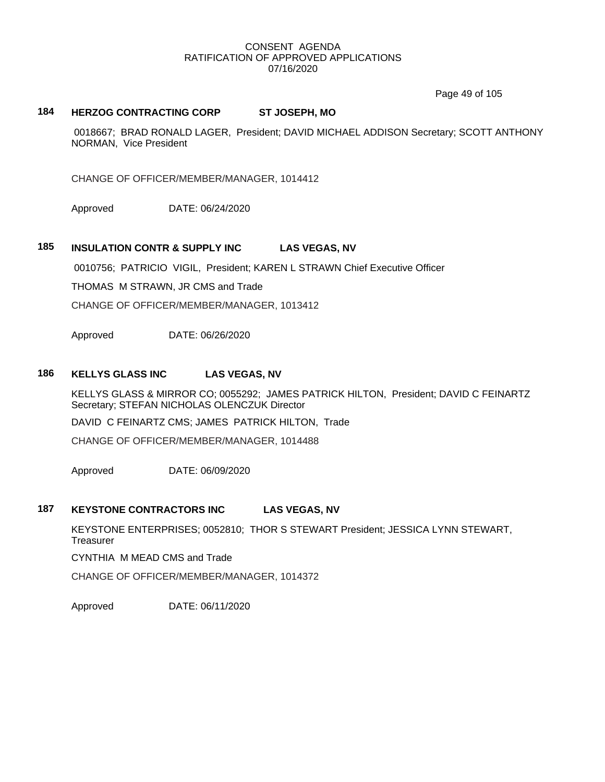Page 49 of 105

## **184 HERZOG CONTRACTING CORP ST JOSEPH, MO**

0018667; BRAD RONALD LAGER, President; DAVID MICHAEL ADDISON Secretary; SCOTT ANTHONY NORMAN, Vice President

CHANGE OF OFFICER/MEMBER/MANAGER, 1014412

Approved DATE: 06/24/2020

## **185 INSULATION CONTR & SUPPLY INC LAS VEGAS, NV**

0010756; PATRICIO VIGIL, President; KAREN L STRAWN Chief Executive Officer

THOMAS M STRAWN, JR CMS and Trade

CHANGE OF OFFICER/MEMBER/MANAGER, 1013412

Approved DATE: 06/26/2020

### **186 KELLYS GLASS INC LAS VEGAS, NV**

KELLYS GLASS & MIRROR CO; 0055292; JAMES PATRICK HILTON, President; DAVID C FEINARTZ Secretary; STEFAN NICHOLAS OLENCZUK Director

DAVID C FEINARTZ CMS; JAMES PATRICK HILTON, Trade

CHANGE OF OFFICER/MEMBER/MANAGER, 1014488

Approved DATE: 06/09/2020

### **187 KEYSTONE CONTRACTORS INC LAS VEGAS, NV**

KEYSTONE ENTERPRISES; 0052810; THOR S STEWART President; JESSICA LYNN STEWART, **Treasurer** 

CYNTHIA M MEAD CMS and Trade

CHANGE OF OFFICER/MEMBER/MANAGER, 1014372

Approved DATE: 06/11/2020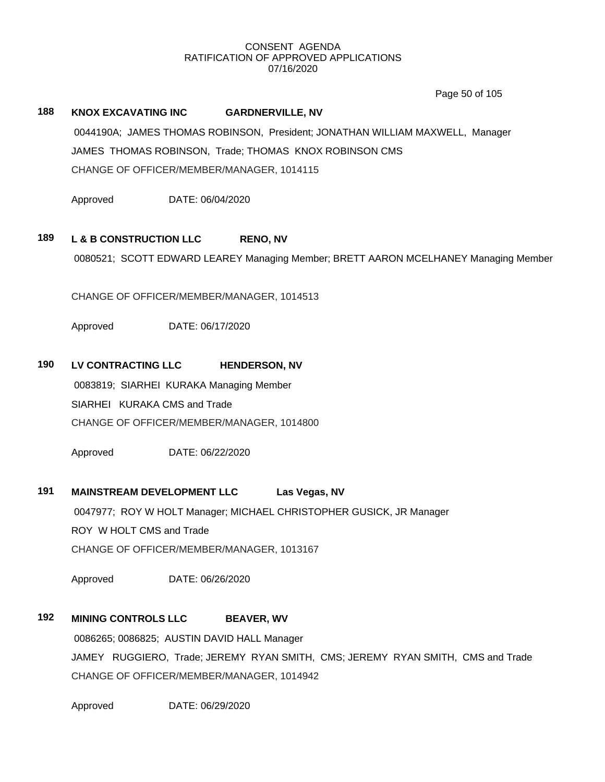Page 50 of 105

## **188 KNOX EXCAVATING INC GARDNERVILLE, NV**

0044190A; JAMES THOMAS ROBINSON, President; JONATHAN WILLIAM MAXWELL, Manager JAMES THOMAS ROBINSON, Trade; THOMAS KNOX ROBINSON CMS CHANGE OF OFFICER/MEMBER/MANAGER, 1014115

Approved DATE: 06/04/2020

## **189 L & B CONSTRUCTION LLC RENO, NV**

0080521; SCOTT EDWARD LEAREY Managing Member; BRETT AARON MCELHANEY Managing Member

CHANGE OF OFFICER/MEMBER/MANAGER, 1014513

Approved DATE: 06/17/2020

## **190 LV CONTRACTING LLC HENDERSON, NV**

0083819; SIARHEI KURAKA Managing Member SIARHEI KURAKA CMS and Trade CHANGE OF OFFICER/MEMBER/MANAGER, 1014800

Approved DATE: 06/22/2020

## **191 MAINSTREAM DEVELOPMENT LLC Las Vegas, NV**

0047977; ROY W HOLT Manager; MICHAEL CHRISTOPHER GUSICK, JR Manager ROY W HOLT CMS and Trade CHANGE OF OFFICER/MEMBER/MANAGER, 1013167

Approved DATE: 06/26/2020

## **192 MINING CONTROLS LLC BEAVER, WV**

0086265; 0086825; AUSTIN DAVID HALL Manager JAMEY RUGGIERO, Trade; JEREMY RYAN SMITH, CMS; JEREMY RYAN SMITH, CMS and Trade CHANGE OF OFFICER/MEMBER/MANAGER, 1014942

Approved DATE: 06/29/2020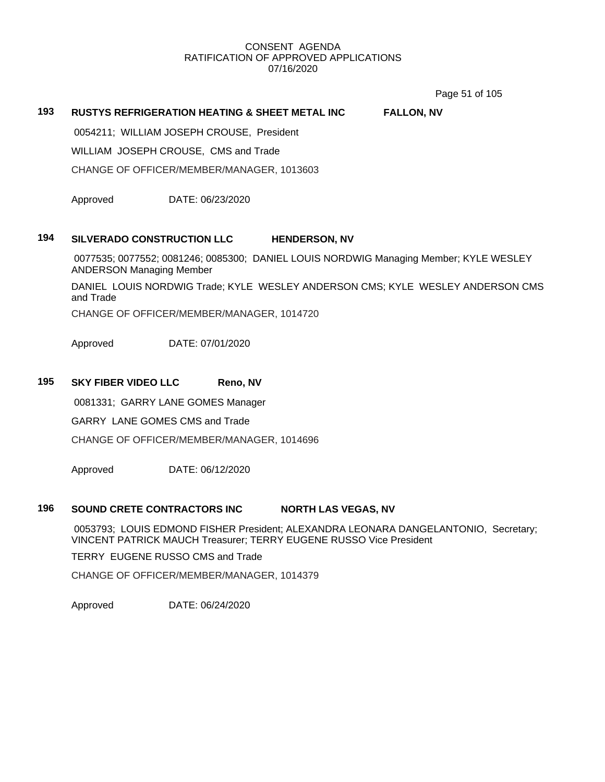Page 51 of 105

## **193 RUSTYS REFRIGERATION HEATING & SHEET METAL INC FALLON, NV**

0054211; WILLIAM JOSEPH CROUSE, President

WILLIAM JOSEPH CROUSE, CMS and Trade

CHANGE OF OFFICER/MEMBER/MANAGER, 1013603

Approved DATE: 06/23/2020

#### **194 SILVERADO CONSTRUCTION LLC HENDERSON, NV**

0077535; 0077552; 0081246; 0085300; DANIEL LOUIS NORDWIG Managing Member; KYLE WESLEY ANDERSON Managing Member

DANIEL LOUIS NORDWIG Trade; KYLE WESLEY ANDERSON CMS; KYLE WESLEY ANDERSON CMS and Trade

CHANGE OF OFFICER/MEMBER/MANAGER, 1014720

Approved DATE: 07/01/2020

## **195 SKY FIBER VIDEO LLC Reno, NV**

0081331; GARRY LANE GOMES Manager

GARRY LANE GOMES CMS and Trade

CHANGE OF OFFICER/MEMBER/MANAGER, 1014696

Approved DATE: 06/12/2020

#### **196 SOUND CRETE CONTRACTORS INC NORTH LAS VEGAS, NV**

0053793; LOUIS EDMOND FISHER President; ALEXANDRA LEONARA DANGELANTONIO, Secretary; VINCENT PATRICK MAUCH Treasurer; TERRY EUGENE RUSSO Vice President

TERRY EUGENE RUSSO CMS and Trade

CHANGE OF OFFICER/MEMBER/MANAGER, 1014379

Approved DATE: 06/24/2020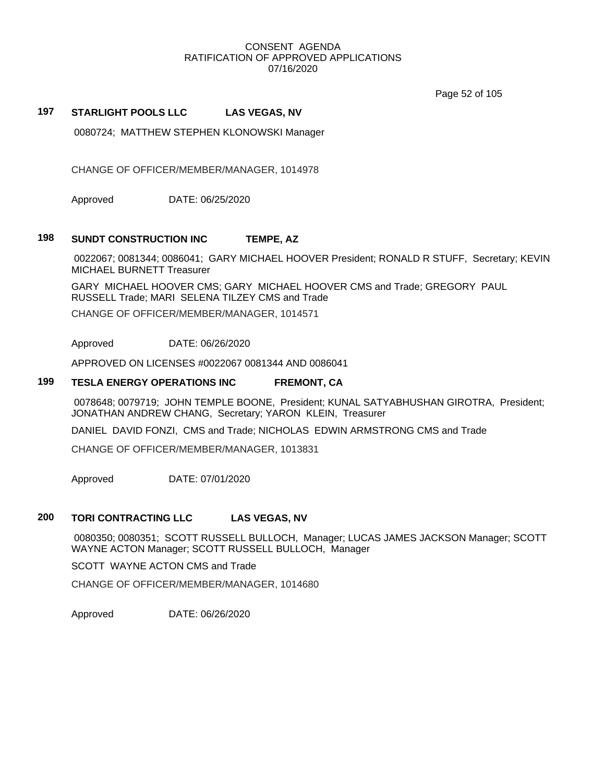Page 52 of 105

## **197 STARLIGHT POOLS LLC LAS VEGAS, NV**

0080724; MATTHEW STEPHEN KLONOWSKI Manager

CHANGE OF OFFICER/MEMBER/MANAGER, 1014978

Approved DATE: 06/25/2020

#### **198 SUNDT CONSTRUCTION INC TEMPE, AZ**

0022067; 0081344; 0086041; GARY MICHAEL HOOVER President; RONALD R STUFF, Secretary; KEVIN MICHAEL BURNETT Treasurer

GARY MICHAEL HOOVER CMS; GARY MICHAEL HOOVER CMS and Trade; GREGORY PAUL RUSSELL Trade; MARI SELENA TILZEY CMS and Trade

CHANGE OF OFFICER/MEMBER/MANAGER, 1014571

Approved DATE: 06/26/2020

APPROVED ON LICENSES #0022067 0081344 AND 0086041

#### **199 TESLA ENERGY OPERATIONS INC FREMONT, CA**

0078648; 0079719; JOHN TEMPLE BOONE, President; KUNAL SATYABHUSHAN GIROTRA, President; JONATHAN ANDREW CHANG, Secretary; YARON KLEIN, Treasurer

DANIEL DAVID FONZI, CMS and Trade; NICHOLAS EDWIN ARMSTRONG CMS and Trade

CHANGE OF OFFICER/MEMBER/MANAGER, 1013831

Approved DATE: 07/01/2020

## **200 TORI CONTRACTING LLC LAS VEGAS, NV**

0080350; 0080351; SCOTT RUSSELL BULLOCH, Manager; LUCAS JAMES JACKSON Manager; SCOTT WAYNE ACTON Manager; SCOTT RUSSELL BULLOCH, Manager

SCOTT WAYNE ACTON CMS and Trade

CHANGE OF OFFICER/MEMBER/MANAGER, 1014680

Approved DATE: 06/26/2020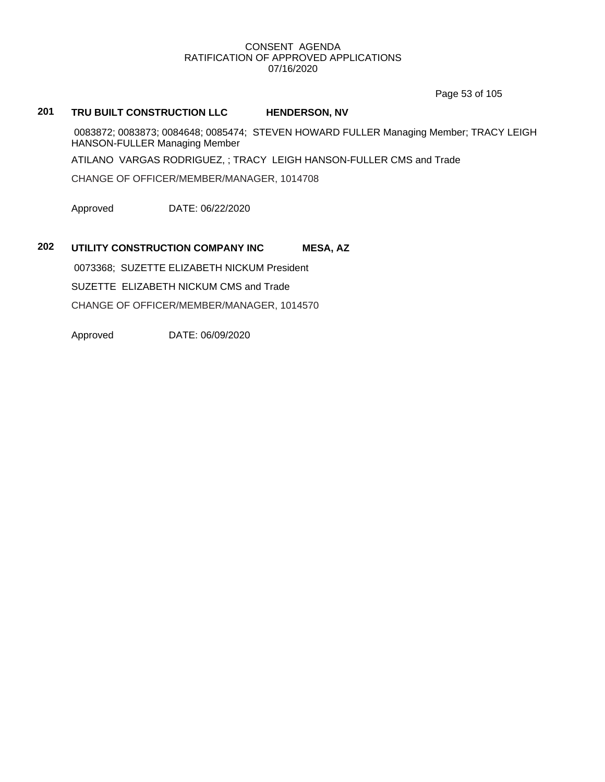Page 53 of 105

## **201 TRU BUILT CONSTRUCTION LLC HENDERSON, NV**

0083872; 0083873; 0084648; 0085474; STEVEN HOWARD FULLER Managing Member; TRACY LEIGH HANSON-FULLER Managing Member

ATILANO VARGAS RODRIGUEZ, ; TRACY LEIGH HANSON-FULLER CMS and Trade

CHANGE OF OFFICER/MEMBER/MANAGER, 1014708

Approved DATE: 06/22/2020

## **202 UTILITY CONSTRUCTION COMPANY INC MESA, AZ**

0073368; SUZETTE ELIZABETH NICKUM President SUZETTE ELIZABETH NICKUM CMS and Trade CHANGE OF OFFICER/MEMBER/MANAGER, 1014570

Approved DATE: 06/09/2020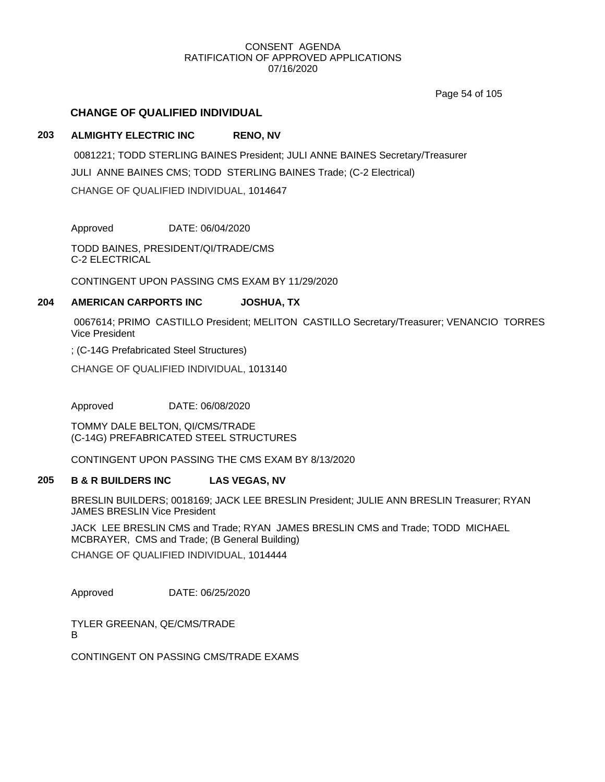Page 54 of 105

## **CHANGE OF QUALIFIED INDIVIDUAL**

## **203 ALMIGHTY ELECTRIC INC RENO, NV**

0081221; TODD STERLING BAINES President; JULI ANNE BAINES Secretary/Treasurer JULI ANNE BAINES CMS; TODD STERLING BAINES Trade; (C-2 Electrical) CHANGE OF QUALIFIED INDIVIDUAL, 1014647

Approved DATE: 06/04/2020

TODD BAINES, PRESIDENT/QI/TRADE/CMS C-2 ELECTRICAL

CONTINGENT UPON PASSING CMS EXAM BY 11/29/2020

## **204 AMERICAN CARPORTS INC JOSHUA, TX**

0067614; PRIMO CASTILLO President; MELITON CASTILLO Secretary/Treasurer; VENANCIO TORRES Vice President

; (C-14G Prefabricated Steel Structures)

CHANGE OF QUALIFIED INDIVIDUAL, 1013140

Approved DATE: 06/08/2020

TOMMY DALE BELTON, QI/CMS/TRADE (C-14G) PREFABRICATED STEEL STRUCTURES

CONTINGENT UPON PASSING THE CMS EXAM BY 8/13/2020

#### **205 B & R BUILDERS INC LAS VEGAS, NV**

BRESLIN BUILDERS; 0018169; JACK LEE BRESLIN President; JULIE ANN BRESLIN Treasurer; RYAN JAMES BRESLIN Vice President

JACK LEE BRESLIN CMS and Trade; RYAN JAMES BRESLIN CMS and Trade; TODD MICHAEL MCBRAYER, CMS and Trade; (B General Building)

CHANGE OF QUALIFIED INDIVIDUAL, 1014444

Approved DATE: 06/25/2020

TYLER GREENAN, QE/CMS/TRADE B

CONTINGENT ON PASSING CMS/TRADE EXAMS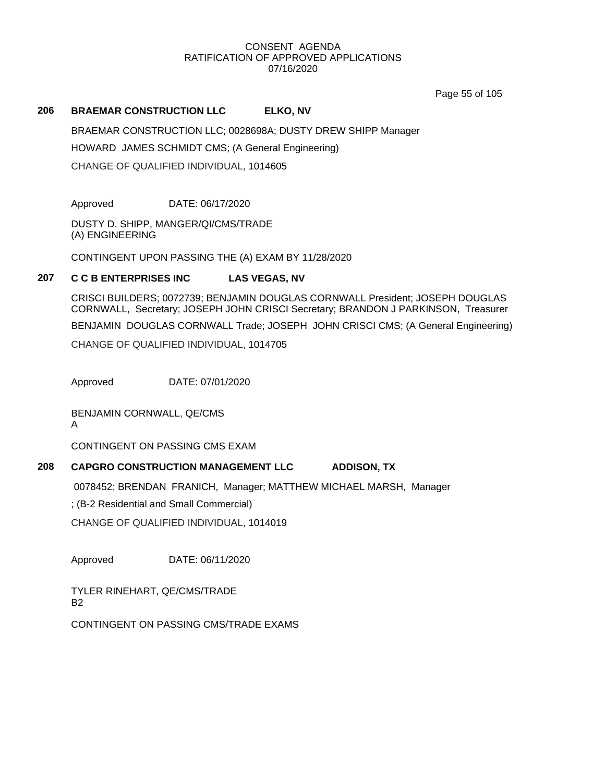Page 55 of 105

## **206 BRAEMAR CONSTRUCTION LLC ELKO, NV**

BRAEMAR CONSTRUCTION LLC; 0028698A; DUSTY DREW SHIPP Manager HOWARD JAMES SCHMIDT CMS; (A General Engineering) CHANGE OF QUALIFIED INDIVIDUAL, 1014605

Approved DATE: 06/17/2020

DUSTY D. SHIPP, MANGER/QI/CMS/TRADE (A) ENGINEERING

CONTINGENT UPON PASSING THE (A) EXAM BY 11/28/2020

## **207 C C B ENTERPRISES INC LAS VEGAS, NV**

CRISCI BUILDERS; 0072739; BENJAMIN DOUGLAS CORNWALL President; JOSEPH DOUGLAS CORNWALL, Secretary; JOSEPH JOHN CRISCI Secretary; BRANDON J PARKINSON, Treasurer

BENJAMIN DOUGLAS CORNWALL Trade; JOSEPH JOHN CRISCI CMS; (A General Engineering)

CHANGE OF QUALIFIED INDIVIDUAL, 1014705

Approved DATE: 07/01/2020

BENJAMIN CORNWALL, QE/CMS A

CONTINGENT ON PASSING CMS EXAM

## **208 CAPGRO CONSTRUCTION MANAGEMENT LLC ADDISON, TX**

0078452; BRENDAN FRANICH, Manager; MATTHEW MICHAEL MARSH, Manager

; (B-2 Residential and Small Commercial)

CHANGE OF QUALIFIED INDIVIDUAL, 1014019

Approved DATE: 06/11/2020

TYLER RINEHART, QE/CMS/TRADE B2

CONTINGENT ON PASSING CMS/TRADE EXAMS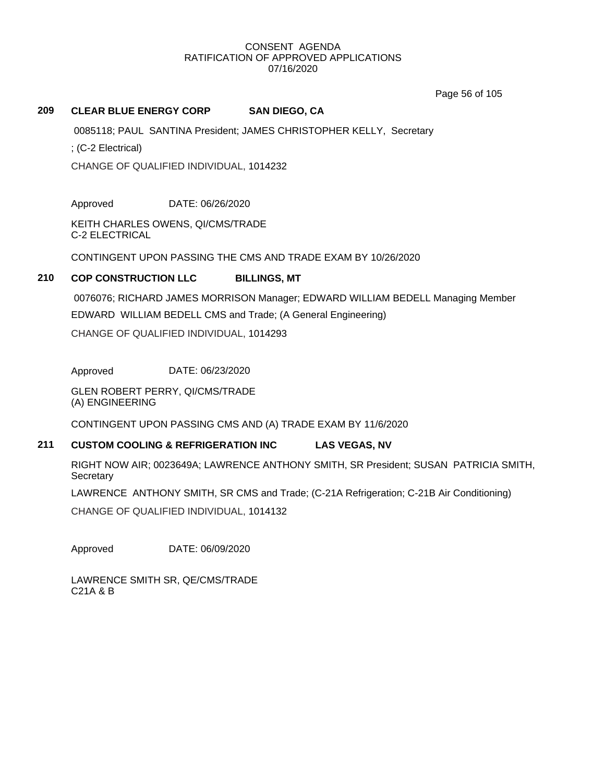Page 56 of 105

## **209 CLEAR BLUE ENERGY CORP SAN DIEGO, CA**

0085118; PAUL SANTINA President; JAMES CHRISTOPHER KELLY, Secretary

; (C-2 Electrical)

CHANGE OF QUALIFIED INDIVIDUAL, 1014232

Approved DATE: 06/26/2020

KEITH CHARLES OWENS, QI/CMS/TRADE C-2 ELECTRICAL

CONTINGENT UPON PASSING THE CMS AND TRADE EXAM BY 10/26/2020

## **210 COP CONSTRUCTION LLC BILLINGS, MT**

0076076; RICHARD JAMES MORRISON Manager; EDWARD WILLIAM BEDELL Managing Member EDWARD WILLIAM BEDELL CMS and Trade; (A General Engineering)

CHANGE OF QUALIFIED INDIVIDUAL, 1014293

Approved DATE: 06/23/2020

GLEN ROBERT PERRY, QI/CMS/TRADE (A) ENGINEERING

CONTINGENT UPON PASSING CMS AND (A) TRADE EXAM BY 11/6/2020

## **211 CUSTOM COOLING & REFRIGERATION INC LAS VEGAS, NV**

RIGHT NOW AIR; 0023649A; LAWRENCE ANTHONY SMITH, SR President; SUSAN PATRICIA SMITH, **Secretary** 

LAWRENCE ANTHONY SMITH, SR CMS and Trade; (C-21A Refrigeration; C-21B Air Conditioning)

CHANGE OF QUALIFIED INDIVIDUAL, 1014132

Approved DATE: 06/09/2020

LAWRENCE SMITH SR, QE/CMS/TRADE C21A & B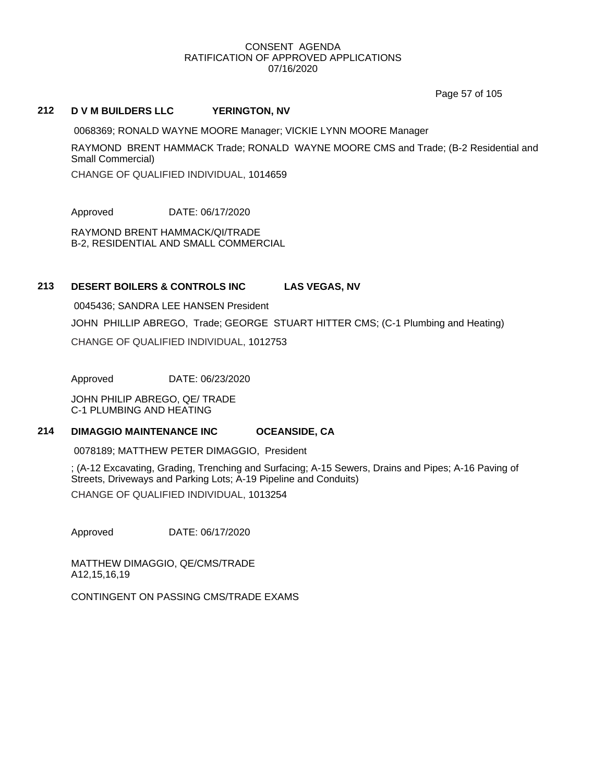Page 57 of 105

#### **212 D V M BUILDERS LLC YERINGTON, NV**

0068369; RONALD WAYNE MOORE Manager; VICKIE LYNN MOORE Manager

RAYMOND BRENT HAMMACK Trade; RONALD WAYNE MOORE CMS and Trade; (B-2 Residential and Small Commercial)

CHANGE OF QUALIFIED INDIVIDUAL, 1014659

Approved DATE: 06/17/2020

RAYMOND BRENT HAMMACK/QI/TRADE B-2, RESIDENTIAL AND SMALL COMMERCIAL

## **213 DESERT BOILERS & CONTROLS INC LAS VEGAS, NV**

0045436; SANDRA LEE HANSEN President JOHN PHILLIP ABREGO, Trade; GEORGE STUART HITTER CMS; (C-1 Plumbing and Heating) CHANGE OF QUALIFIED INDIVIDUAL, 1012753

Approved DATE: 06/23/2020

JOHN PHILIP ABREGO, QE/ TRADE C-1 PLUMBING AND HEATING

## **214 DIMAGGIO MAINTENANCE INC OCEANSIDE, CA**

0078189; MATTHEW PETER DIMAGGIO, President

; (A-12 Excavating, Grading, Trenching and Surfacing; A-15 Sewers, Drains and Pipes; A-16 Paving of Streets, Driveways and Parking Lots; A-19 Pipeline and Conduits) CHANGE OF QUALIFIED INDIVIDUAL, 1013254

Approved DATE: 06/17/2020

MATTHEW DIMAGGIO, QE/CMS/TRADE A12,15,16,19

CONTINGENT ON PASSING CMS/TRADE EXAMS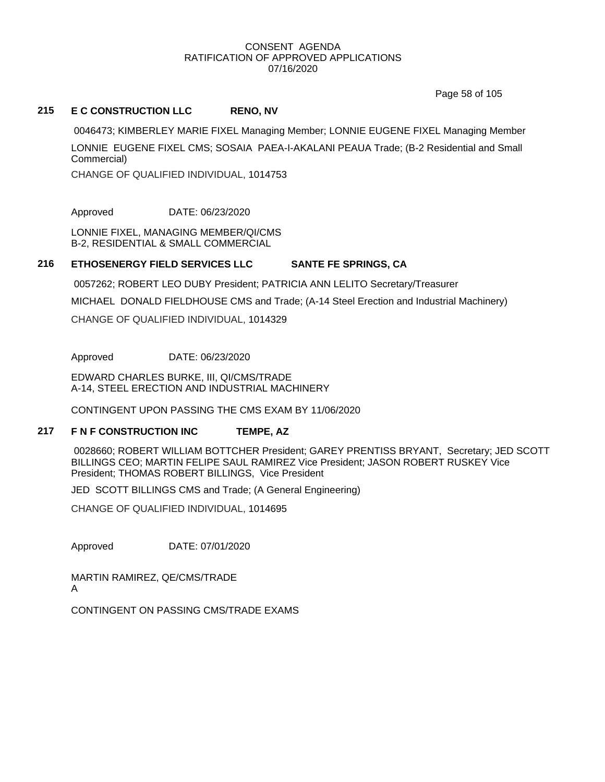Page 58 of 105

## **215 E C CONSTRUCTION LLC RENO, NV**

0046473; KIMBERLEY MARIE FIXEL Managing Member; LONNIE EUGENE FIXEL Managing Member LONNIE EUGENE FIXEL CMS; SOSAIA PAEA-I-AKALANI PEAUA Trade; (B-2 Residential and Small Commercial)

CHANGE OF QUALIFIED INDIVIDUAL, 1014753

Approved DATE: 06/23/2020

LONNIE FIXEL, MANAGING MEMBER/QI/CMS B-2, RESIDENTIAL & SMALL COMMERCIAL

## **216 ETHOSENERGY FIELD SERVICES LLC SANTE FE SPRINGS, CA**

0057262; ROBERT LEO DUBY President; PATRICIA ANN LELITO Secretary/Treasurer

MICHAEL DONALD FIELDHOUSE CMS and Trade; (A-14 Steel Erection and Industrial Machinery)

CHANGE OF QUALIFIED INDIVIDUAL, 1014329

Approved DATE: 06/23/2020

EDWARD CHARLES BURKE, III, QI/CMS/TRADE A-14, STEEL ERECTION AND INDUSTRIAL MACHINERY

CONTINGENT UPON PASSING THE CMS EXAM BY 11/06/2020

#### **217 F N F CONSTRUCTION INC TEMPE, AZ**

0028660; ROBERT WILLIAM BOTTCHER President; GAREY PRENTISS BRYANT, Secretary; JED SCOTT BILLINGS CEO; MARTIN FELIPE SAUL RAMIREZ Vice President; JASON ROBERT RUSKEY Vice President; THOMAS ROBERT BILLINGS, Vice President

JED SCOTT BILLINGS CMS and Trade; (A General Engineering)

CHANGE OF QUALIFIED INDIVIDUAL, 1014695

Approved DATE: 07/01/2020

MARTIN RAMIREZ, QE/CMS/TRADE A

CONTINGENT ON PASSING CMS/TRADE EXAMS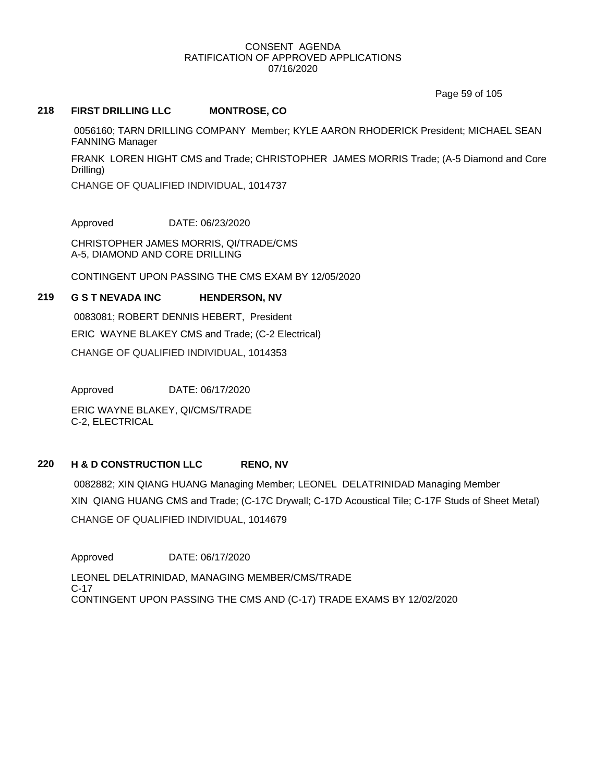Page 59 of 105

## **218 FIRST DRILLING LLC MONTROSE, CO**

0056160; TARN DRILLING COMPANY Member; KYLE AARON RHODERICK President; MICHAEL SEAN FANNING Manager

FRANK LOREN HIGHT CMS and Trade; CHRISTOPHER JAMES MORRIS Trade; (A-5 Diamond and Core Drilling)

CHANGE OF QUALIFIED INDIVIDUAL, 1014737

Approved DATE: 06/23/2020

CHRISTOPHER JAMES MORRIS, QI/TRADE/CMS A-5, DIAMOND AND CORE DRILLING

CONTINGENT UPON PASSING THE CMS EXAM BY 12/05/2020

#### **219 G S T NEVADA INC HENDERSON, NV**

0083081; ROBERT DENNIS HEBERT, President ERIC WAYNE BLAKEY CMS and Trade; (C-2 Electrical) CHANGE OF QUALIFIED INDIVIDUAL, 1014353

Approved DATE: 06/17/2020

ERIC WAYNE BLAKEY, QI/CMS/TRADE C-2, ELECTRICAL

## **220 H & D CONSTRUCTION LLC RENO, NV**

0082882; XIN QIANG HUANG Managing Member; LEONEL DELATRINIDAD Managing Member XIN QIANG HUANG CMS and Trade; (C-17C Drywall; C-17D Acoustical Tile; C-17F Studs of Sheet Metal) CHANGE OF QUALIFIED INDIVIDUAL, 1014679

Approved DATE: 06/17/2020 LEONEL DELATRINIDAD, MANAGING MEMBER/CMS/TRADE C-17 CONTINGENT UPON PASSING THE CMS AND (C-17) TRADE EXAMS BY 12/02/2020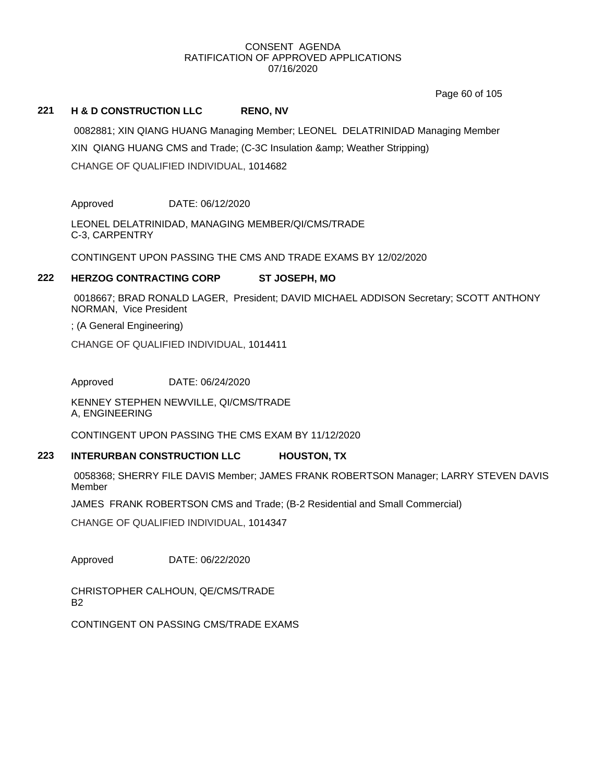Page 60 of 105

## **221 H & D CONSTRUCTION LLC RENO, NV**

0082881; XIN QIANG HUANG Managing Member; LEONEL DELATRINIDAD Managing Member XIN QIANG HUANG CMS and Trade; (C-3C Insulation & amp; Weather Stripping) CHANGE OF QUALIFIED INDIVIDUAL, 1014682

Approved DATE: 06/12/2020

LEONEL DELATRINIDAD, MANAGING MEMBER/QI/CMS/TRADE C-3, CARPENTRY

CONTINGENT UPON PASSING THE CMS AND TRADE EXAMS BY 12/02/2020

## **222 HERZOG CONTRACTING CORP ST JOSEPH, MO**

0018667; BRAD RONALD LAGER, President; DAVID MICHAEL ADDISON Secretary; SCOTT ANTHONY NORMAN, Vice President

; (A General Engineering)

CHANGE OF QUALIFIED INDIVIDUAL, 1014411

Approved DATE: 06/24/2020

KENNEY STEPHEN NEWVILLE, QI/CMS/TRADE A, ENGINEERING

CONTINGENT UPON PASSING THE CMS EXAM BY 11/12/2020

## **223 INTERURBAN CONSTRUCTION LLC HOUSTON, TX**

0058368; SHERRY FILE DAVIS Member; JAMES FRANK ROBERTSON Manager; LARRY STEVEN DAVIS Member

JAMES FRANK ROBERTSON CMS and Trade; (B-2 Residential and Small Commercial)

CHANGE OF QUALIFIED INDIVIDUAL, 1014347

Approved DATE: 06/22/2020

CHRISTOPHER CALHOUN, QE/CMS/TRADE B2

CONTINGENT ON PASSING CMS/TRADE EXAMS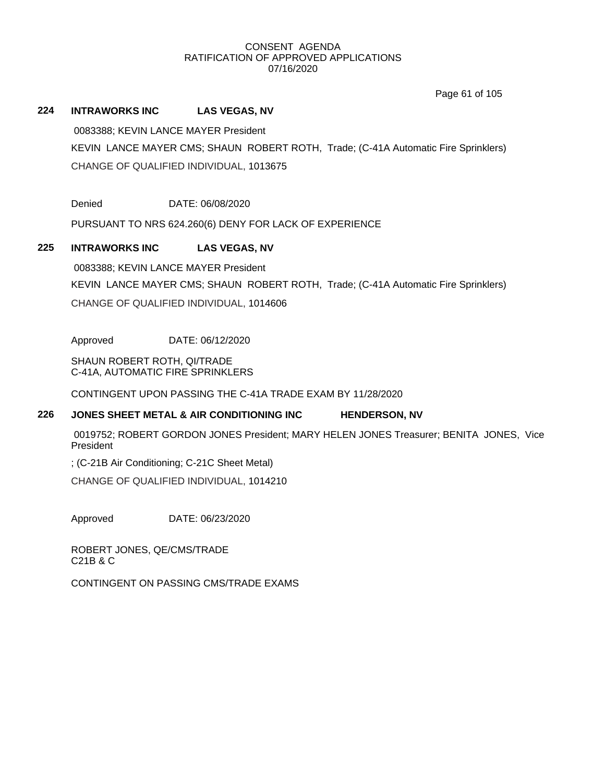Page 61 of 105

## **224 INTRAWORKS INC LAS VEGAS, NV**

0083388; KEVIN LANCE MAYER President

KEVIN LANCE MAYER CMS; SHAUN ROBERT ROTH, Trade; (C-41A Automatic Fire Sprinklers) CHANGE OF QUALIFIED INDIVIDUAL, 1013675

Denied DATE: 06/08/2020

PURSUANT TO NRS 624.260(6) DENY FOR LACK OF EXPERIENCE

## **225 INTRAWORKS INC LAS VEGAS, NV**

0083388; KEVIN LANCE MAYER President KEVIN LANCE MAYER CMS; SHAUN ROBERT ROTH, Trade; (C-41A Automatic Fire Sprinklers) CHANGE OF QUALIFIED INDIVIDUAL, 1014606

Approved DATE: 06/12/2020

SHAUN ROBERT ROTH, QI/TRADE C-41A, AUTOMATIC FIRE SPRINKLERS

CONTINGENT UPON PASSING THE C-41A TRADE EXAM BY 11/28/2020

### **226 JONES SHEET METAL & AIR CONDITIONING INC HENDERSON, NV**

0019752; ROBERT GORDON JONES President; MARY HELEN JONES Treasurer; BENITA JONES, Vice President

; (C-21B Air Conditioning; C-21C Sheet Metal)

CHANGE OF QUALIFIED INDIVIDUAL, 1014210

Approved DATE: 06/23/2020

ROBERT JONES, QE/CMS/TRADE C21B & C

CONTINGENT ON PASSING CMS/TRADE EXAMS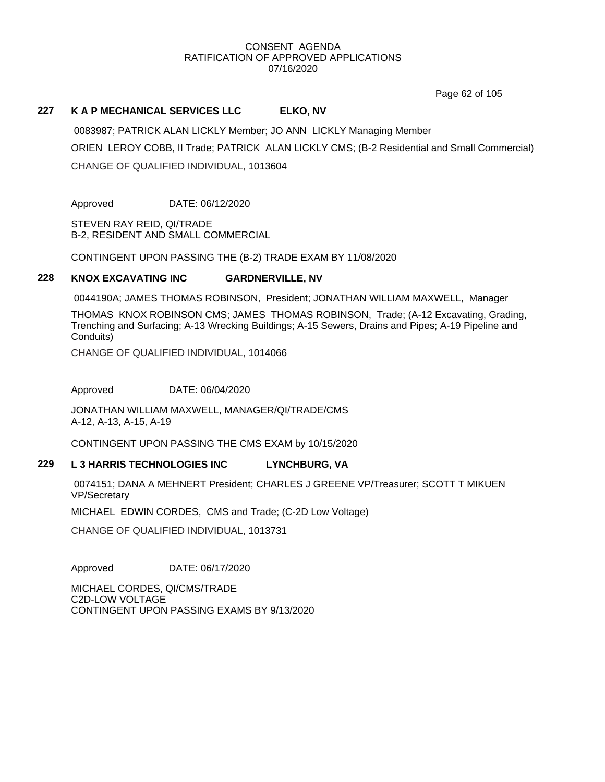Page 62 of 105

## **227 K A P MECHANICAL SERVICES LLC ELKO, NV**

0083987; PATRICK ALAN LICKLY Member; JO ANN LICKLY Managing Member ORIEN LEROY COBB, II Trade; PATRICK ALAN LICKLY CMS; (B-2 Residential and Small Commercial) CHANGE OF QUALIFIED INDIVIDUAL, 1013604

Approved DATE: 06/12/2020

STEVEN RAY REID, QI/TRADE B-2, RESIDENT AND SMALL COMMERCIAL

CONTINGENT UPON PASSING THE (B-2) TRADE EXAM BY 11/08/2020

## **228 KNOX EXCAVATING INC GARDNERVILLE, NV**

0044190A; JAMES THOMAS ROBINSON, President; JONATHAN WILLIAM MAXWELL, Manager

THOMAS KNOX ROBINSON CMS; JAMES THOMAS ROBINSON, Trade; (A-12 Excavating, Grading, Trenching and Surfacing; A-13 Wrecking Buildings; A-15 Sewers, Drains and Pipes; A-19 Pipeline and Conduits)

CHANGE OF QUALIFIED INDIVIDUAL, 1014066

Approved DATE: 06/04/2020

JONATHAN WILLIAM MAXWELL, MANAGER/QI/TRADE/CMS A-12, A-13, A-15, A-19

CONTINGENT UPON PASSING THE CMS EXAM by 10/15/2020

### **229 L 3 HARRIS TECHNOLOGIES INC LYNCHBURG, VA**

0074151; DANA A MEHNERT President; CHARLES J GREENE VP/Treasurer; SCOTT T MIKUEN VP/Secretary

MICHAEL EDWIN CORDES, CMS and Trade; (C-2D Low Voltage)

CHANGE OF QUALIFIED INDIVIDUAL, 1013731

Approved DATE: 06/17/2020

MICHAEL CORDES, QI/CMS/TRADE C2D-LOW VOLTAGE CONTINGENT UPON PASSING EXAMS BY 9/13/2020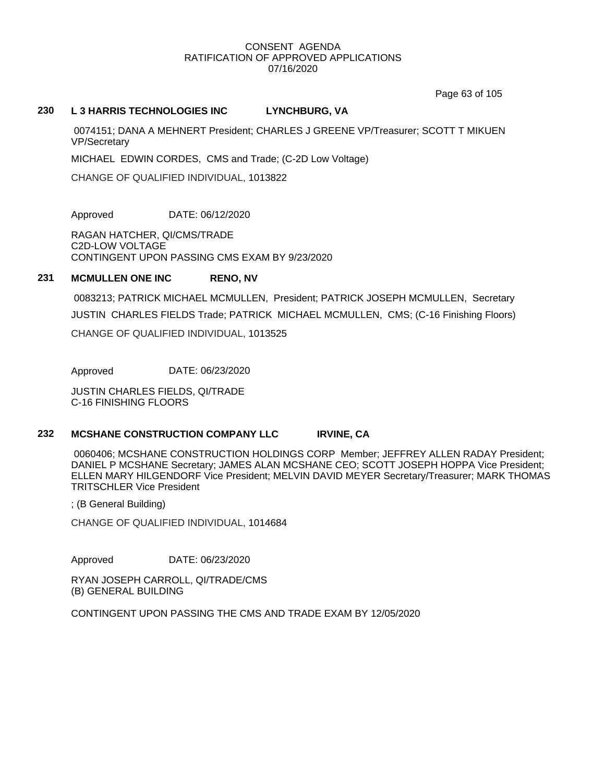Page 63 of 105

#### **230 L 3 HARRIS TECHNOLOGIES INC LYNCHBURG, VA**

0074151; DANA A MEHNERT President; CHARLES J GREENE VP/Treasurer; SCOTT T MIKUEN VP/Secretary

MICHAEL EDWIN CORDES, CMS and Trade; (C-2D Low Voltage)

CHANGE OF QUALIFIED INDIVIDUAL, 1013822

Approved DATE: 06/12/2020

RAGAN HATCHER, QI/CMS/TRADE C2D-LOW VOLTAGE CONTINGENT UPON PASSING CMS EXAM BY 9/23/2020

### **231 MCMULLEN ONE INC RENO, NV**

0083213; PATRICK MICHAEL MCMULLEN, President; PATRICK JOSEPH MCMULLEN, Secretary JUSTIN CHARLES FIELDS Trade; PATRICK MICHAEL MCMULLEN, CMS; (C-16 Finishing Floors) CHANGE OF QUALIFIED INDIVIDUAL, 1013525

Approved DATE: 06/23/2020

JUSTIN CHARLES FIELDS, QI/TRADE C-16 FINISHING FLOORS

#### **232 MCSHANE CONSTRUCTION COMPANY LLC IRVINE, CA**

0060406; MCSHANE CONSTRUCTION HOLDINGS CORP Member; JEFFREY ALLEN RADAY President; DANIEL P MCSHANE Secretary; JAMES ALAN MCSHANE CEO; SCOTT JOSEPH HOPPA Vice President; ELLEN MARY HILGENDORF Vice President; MELVIN DAVID MEYER Secretary/Treasurer; MARK THOMAS TRITSCHLER Vice President

; (B General Building)

CHANGE OF QUALIFIED INDIVIDUAL, 1014684

Approved DATE: 06/23/2020

RYAN JOSEPH CARROLL, QI/TRADE/CMS (B) GENERAL BUILDING

CONTINGENT UPON PASSING THE CMS AND TRADE EXAM BY 12/05/2020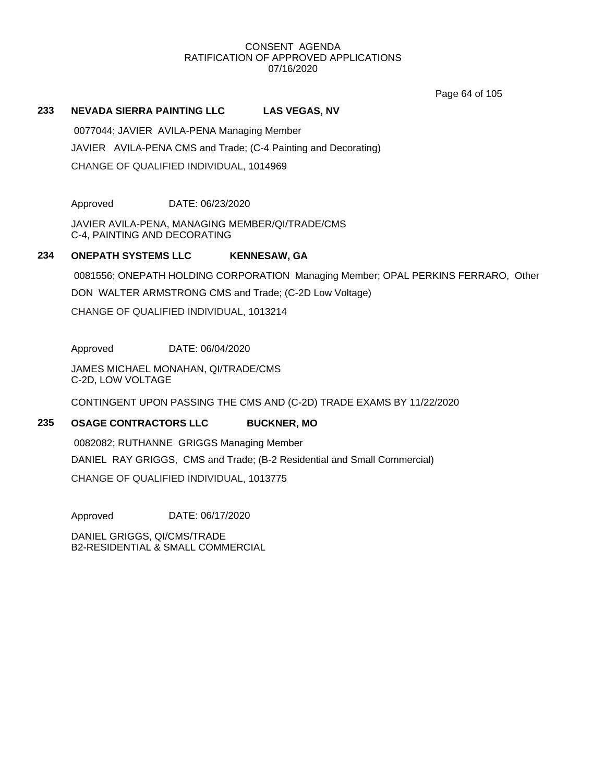Page 64 of 105

## **233 NEVADA SIERRA PAINTING LLC LAS VEGAS, NV**

0077044; JAVIER AVILA-PENA Managing Member JAVIER AVILA-PENA CMS and Trade; (C-4 Painting and Decorating) CHANGE OF QUALIFIED INDIVIDUAL, 1014969

Approved DATE: 06/23/2020

JAVIER AVILA-PENA, MANAGING MEMBER/QI/TRADE/CMS C-4, PAINTING AND DECORATING

## **234 ONEPATH SYSTEMS LLC KENNESAW, GA**

0081556; ONEPATH HOLDING CORPORATION Managing Member; OPAL PERKINS FERRARO, Other

DON WALTER ARMSTRONG CMS and Trade; (C-2D Low Voltage)

CHANGE OF QUALIFIED INDIVIDUAL, 1013214

Approved DATE: 06/04/2020

JAMES MICHAEL MONAHAN, QI/TRADE/CMS C-2D, LOW VOLTAGE

CONTINGENT UPON PASSING THE CMS AND (C-2D) TRADE EXAMS BY 11/22/2020

## **235 OSAGE CONTRACTORS LLC BUCKNER, MO**

0082082; RUTHANNE GRIGGS Managing Member DANIEL RAY GRIGGS, CMS and Trade; (B-2 Residential and Small Commercial) CHANGE OF QUALIFIED INDIVIDUAL, 1013775

Approved DATE: 06/17/2020

DANIEL GRIGGS, QI/CMS/TRADE B2-RESIDENTIAL & SMALL COMMERCIAL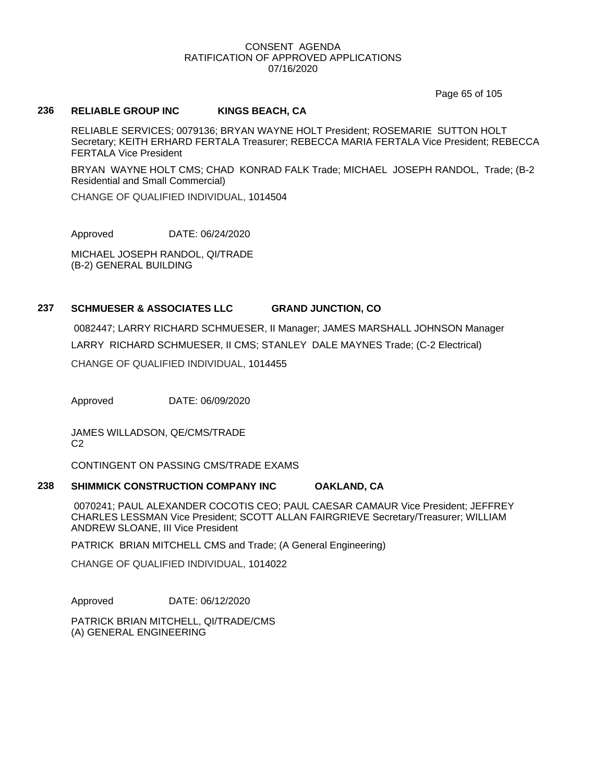Page 65 of 105

## **236 RELIABLE GROUP INC KINGS BEACH, CA**

RELIABLE SERVICES; 0079136; BRYAN WAYNE HOLT President; ROSEMARIE SUTTON HOLT Secretary; KEITH ERHARD FERTALA Treasurer; REBECCA MARIA FERTALA Vice President; REBECCA FERTALA Vice President

BRYAN WAYNE HOLT CMS; CHAD KONRAD FALK Trade; MICHAEL JOSEPH RANDOL, Trade; (B-2 Residential and Small Commercial)

CHANGE OF QUALIFIED INDIVIDUAL, 1014504

Approved DATE: 06/24/2020

MICHAEL JOSEPH RANDOL, QI/TRADE (B-2) GENERAL BUILDING

#### **237 SCHMUESER & ASSOCIATES LLC GRAND JUNCTION, CO**

0082447; LARRY RICHARD SCHMUESER, II Manager; JAMES MARSHALL JOHNSON Manager LARRY RICHARD SCHMUESER, II CMS; STANLEY DALE MAYNES Trade; (C-2 Electrical) CHANGE OF QUALIFIED INDIVIDUAL, 1014455

Approved DATE: 06/09/2020

JAMES WILLADSON, QE/CMS/TRADE  $C<sub>2</sub>$ 

CONTINGENT ON PASSING CMS/TRADE EXAMS

#### **238 SHIMMICK CONSTRUCTION COMPANY INC OAKLAND, CA**

0070241; PAUL ALEXANDER COCOTIS CEO; PAUL CAESAR CAMAUR Vice President; JEFFREY CHARLES LESSMAN Vice President; SCOTT ALLAN FAIRGRIEVE Secretary/Treasurer; WILLIAM ANDREW SLOANE, III Vice President

PATRICK BRIAN MITCHELL CMS and Trade; (A General Engineering)

CHANGE OF QUALIFIED INDIVIDUAL, 1014022

Approved DATE: 06/12/2020

PATRICK BRIAN MITCHELL, QI/TRADE/CMS (A) GENERAL ENGINEERING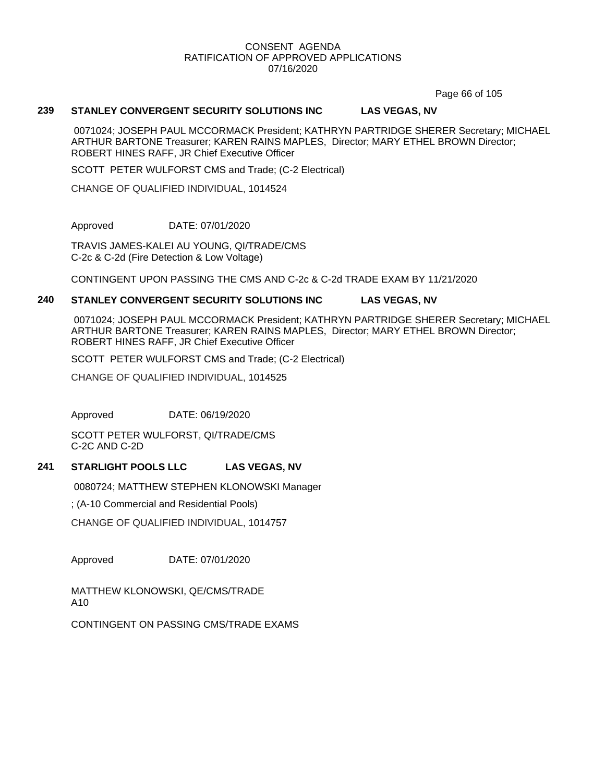Page 66 of 105

## **239 STANLEY CONVERGENT SECURITY SOLUTIONS INC LAS VEGAS, NV**

0071024; JOSEPH PAUL MCCORMACK President; KATHRYN PARTRIDGE SHERER Secretary; MICHAEL ARTHUR BARTONE Treasurer; KAREN RAINS MAPLES, Director; MARY ETHEL BROWN Director; ROBERT HINES RAFF, JR Chief Executive Officer

SCOTT PETER WULFORST CMS and Trade; (C-2 Electrical)

CHANGE OF QUALIFIED INDIVIDUAL, 1014524

Approved DATE: 07/01/2020

TRAVIS JAMES-KALEI AU YOUNG, QI/TRADE/CMS C-2c & C-2d (Fire Detection & Low Voltage)

CONTINGENT UPON PASSING THE CMS AND C-2c & C-2d TRADE EXAM BY 11/21/2020

## **240 STANLEY CONVERGENT SECURITY SOLUTIONS INC LAS VEGAS, NV**

0071024; JOSEPH PAUL MCCORMACK President; KATHRYN PARTRIDGE SHERER Secretary; MICHAEL ARTHUR BARTONE Treasurer; KAREN RAINS MAPLES, Director; MARY ETHEL BROWN Director; ROBERT HINES RAFF, JR Chief Executive Officer

SCOTT PETER WULFORST CMS and Trade; (C-2 Electrical)

CHANGE OF QUALIFIED INDIVIDUAL, 1014525

Approved DATE: 06/19/2020

SCOTT PETER WULFORST, QI/TRADE/CMS C-2C AND C-2D

#### **241 STARLIGHT POOLS LLC LAS VEGAS, NV**

0080724; MATTHEW STEPHEN KLONOWSKI Manager

; (A-10 Commercial and Residential Pools)

CHANGE OF QUALIFIED INDIVIDUAL, 1014757

Approved DATE: 07/01/2020

MATTHEW KLONOWSKI, QE/CMS/TRADE A10

CONTINGENT ON PASSING CMS/TRADE EXAMS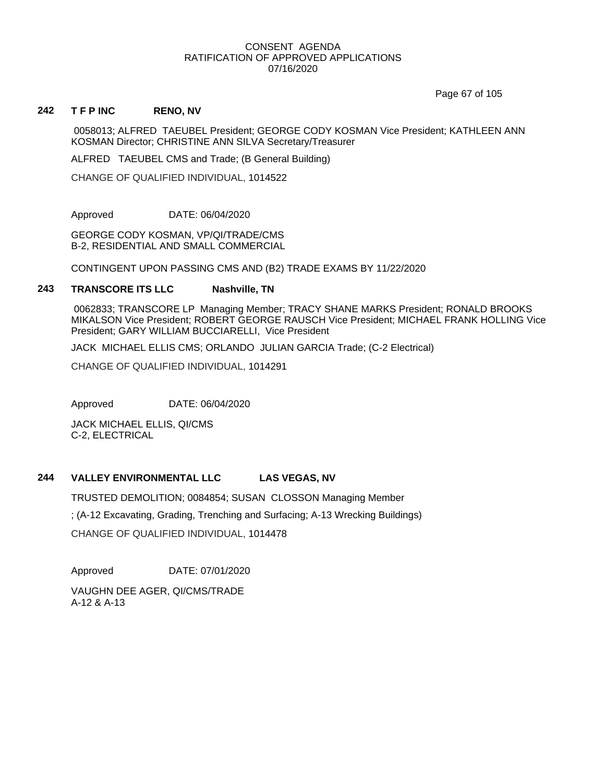Page 67 of 105

#### **242 T F P INC RENO, NV**

0058013; ALFRED TAEUBEL President; GEORGE CODY KOSMAN Vice President; KATHLEEN ANN KOSMAN Director; CHRISTINE ANN SILVA Secretary/Treasurer

ALFRED TAEUBEL CMS and Trade; (B General Building)

CHANGE OF QUALIFIED INDIVIDUAL, 1014522

Approved DATE: 06/04/2020

GEORGE CODY KOSMAN, VP/QI/TRADE/CMS B-2, RESIDENTIAL AND SMALL COMMERCIAL

CONTINGENT UPON PASSING CMS AND (B2) TRADE EXAMS BY 11/22/2020

#### **243 TRANSCORE ITS LLC Nashville, TN**

0062833; TRANSCORE LP Managing Member; TRACY SHANE MARKS President; RONALD BROOKS MIKALSON Vice President; ROBERT GEORGE RAUSCH Vice President; MICHAEL FRANK HOLLING Vice President; GARY WILLIAM BUCCIARELLI, Vice President

JACK MICHAEL ELLIS CMS; ORLANDO JULIAN GARCIA Trade; (C-2 Electrical)

CHANGE OF QUALIFIED INDIVIDUAL, 1014291

Approved DATE: 06/04/2020

JACK MICHAEL ELLIS, QI/CMS C-2, ELECTRICAL

## **244 VALLEY ENVIRONMENTAL LLC LAS VEGAS, NV**

TRUSTED DEMOLITION; 0084854; SUSAN CLOSSON Managing Member ; (A-12 Excavating, Grading, Trenching and Surfacing; A-13 Wrecking Buildings)

CHANGE OF QUALIFIED INDIVIDUAL, 1014478

Approved DATE: 07/01/2020

VAUGHN DEE AGER, QI/CMS/TRADE A-12 & A-13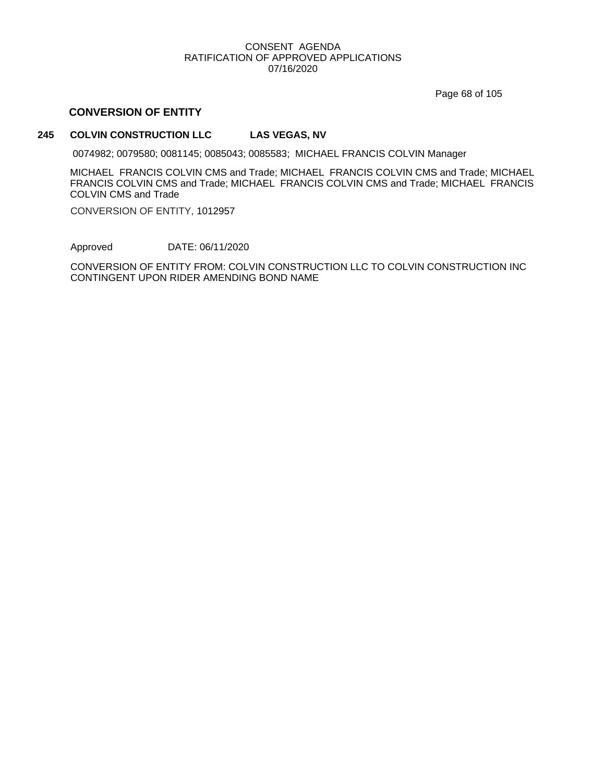Page 68 of 105

## **CONVERSION OF ENTITY**

## **245 COLVIN CONSTRUCTION LLC LAS VEGAS, NV**

0074982; 0079580; 0081145; 0085043; 0085583; MICHAEL FRANCIS COLVIN Manager

MICHAEL FRANCIS COLVIN CMS and Trade; MICHAEL FRANCIS COLVIN CMS and Trade; MICHAEL FRANCIS COLVIN CMS and Trade; MICHAEL FRANCIS COLVIN CMS and Trade; MICHAEL FRANCIS COLVIN CMS and Trade

CONVERSION OF ENTITY, 1012957

Approved DATE: 06/11/2020

CONVERSION OF ENTITY FROM: COLVIN CONSTRUCTION LLC TO COLVIN CONSTRUCTION INC CONTINGENT UPON RIDER AMENDING BOND NAME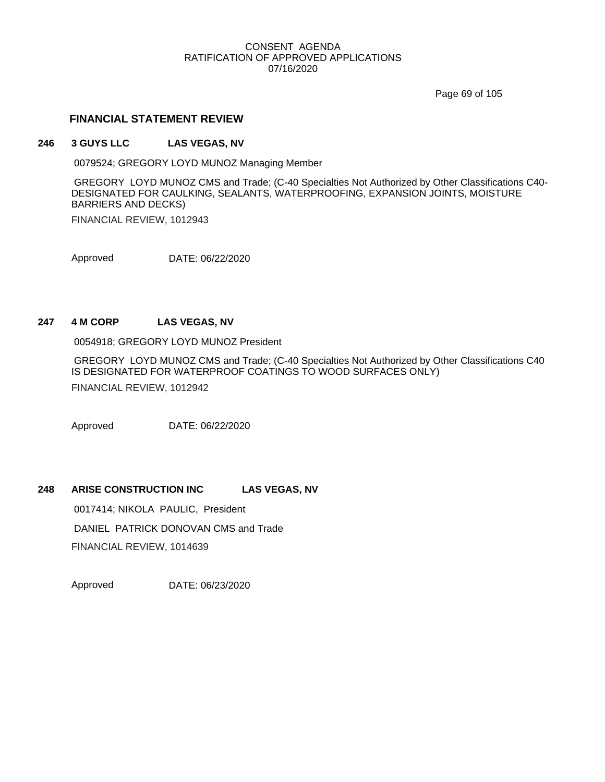Page 69 of 105

### **FINANCIAL STATEMENT REVIEW**

#### **246 3 GUYS LLC LAS VEGAS, NV**

0079524; GREGORY LOYD MUNOZ Managing Member

GREGORY LOYD MUNOZ CMS and Trade; (C-40 Specialties Not Authorized by Other Classifications C40- DESIGNATED FOR CAULKING, SEALANTS, WATERPROOFING, EXPANSION JOINTS, MOISTURE BARRIERS AND DECKS)

FINANCIAL REVIEW, 1012943

Approved DATE: 06/22/2020

### **247 4 M CORP LAS VEGAS, NV**

0054918; GREGORY LOYD MUNOZ President

GREGORY LOYD MUNOZ CMS and Trade; (C-40 Specialties Not Authorized by Other Classifications C40 IS DESIGNATED FOR WATERPROOF COATINGS TO WOOD SURFACES ONLY) FINANCIAL REVIEW, 1012942

Approved DATE: 06/22/2020

### **248 ARISE CONSTRUCTION INC LAS VEGAS, NV**

0017414; NIKOLA PAULIC, President DANIEL PATRICK DONOVAN CMS and Trade FINANCIAL REVIEW, 1014639

Approved DATE: 06/23/2020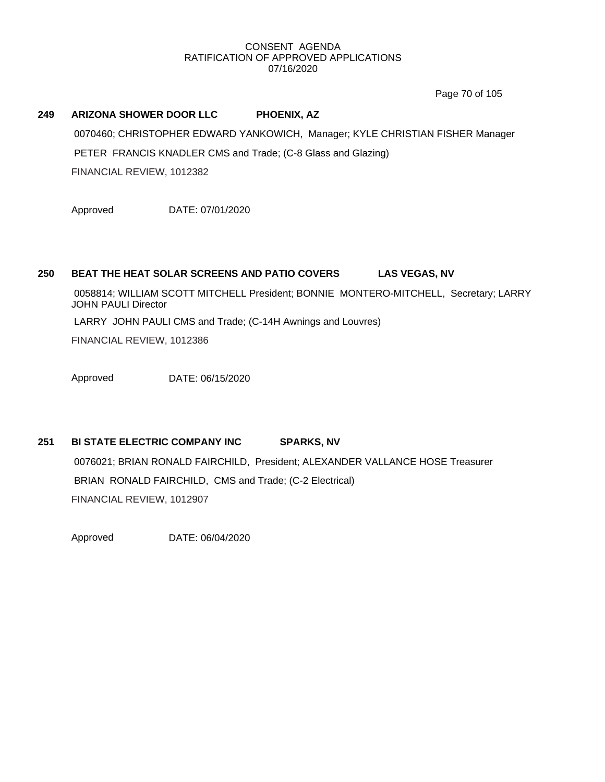Page 70 of 105

#### **249 ARIZONA SHOWER DOOR LLC PHOENIX, AZ**

0070460; CHRISTOPHER EDWARD YANKOWICH, Manager; KYLE CHRISTIAN FISHER Manager PETER FRANCIS KNADLER CMS and Trade; (C-8 Glass and Glazing) FINANCIAL REVIEW, 1012382

Approved DATE: 07/01/2020

## **250 BEAT THE HEAT SOLAR SCREENS AND PATIO COVERS LAS VEGAS, NV**

0058814; WILLIAM SCOTT MITCHELL President; BONNIE MONTERO-MITCHELL, Secretary; LARRY JOHN PAULI Director

LARRY JOHN PAULI CMS and Trade; (C-14H Awnings and Louvres)

FINANCIAL REVIEW, 1012386

Approved DATE: 06/15/2020

# **251 BI STATE ELECTRIC COMPANY INC SPARKS, NV**

0076021; BRIAN RONALD FAIRCHILD, President; ALEXANDER VALLANCE HOSE Treasurer BRIAN RONALD FAIRCHILD, CMS and Trade; (C-2 Electrical) FINANCIAL REVIEW, 1012907

Approved DATE: 06/04/2020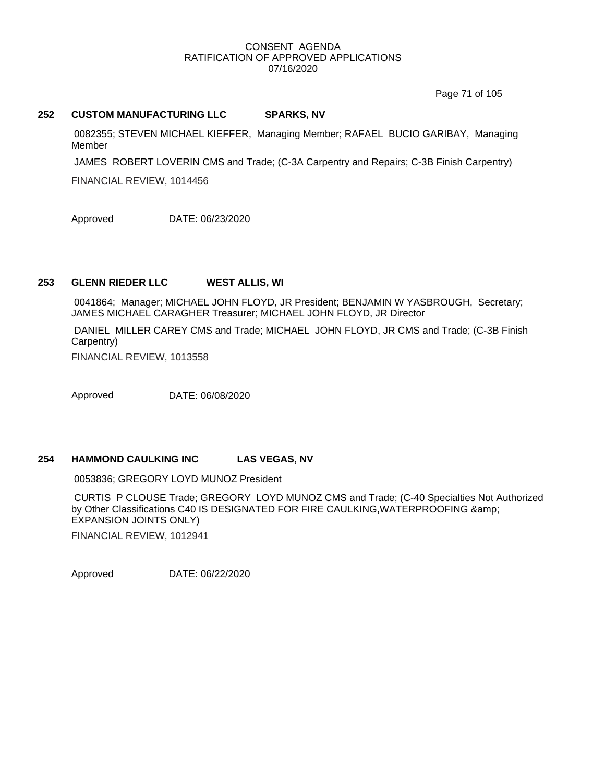Page 71 of 105

#### **252 CUSTOM MANUFACTURING LLC SPARKS, NV**

0082355; STEVEN MICHAEL KIEFFER, Managing Member; RAFAEL BUCIO GARIBAY, Managing Member

JAMES ROBERT LOVERIN CMS and Trade; (C-3A Carpentry and Repairs; C-3B Finish Carpentry)

FINANCIAL REVIEW, 1014456

Approved DATE: 06/23/2020

# **253 GLENN RIEDER LLC WEST ALLIS, WI**

0041864; Manager; MICHAEL JOHN FLOYD, JR President; BENJAMIN W YASBROUGH, Secretary; JAMES MICHAEL CARAGHER Treasurer; MICHAEL JOHN FLOYD, JR Director

DANIEL MILLER CAREY CMS and Trade; MICHAEL JOHN FLOYD, JR CMS and Trade; (C-3B Finish Carpentry)

FINANCIAL REVIEW, 1013558

Approved DATE: 06/08/2020

#### **254 HAMMOND CAULKING INC LAS VEGAS, NV**

0053836; GREGORY LOYD MUNOZ President

CURTIS P CLOUSE Trade; GREGORY LOYD MUNOZ CMS and Trade; (C-40 Specialties Not Authorized by Other Classifications C40 IS DESIGNATED FOR FIRE CAULKING,WATERPROOFING & EXPANSION JOINTS ONLY)

FINANCIAL REVIEW, 1012941

Approved DATE: 06/22/2020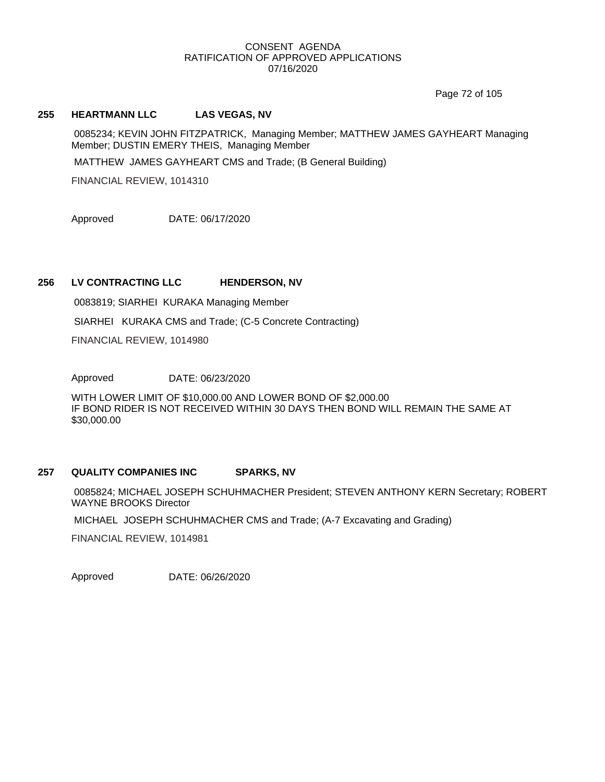Page 72 of 105

#### **255 HEARTMANN LLC LAS VEGAS, NV**

0085234; KEVIN JOHN FITZPATRICK, Managing Member; MATTHEW JAMES GAYHEART Managing Member; DUSTIN EMERY THEIS, Managing Member

MATTHEW JAMES GAYHEART CMS and Trade; (B General Building)

FINANCIAL REVIEW, 1014310

Approved DATE: 06/17/2020

# **256 LV CONTRACTING LLC HENDERSON, NV**

0083819; SIARHEI KURAKA Managing Member

SIARHEI KURAKA CMS and Trade; (C-5 Concrete Contracting)

FINANCIAL REVIEW, 1014980

Approved DATE: 06/23/2020

WITH LOWER LIMIT OF \$10,000.00 AND LOWER BOND OF \$2,000.00 IF BOND RIDER IS NOT RECEIVED WITHIN 30 DAYS THEN BOND WILL REMAIN THE SAME AT \$30,000.00

#### **257 QUALITY COMPANIES INC SPARKS, NV**

0085824; MICHAEL JOSEPH SCHUHMACHER President; STEVEN ANTHONY KERN Secretary; ROBERT WAYNE BROOKS Director

MICHAEL JOSEPH SCHUHMACHER CMS and Trade; (A-7 Excavating and Grading)

FINANCIAL REVIEW, 1014981

Approved DATE: 06/26/2020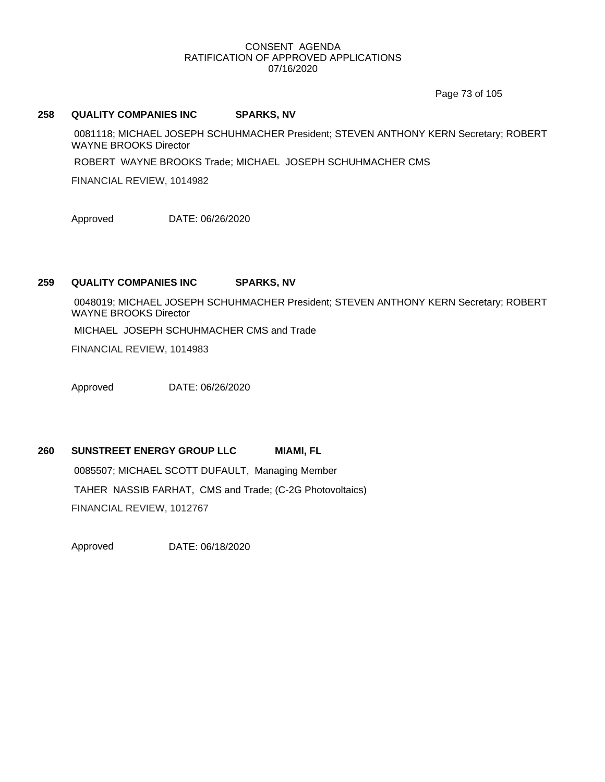Page 73 of 105

#### **258 QUALITY COMPANIES INC SPARKS, NV**

0081118; MICHAEL JOSEPH SCHUHMACHER President; STEVEN ANTHONY KERN Secretary; ROBERT WAYNE BROOKS Director

ROBERT WAYNE BROOKS Trade; MICHAEL JOSEPH SCHUHMACHER CMS

FINANCIAL REVIEW, 1014982

Approved DATE: 06/26/2020

# **259 QUALITY COMPANIES INC SPARKS, NV**

0048019; MICHAEL JOSEPH SCHUHMACHER President; STEVEN ANTHONY KERN Secretary; ROBERT WAYNE BROOKS Director

MICHAEL JOSEPH SCHUHMACHER CMS and Trade

FINANCIAL REVIEW, 1014983

Approved DATE: 06/26/2020

# **260 SUNSTREET ENERGY GROUP LLC MIAMI, FL**

0085507; MICHAEL SCOTT DUFAULT, Managing Member TAHER NASSIB FARHAT, CMS and Trade; (C-2G Photovoltaics) FINANCIAL REVIEW, 1012767

Approved DATE: 06/18/2020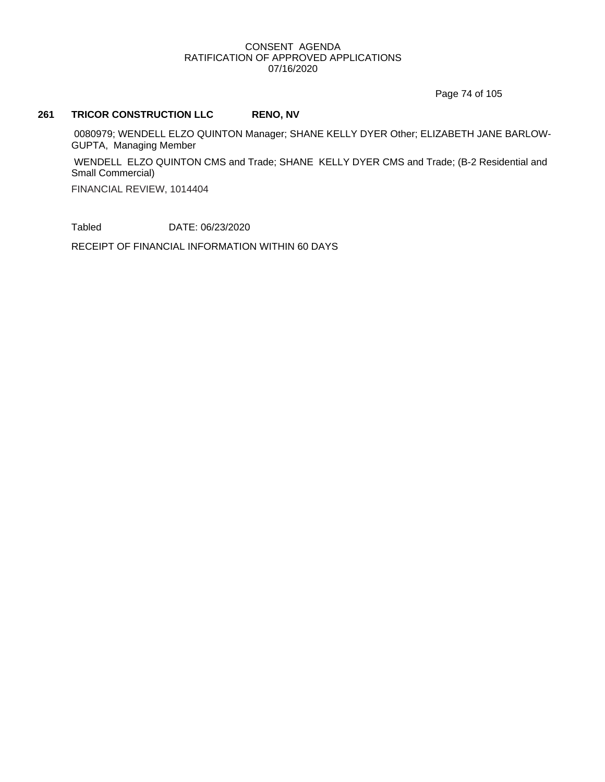Page 74 of 105

# **261 TRICOR CONSTRUCTION LLC RENO, NV**

0080979; WENDELL ELZO QUINTON Manager; SHANE KELLY DYER Other; ELIZABETH JANE BARLOW-GUPTA, Managing Member

WENDELL ELZO QUINTON CMS and Trade; SHANE KELLY DYER CMS and Trade; (B-2 Residential and Small Commercial)

FINANCIAL REVIEW, 1014404

Tabled DATE: 06/23/2020

RECEIPT OF FINANCIAL INFORMATION WITHIN 60 DAYS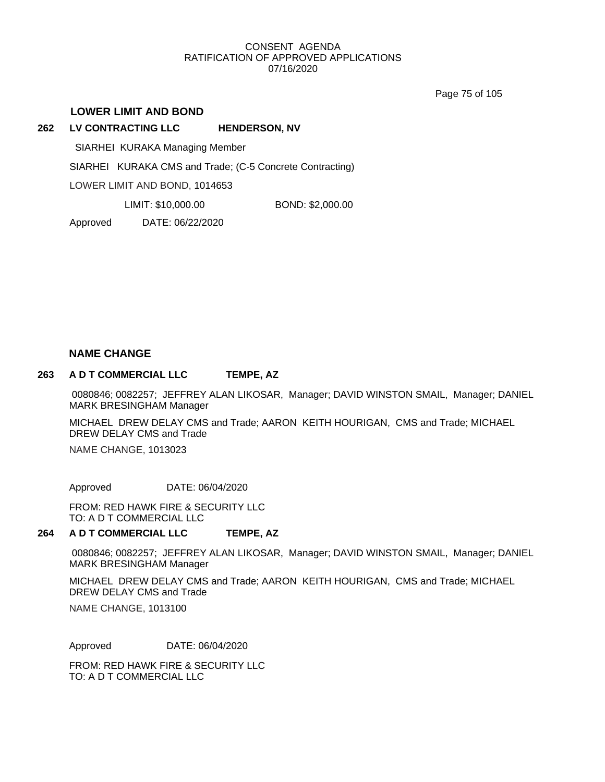Page 75 of 105

#### **LOWER LIMIT AND BOND**

**262 LV CONTRACTING LLC HENDERSON, NV**

SIARHEI KURAKA Managing Member

SIARHEI KURAKA CMS and Trade; (C-5 Concrete Contracting)

LOWER LIMIT AND BOND, 1014653

LIMIT: \$10,000.00 BOND: \$2,000.00

Approved DATE: 06/22/2020

#### **NAME CHANGE**

#### **263 A D T COMMERCIAL LLC TEMPE, AZ**

0080846; 0082257; JEFFREY ALAN LIKOSAR, Manager; DAVID WINSTON SMAIL, Manager; DANIEL MARK BRESINGHAM Manager

MICHAEL DREW DELAY CMS and Trade; AARON KEITH HOURIGAN, CMS and Trade; MICHAEL DREW DELAY CMS and Trade

NAME CHANGE, 1013023

Approved DATE: 06/04/2020

FROM: RED HAWK FIRE & SECURITY LLC TO: A D T COMMERCIAL LLC

#### **264 A D T COMMERCIAL LLC TEMPE, AZ**

0080846; 0082257; JEFFREY ALAN LIKOSAR, Manager; DAVID WINSTON SMAIL, Manager; DANIEL MARK BRESINGHAM Manager

MICHAEL DREW DELAY CMS and Trade; AARON KEITH HOURIGAN, CMS and Trade; MICHAEL DREW DELAY CMS and Trade

NAME CHANGE, 1013100

Approved DATE: 06/04/2020

FROM: RED HAWK FIRE & SECURITY LLC TO: A D T COMMERCIAL LLC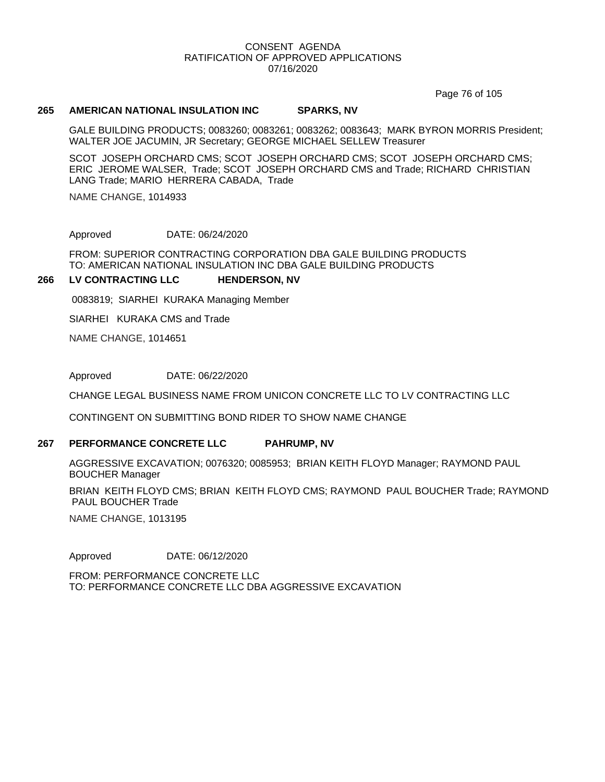Page 76 of 105

#### **265 AMERICAN NATIONAL INSULATION INC SPARKS, NV**

GALE BUILDING PRODUCTS; 0083260; 0083261; 0083262; 0083643; MARK BYRON MORRIS President; WALTER JOE JACUMIN, JR Secretary; GEORGE MICHAEL SELLEW Treasurer

SCOT JOSEPH ORCHARD CMS; SCOT JOSEPH ORCHARD CMS; SCOT JOSEPH ORCHARD CMS; ERIC JEROME WALSER, Trade; SCOT JOSEPH ORCHARD CMS and Trade; RICHARD CHRISTIAN LANG Trade; MARIO HERRERA CABADA, Trade

NAME CHANGE, 1014933

Approved DATE: 06/24/2020

FROM: SUPERIOR CONTRACTING CORPORATION DBA GALE BUILDING PRODUCTS TO: AMERICAN NATIONAL INSULATION INC DBA GALE BUILDING PRODUCTS

#### **266 LV CONTRACTING LLC HENDERSON, NV**

0083819; SIARHEI KURAKA Managing Member

SIARHEI KURAKA CMS and Trade

NAME CHANGE, 1014651

Approved DATE: 06/22/2020

CHANGE LEGAL BUSINESS NAME FROM UNICON CONCRETE LLC TO LV CONTRACTING LLC

CONTINGENT ON SUBMITTING BOND RIDER TO SHOW NAME CHANGE

#### **267 PERFORMANCE CONCRETE LLC PAHRUMP, NV**

AGGRESSIVE EXCAVATION; 0076320; 0085953; BRIAN KEITH FLOYD Manager; RAYMOND PAUL BOUCHER Manager

BRIAN KEITH FLOYD CMS; BRIAN KEITH FLOYD CMS; RAYMOND PAUL BOUCHER Trade; RAYMOND PAUL BOUCHER Trade

NAME CHANGE, 1013195

Approved DATE: 06/12/2020

FROM: PERFORMANCE CONCRETE LLC TO: PERFORMANCE CONCRETE LLC DBA AGGRESSIVE EXCAVATION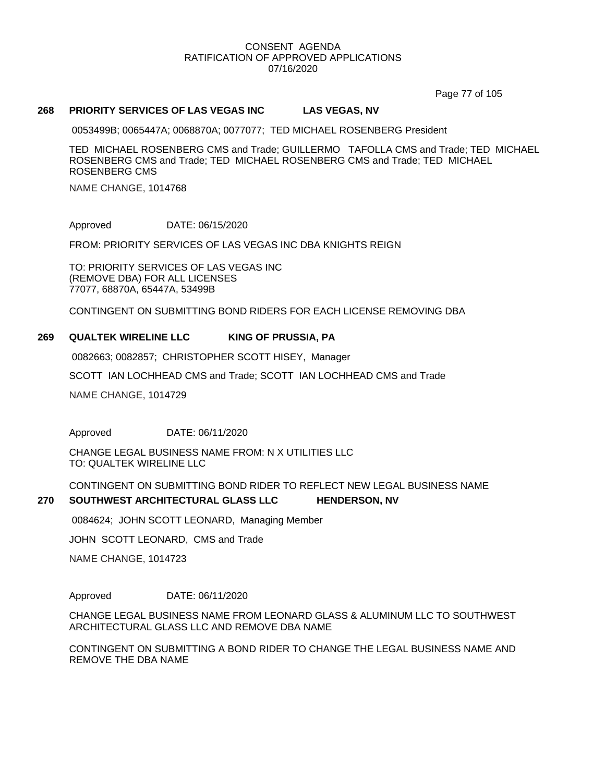Page 77 of 105

#### **268 PRIORITY SERVICES OF LAS VEGAS INC LAS VEGAS, NV**

0053499B; 0065447A; 0068870A; 0077077; TED MICHAEL ROSENBERG President

TED MICHAEL ROSENBERG CMS and Trade; GUILLERMO TAFOLLA CMS and Trade; TED MICHAEL ROSENBERG CMS and Trade; TED MICHAEL ROSENBERG CMS and Trade; TED MICHAEL ROSENBERG CMS

NAME CHANGE, 1014768

Approved DATE: 06/15/2020

FROM: PRIORITY SERVICES OF LAS VEGAS INC DBA KNIGHTS REIGN

TO: PRIORITY SERVICES OF LAS VEGAS INC (REMOVE DBA) FOR ALL LICENSES 77077, 68870A, 65447A, 53499B

CONTINGENT ON SUBMITTING BOND RIDERS FOR EACH LICENSE REMOVING DBA

#### **269 QUALTEK WIRELINE LLC KING OF PRUSSIA, PA**

0082663; 0082857; CHRISTOPHER SCOTT HISEY, Manager

SCOTT IAN LOCHHEAD CMS and Trade; SCOTT IAN LOCHHEAD CMS and Trade

NAME CHANGE, 1014729

Approved DATE: 06/11/2020

CHANGE LEGAL BUSINESS NAME FROM: N X UTILITIES LLC TO: QUALTEK WIRELINE LLC

CONTINGENT ON SUBMITTING BOND RIDER TO REFLECT NEW LEGAL BUSINESS NAME

#### **270 SOUTHWEST ARCHITECTURAL GLASS LLC HENDERSON, NV**

0084624; JOHN SCOTT LEONARD, Managing Member

JOHN SCOTT LEONARD, CMS and Trade

NAME CHANGE, 1014723

Approved DATE: 06/11/2020

CHANGE LEGAL BUSINESS NAME FROM LEONARD GLASS & ALUMINUM LLC TO SOUTHWEST ARCHITECTURAL GLASS LLC AND REMOVE DBA NAME

CONTINGENT ON SUBMITTING A BOND RIDER TO CHANGE THE LEGAL BUSINESS NAME AND REMOVE THE DBA NAME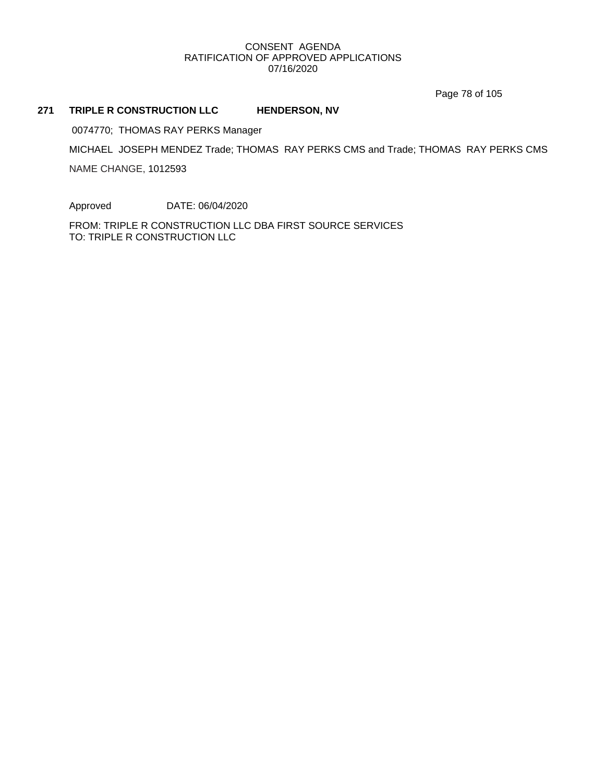Page 78 of 105

#### **271 TRIPLE R CONSTRUCTION LLC HENDERSON, NV**

0074770; THOMAS RAY PERKS Manager

MICHAEL JOSEPH MENDEZ Trade; THOMAS RAY PERKS CMS and Trade; THOMAS RAY PERKS CMS

NAME CHANGE, 1012593

Approved DATE: 06/04/2020

FROM: TRIPLE R CONSTRUCTION LLC DBA FIRST SOURCE SERVICES TO: TRIPLE R CONSTRUCTION LLC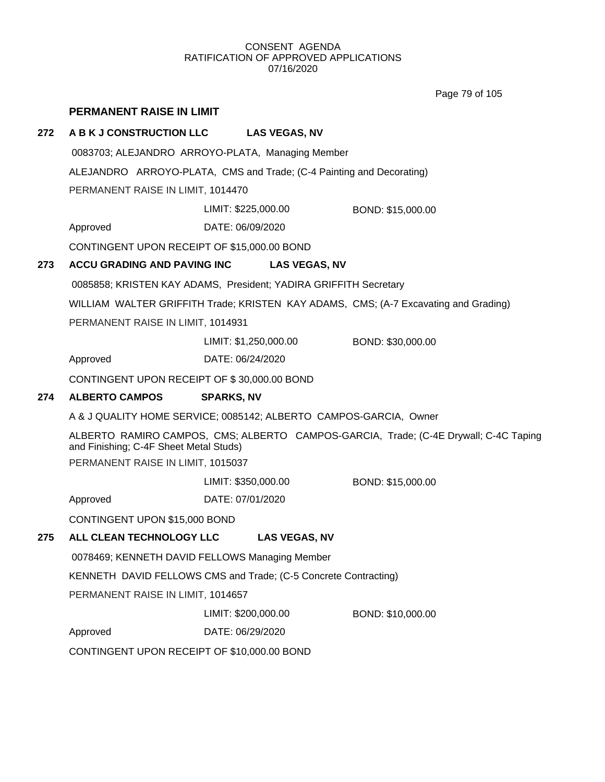Page 79 of 105

# **PERMANENT RAISE IN LIMIT**

## **272 A B K J CONSTRUCTION LLC LAS VEGAS, NV**

0083703; ALEJANDRO ARROYO-PLATA, Managing Member

ALEJANDRO ARROYO-PLATA, CMS and Trade; (C-4 Painting and Decorating)

PERMANENT RAISE IN LIMIT, 1014470

LIMIT: \$225,000.00 BOND: \$15,000.00

Approved DATE: 06/09/2020

CONTINGENT UPON RECEIPT OF \$15,000.00 BOND

## **273 ACCU GRADING AND PAVING INC LAS VEGAS, NV**

0085858; KRISTEN KAY ADAMS, President; YADIRA GRIFFITH Secretary

WILLIAM WALTER GRIFFITH Trade; KRISTEN KAY ADAMS, CMS; (A-7 Excavating and Grading)

PERMANENT RAISE IN LIMIT, 1014931

LIMIT: \$1,250,000.00 BOND: \$30,000.00

Approved DATE: 06/24/2020

CONTINGENT UPON RECEIPT OF \$ 30,000.00 BOND

# **274 ALBERTO CAMPOS SPARKS, NV**

A & J QUALITY HOME SERVICE; 0085142; ALBERTO CAMPOS-GARCIA, Owner

ALBERTO RAMIRO CAMPOS, CMS; ALBERTO CAMPOS-GARCIA, Trade; (C-4E Drywall; C-4C Taping and Finishing; C-4F Sheet Metal Studs)

PERMANENT RAISE IN LIMIT, 1015037

LIMIT: \$350,000.00 BOND: \$15,000.00

Approved DATE: 07/01/2020

CONTINGENT UPON \$15,000 BOND

# **275 ALL CLEAN TECHNOLOGY LLC LAS VEGAS, NV**

0078469; KENNETH DAVID FELLOWS Managing Member

KENNETH DAVID FELLOWS CMS and Trade; (C-5 Concrete Contracting)

PERMANENT RAISE IN LIMIT, 1014657

LIMIT: \$200,000.00 BOND: \$10,000.00

Approved DATE: 06/29/2020

CONTINGENT UPON RECEIPT OF \$10,000.00 BOND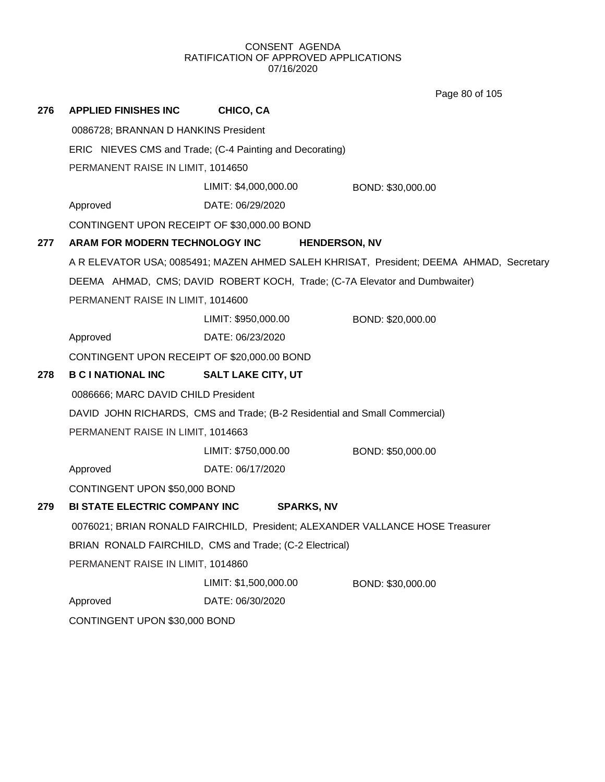Page 80 of 105

| 276                                                                           | <b>APPLIED FINISHES INC</b>                 | CHICO, CA                                                                  |                                                                                         |  |
|-------------------------------------------------------------------------------|---------------------------------------------|----------------------------------------------------------------------------|-----------------------------------------------------------------------------------------|--|
| 0086728; BRANNAN D HANKINS President                                          |                                             |                                                                            |                                                                                         |  |
|                                                                               |                                             | ERIC NIEVES CMS and Trade; (C-4 Painting and Decorating)                   |                                                                                         |  |
|                                                                               | PERMANENT RAISE IN LIMIT, 1014650           |                                                                            |                                                                                         |  |
|                                                                               |                                             | LIMIT: \$4,000,000.00                                                      | BOND: \$30,000.00                                                                       |  |
|                                                                               | Approved                                    | DATE: 06/29/2020                                                           |                                                                                         |  |
|                                                                               | CONTINGENT UPON RECEIPT OF \$30,000.00 BOND |                                                                            |                                                                                         |  |
| 277                                                                           | ARAM FOR MODERN TECHNOLOGY INC              | <b>HENDERSON, NV</b>                                                       |                                                                                         |  |
|                                                                               |                                             |                                                                            | A R ELEVATOR USA; 0085491; MAZEN AHMED SALEH KHRISAT, President; DEEMA AHMAD, Secretary |  |
|                                                                               |                                             | DEEMA AHMAD, CMS; DAVID ROBERT KOCH, Trade; (C-7A Elevator and Dumbwaiter) |                                                                                         |  |
|                                                                               | PERMANENT RAISE IN LIMIT, 1014600           |                                                                            |                                                                                         |  |
|                                                                               |                                             | LIMIT: \$950,000.00                                                        | BOND: \$20,000.00                                                                       |  |
|                                                                               | Approved                                    | DATE: 06/23/2020                                                           |                                                                                         |  |
|                                                                               | CONTINGENT UPON RECEIPT OF \$20,000.00 BOND |                                                                            |                                                                                         |  |
| 278                                                                           | <b>B C I NATIONAL INC</b>                   | <b>SALT LAKE CITY, UT</b>                                                  |                                                                                         |  |
|                                                                               | 0086666; MARC DAVID CHILD President         |                                                                            |                                                                                         |  |
|                                                                               |                                             | DAVID JOHN RICHARDS, CMS and Trade; (B-2 Residential and Small Commercial) |                                                                                         |  |
|                                                                               | PERMANENT RAISE IN LIMIT, 1014663           |                                                                            |                                                                                         |  |
|                                                                               |                                             | LIMIT: \$750,000.00                                                        | BOND: \$50,000.00                                                                       |  |
|                                                                               | Approved                                    | DATE: 06/17/2020                                                           |                                                                                         |  |
|                                                                               | CONTINGENT UPON \$50,000 BOND               |                                                                            |                                                                                         |  |
| 279                                                                           | <b>BI STATE ELECTRIC COMPANY INC</b>        | <b>SPARKS, NV</b>                                                          |                                                                                         |  |
| 0076021; BRIAN RONALD FAIRCHILD, President; ALEXANDER VALLANCE HOSE Treasurer |                                             |                                                                            |                                                                                         |  |
| BRIAN RONALD FAIRCHILD, CMS and Trade; (C-2 Electrical)                       |                                             |                                                                            |                                                                                         |  |
|                                                                               | PERMANENT RAISE IN LIMIT, 1014860           |                                                                            |                                                                                         |  |
|                                                                               |                                             | LIMIT: \$1,500,000.00                                                      | BOND: \$30,000.00                                                                       |  |
|                                                                               | Approved                                    | DATE: 06/30/2020                                                           |                                                                                         |  |
|                                                                               | CONTINGENT UPON \$30,000 BOND               |                                                                            |                                                                                         |  |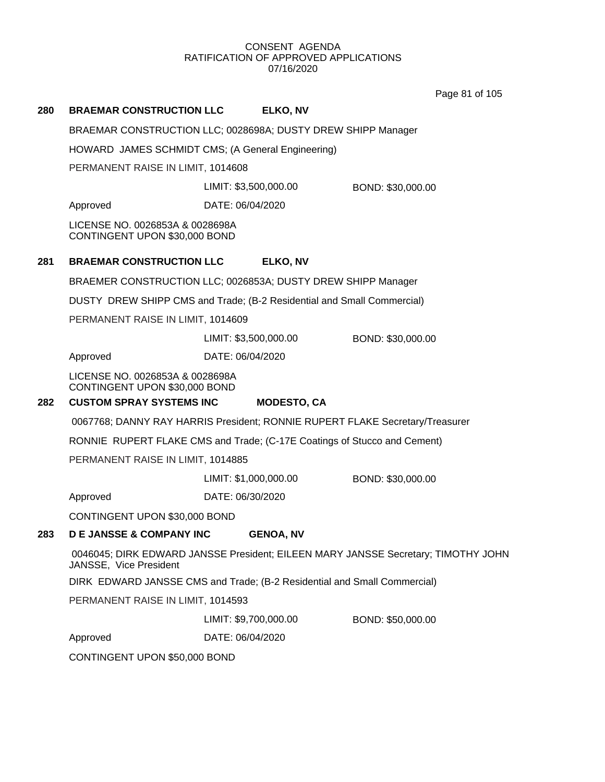Page 81 of 105

| 280 | <b>BRAEMAR CONSTRUCTION LLC</b>                                              |                       | ELKO, NV           |                                                                                   |
|-----|------------------------------------------------------------------------------|-----------------------|--------------------|-----------------------------------------------------------------------------------|
|     | BRAEMAR CONSTRUCTION LLC; 0028698A; DUSTY DREW SHIPP Manager                 |                       |                    |                                                                                   |
|     | HOWARD JAMES SCHMIDT CMS; (A General Engineering)                            |                       |                    |                                                                                   |
|     | PERMANENT RAISE IN LIMIT, 1014608                                            |                       |                    |                                                                                   |
|     |                                                                              | LIMIT: \$3,500,000.00 |                    | BOND: \$30,000.00                                                                 |
|     | Approved                                                                     | DATE: 06/04/2020      |                    |                                                                                   |
|     | LICENSE NO. 0026853A & 0028698A<br>CONTINGENT UPON \$30,000 BOND             |                       |                    |                                                                                   |
| 281 | <b>BRAEMAR CONSTRUCTION LLC</b>                                              |                       | ELKO, NV           |                                                                                   |
|     | BRAEMER CONSTRUCTION LLC; 0026853A; DUSTY DREW SHIPP Manager                 |                       |                    |                                                                                   |
|     | DUSTY DREW SHIPP CMS and Trade; (B-2 Residential and Small Commercial)       |                       |                    |                                                                                   |
|     | PERMANENT RAISE IN LIMIT, 1014609                                            |                       |                    |                                                                                   |
|     |                                                                              | LIMIT: \$3,500,000.00 |                    | BOND: \$30,000.00                                                                 |
|     | Approved                                                                     | DATE: 06/04/2020      |                    |                                                                                   |
|     | LICENSE NO. 0026853A & 0028698A<br>CONTINGENT UPON \$30,000 BOND             |                       |                    |                                                                                   |
| 282 | <b>CUSTOM SPRAY SYSTEMS INC</b>                                              |                       | <b>MODESTO, CA</b> |                                                                                   |
|     | 0067768; DANNY RAY HARRIS President; RONNIE RUPERT FLAKE Secretary/Treasurer |                       |                    |                                                                                   |
|     | RONNIE RUPERT FLAKE CMS and Trade; (C-17E Coatings of Stucco and Cement)     |                       |                    |                                                                                   |
|     | PERMANENT RAISE IN LIMIT, 1014885                                            |                       |                    |                                                                                   |
|     |                                                                              | LIMIT: \$1,000,000.00 |                    | BOND: \$30,000.00                                                                 |
|     | Approved                                                                     | DATE: 06/30/2020      |                    |                                                                                   |
|     | CONTINGENT UPON \$30,000 BOND                                                |                       |                    |                                                                                   |
| 283 | <b>DE JANSSE &amp; COMPANY INC</b>                                           |                       | <b>GENOA, NV</b>   |                                                                                   |
|     | JANSSE, Vice President                                                       |                       |                    | 0046045; DIRK EDWARD JANSSE President; EILEEN MARY JANSSE Secretary; TIMOTHY JOHN |
|     | DIRK EDWARD JANSSE CMS and Trade; (B-2 Residential and Small Commercial)     |                       |                    |                                                                                   |
|     | PERMANENT RAISE IN LIMIT, 1014593                                            |                       |                    |                                                                                   |
|     |                                                                              | LIMIT: \$9,700,000.00 |                    | BOND: \$50,000.00                                                                 |
|     | Approved                                                                     | DATE: 06/04/2020      |                    |                                                                                   |

CONTINGENT UPON \$50,000 BOND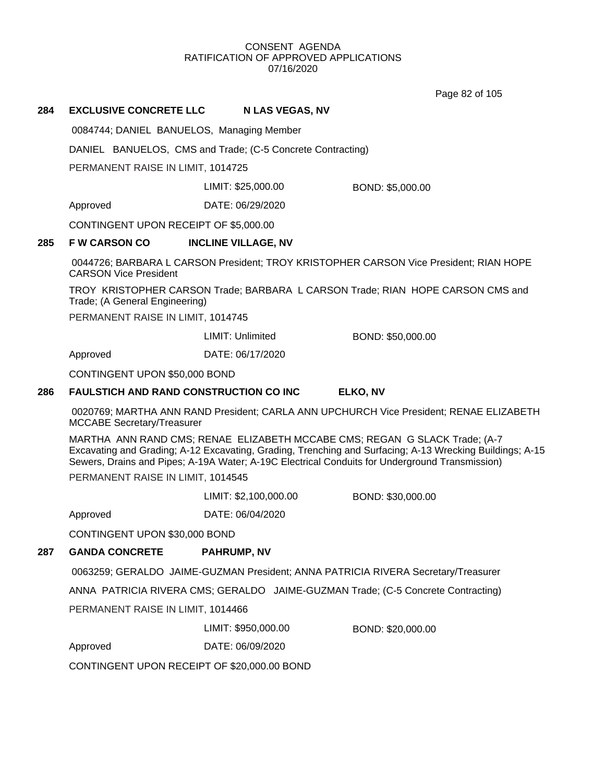Page 82 of 105

#### **284 EXCLUSIVE CONCRETE LLC N LAS VEGAS, NV**

0084744; DANIEL BANUELOS, Managing Member

DANIEL BANUELOS, CMS and Trade; (C-5 Concrete Contracting)

PERMANENT RAISE IN LIMIT, 1014725

LIMIT: \$25,000.00 BOND: \$5,000.00

Approved DATE: 06/29/2020

CONTINGENT UPON RECEIPT OF \$5,000.00

## **285 F W CARSON CO INCLINE VILLAGE, NV**

0044726; BARBARA L CARSON President; TROY KRISTOPHER CARSON Vice President; RIAN HOPE CARSON Vice President

TROY KRISTOPHER CARSON Trade; BARBARA L CARSON Trade; RIAN HOPE CARSON CMS and Trade; (A General Engineering)

PERMANENT RAISE IN LIMIT, 1014745

LIMIT: Unlimited BOND: \$50,000.00

Approved DATE: 06/17/2020

CONTINGENT UPON \$50,000 BOND

#### **286 FAULSTICH AND RAND CONSTRUCTION CO INC ELKO, NV**

0020769; MARTHA ANN RAND President; CARLA ANN UPCHURCH Vice President; RENAE ELIZABETH MCCABE Secretary/Treasurer

MARTHA ANN RAND CMS; RENAE ELIZABETH MCCABE CMS; REGAN G SLACK Trade; (A-7 Excavating and Grading; A-12 Excavating, Grading, Trenching and Surfacing; A-13 Wrecking Buildings; A-15 Sewers, Drains and Pipes; A-19A Water; A-19C Electrical Conduits for Underground Transmission) PERMANENT RAISE IN LIMIT, 1014545

LIMIT: \$2,100,000.00 BOND: \$30,000.00

Approved DATE: 06/04/2020

CONTINGENT UPON \$30,000 BOND

# **287 GANDA CONCRETE PAHRUMP, NV**

0063259; GERALDO JAIME-GUZMAN President; ANNA PATRICIA RIVERA Secretary/Treasurer

ANNA PATRICIA RIVERA CMS; GERALDO JAIME-GUZMAN Trade; (C-5 Concrete Contracting)

PERMANENT RAISE IN LIMIT, 1014466

LIMIT: \$950,000.00 BOND: \$20,000.00

Approved DATE: 06/09/2020

CONTINGENT UPON RECEIPT OF \$20,000.00 BOND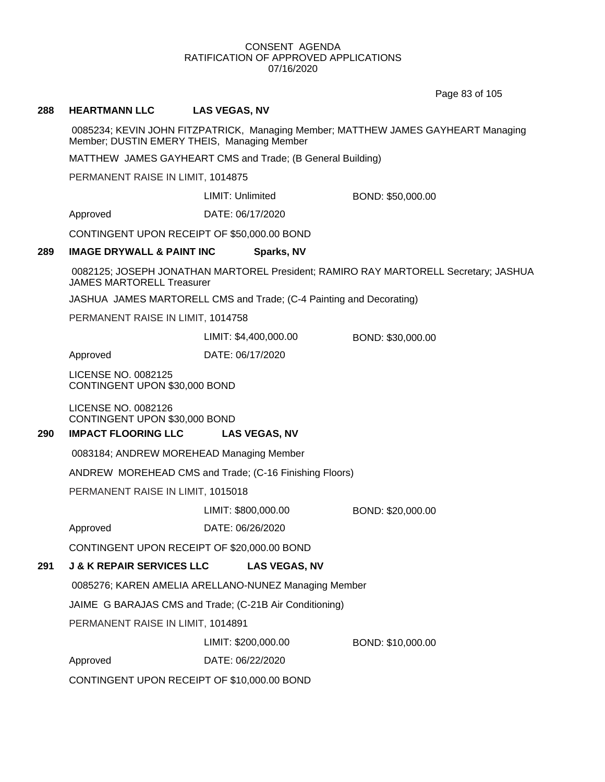Page 83 of 105

#### **288 HEARTMANN LLC LAS VEGAS, NV**

0085234; KEVIN JOHN FITZPATRICK, Managing Member; MATTHEW JAMES GAYHEART Managing Member; DUSTIN EMERY THEIS, Managing Member

MATTHEW JAMES GAYHEART CMS and Trade; (B General Building)

PERMANENT RAISE IN LIMIT, 1014875

LIMIT: Unlimited BOND: \$50,000.00

Approved DATE: 06/17/2020

CONTINGENT UPON RECEIPT OF \$50,000.00 BOND

#### **289 IMAGE DRYWALL & PAINT INC Sparks, NV**

0082125; JOSEPH JONATHAN MARTOREL President; RAMIRO RAY MARTORELL Secretary; JASHUA JAMES MARTORELL Treasurer

JASHUA JAMES MARTORELL CMS and Trade; (C-4 Painting and Decorating)

PERMANENT RAISE IN LIMIT, 1014758

LIMIT: \$4,400,000.00 BOND: \$30,000.00

Approved DATE: 06/17/2020

LICENSE NO. 0082125 CONTINGENT UPON \$30,000 BOND

LICENSE NO. 0082126 CONTINGENT UPON \$30,000 BOND

#### **290 IMPACT FLOORING LLC LAS VEGAS, NV**

0083184; ANDREW MOREHEAD Managing Member

ANDREW MOREHEAD CMS and Trade; (C-16 Finishing Floors)

PERMANENT RAISE IN LIMIT, 1015018

#### LIMIT: \$800,000.00 BOND: \$20,000.00

Approved DATE: 06/26/2020

CONTINGENT UPON RECEIPT OF \$20,000.00 BOND

# **291 J & K REPAIR SERVICES LLC LAS VEGAS, NV**

0085276; KAREN AMELIA ARELLANO-NUNEZ Managing Member

JAIME G BARAJAS CMS and Trade; (C-21B Air Conditioning)

PERMANENT RAISE IN LIMIT, 1014891

LIMIT: \$200,000.00 BOND: \$10,000.00

Approved DATE: 06/22/2020

CONTINGENT UPON RECEIPT OF \$10,000.00 BOND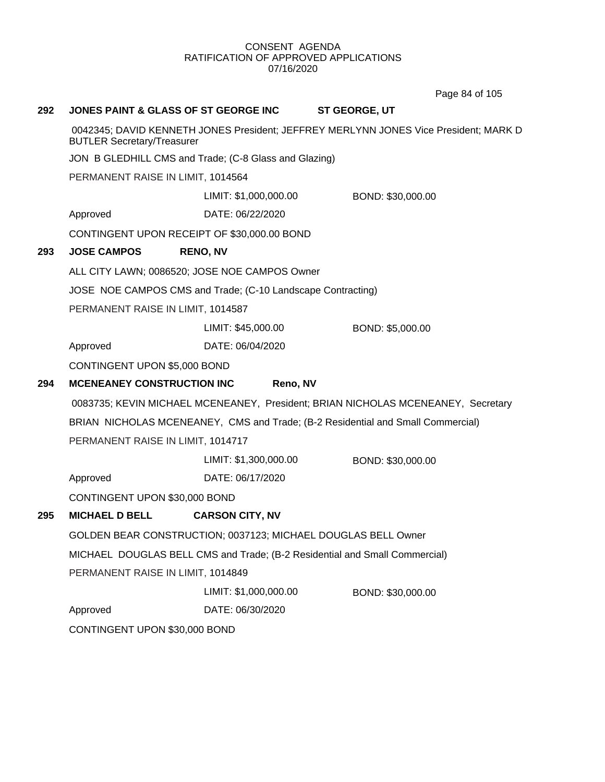Page 84 of 105

| 292 |                                                                                                                           | JONES PAINT & GLASS OF ST GEORGE INC                          | <b>ST GEORGE, UT</b>                                                             |  |
|-----|---------------------------------------------------------------------------------------------------------------------------|---------------------------------------------------------------|----------------------------------------------------------------------------------|--|
|     | 0042345; DAVID KENNETH JONES President; JEFFREY MERLYNN JONES Vice President; MARK D<br><b>BUTLER Secretary/Treasurer</b> |                                                               |                                                                                  |  |
|     | JON B GLEDHILL CMS and Trade; (C-8 Glass and Glazing)                                                                     |                                                               |                                                                                  |  |
|     | PERMANENT RAISE IN LIMIT, 1014564                                                                                         |                                                               |                                                                                  |  |
|     |                                                                                                                           | LIMIT: \$1,000,000.00                                         | BOND: \$30,000.00                                                                |  |
|     | Approved                                                                                                                  | DATE: 06/22/2020                                              |                                                                                  |  |
|     |                                                                                                                           | CONTINGENT UPON RECEIPT OF \$30,000.00 BOND                   |                                                                                  |  |
| 293 | <b>JOSE CAMPOS</b>                                                                                                        | <b>RENO, NV</b>                                               |                                                                                  |  |
|     |                                                                                                                           | ALL CITY LAWN; 0086520; JOSE NOE CAMPOS Owner                 |                                                                                  |  |
|     |                                                                                                                           | JOSE NOE CAMPOS CMS and Trade; (C-10 Landscape Contracting)   |                                                                                  |  |
|     | PERMANENT RAISE IN LIMIT, 1014587                                                                                         |                                                               |                                                                                  |  |
|     |                                                                                                                           | LIMIT: \$45,000.00                                            | BOND: \$5,000.00                                                                 |  |
|     | Approved                                                                                                                  | DATE: 06/04/2020                                              |                                                                                  |  |
|     | CONTINGENT UPON \$5,000 BOND                                                                                              |                                                               |                                                                                  |  |
| 294 | <b>MCENEANEY CONSTRUCTION INC</b>                                                                                         | Reno, NV                                                      |                                                                                  |  |
|     |                                                                                                                           |                                                               | 0083735; KEVIN MICHAEL MCENEANEY, President; BRIAN NICHOLAS MCENEANEY, Secretary |  |
|     |                                                                                                                           |                                                               | BRIAN NICHOLAS MCENEANEY, CMS and Trade; (B-2 Residential and Small Commercial)  |  |
|     | PERMANENT RAISE IN LIMIT, 1014717                                                                                         |                                                               |                                                                                  |  |
|     |                                                                                                                           | LIMIT: \$1,300,000.00                                         | BOND: \$30,000.00                                                                |  |
|     | Approved                                                                                                                  | DATE: 06/17/2020                                              |                                                                                  |  |
|     | CONTINGENT UPON \$30,000 BOND                                                                                             |                                                               |                                                                                  |  |
| 295 | <b>MICHAEL D BELL</b>                                                                                                     | <b>CARSON CITY, NV</b>                                        |                                                                                  |  |
|     |                                                                                                                           | GOLDEN BEAR CONSTRUCTION; 0037123; MICHAEL DOUGLAS BELL Owner |                                                                                  |  |
|     | MICHAEL DOUGLAS BELL CMS and Trade; (B-2 Residential and Small Commercial)                                                |                                                               |                                                                                  |  |
|     | PERMANENT RAISE IN LIMIT, 1014849                                                                                         |                                                               |                                                                                  |  |
|     |                                                                                                                           | LIMIT: \$1,000,000.00                                         | BOND: \$30,000.00                                                                |  |
|     | Approved                                                                                                                  | DATE: 06/30/2020                                              |                                                                                  |  |
|     | CONTINGENT UPON \$30,000 BOND                                                                                             |                                                               |                                                                                  |  |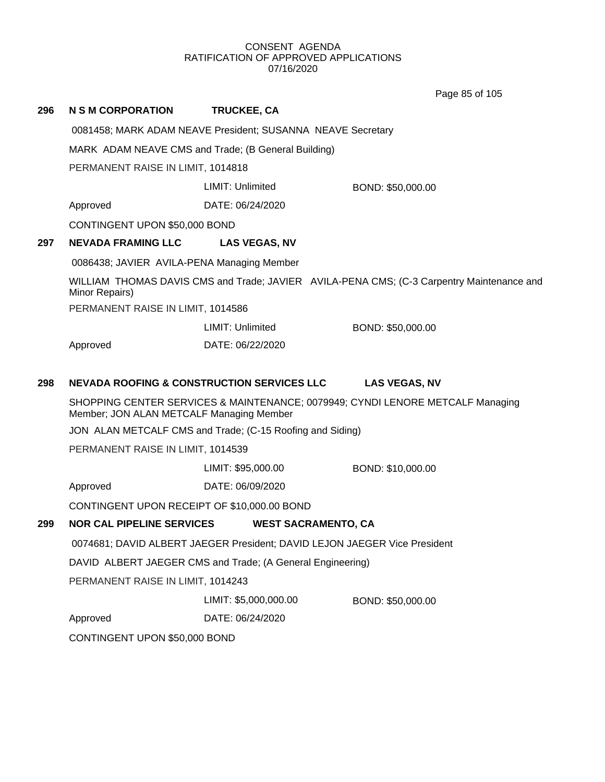Page 85 of 105

|     |                                                                                                                            |                         | i ayu uu ui iyu                                                                           |
|-----|----------------------------------------------------------------------------------------------------------------------------|-------------------------|-------------------------------------------------------------------------------------------|
| 296 | N S M CORPORATION                                                                                                          | <b>TRUCKEE, CA</b>      |                                                                                           |
|     | 0081458; MARK ADAM NEAVE President; SUSANNA NEAVE Secretary                                                                |                         |                                                                                           |
|     | MARK ADAM NEAVE CMS and Trade; (B General Building)                                                                        |                         |                                                                                           |
|     | PERMANENT RAISE IN LIMIT, 1014818                                                                                          |                         |                                                                                           |
|     |                                                                                                                            | LIMIT: Unlimited        | BOND: \$50,000.00                                                                         |
|     | Approved                                                                                                                   | DATE: 06/24/2020        |                                                                                           |
|     | CONTINGENT UPON \$50,000 BOND                                                                                              |                         |                                                                                           |
| 297 | <b>NEVADA FRAMING LLC</b>                                                                                                  | <b>LAS VEGAS, NV</b>    |                                                                                           |
|     | 0086438; JAVIER AVILA-PENA Managing Member                                                                                 |                         |                                                                                           |
|     | Minor Repairs)                                                                                                             |                         | WILLIAM THOMAS DAVIS CMS and Trade; JAVIER AVILA-PENA CMS; (C-3 Carpentry Maintenance and |
|     | PERMANENT RAISE IN LIMIT, 1014586                                                                                          |                         |                                                                                           |
|     |                                                                                                                            | <b>LIMIT: Unlimited</b> | BOND: \$50,000.00                                                                         |
|     | Approved                                                                                                                   | DATE: 06/22/2020        |                                                                                           |
| 298 | <b>NEVADA ROOFING &amp; CONSTRUCTION SERVICES LLC</b>                                                                      |                         | <b>LAS VEGAS, NV</b>                                                                      |
|     | SHOPPING CENTER SERVICES & MAINTENANCE; 0079949; CYNDI LENORE METCALF Managing<br>Member; JON ALAN METCALF Managing Member |                         |                                                                                           |
|     | JON ALAN METCALF CMS and Trade; (C-15 Roofing and Siding)                                                                  |                         |                                                                                           |
|     | PERMANENT RAISE IN LIMIT, 1014539                                                                                          |                         |                                                                                           |
|     |                                                                                                                            | LIMIT: \$95,000.00      | BOND: \$10,000.00                                                                         |
|     | Approved                                                                                                                   | DATE: 06/09/2020        |                                                                                           |
|     | CONTINGENT UPON RECEIPT OF \$10,000.00 BOND                                                                                |                         |                                                                                           |
| 299 | <b>NOR CAL PIPELINE SERVICES</b>                                                                                           |                         | <b>WEST SACRAMENTO, CA</b>                                                                |
|     |                                                                                                                            |                         | 0074681; DAVID ALBERT JAEGER President; DAVID LEJON JAEGER Vice President                 |
|     | DAVID ALBERT JAEGER CMS and Trade; (A General Engineering)                                                                 |                         |                                                                                           |
|     | PERMANENT RAISE IN LIMIT, 1014243                                                                                          |                         |                                                                                           |
|     |                                                                                                                            | LIMIT: \$5,000,000.00   | BOND: \$50,000.00                                                                         |
|     | Approved                                                                                                                   | DATE: 06/24/2020        |                                                                                           |
|     | CONTINGENT UPON \$50,000 BOND                                                                                              |                         |                                                                                           |
|     |                                                                                                                            |                         |                                                                                           |
|     |                                                                                                                            |                         |                                                                                           |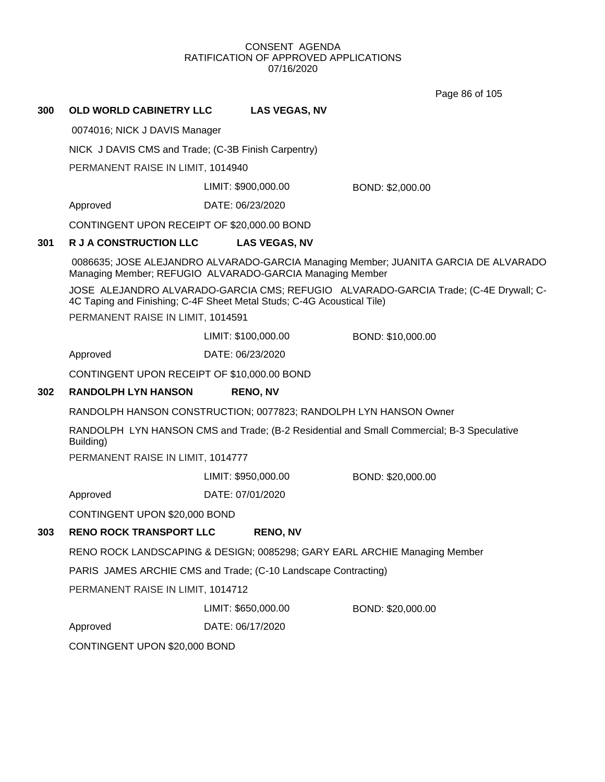Page 86 of 105

# **300 OLD WORLD CABINETRY LLC LAS VEGAS, NV**

0074016; NICK J DAVIS Manager

NICK J DAVIS CMS and Trade; (C-3B Finish Carpentry)

PERMANENT RAISE IN LIMIT, 1014940

LIMIT: \$900,000.00 BOND: \$2,000.00

Approved DATE: 06/23/2020

CONTINGENT UPON RECEIPT OF \$20,000.00 BOND

# **301 R J A CONSTRUCTION LLC LAS VEGAS, NV**

0086635; JOSE ALEJANDRO ALVARADO-GARCIA Managing Member; JUANITA GARCIA DE ALVARADO Managing Member; REFUGIO ALVARADO-GARCIA Managing Member

JOSE ALEJANDRO ALVARADO-GARCIA CMS; REFUGIO ALVARADO-GARCIA Trade; (C-4E Drywall; C-4C Taping and Finishing; C-4F Sheet Metal Studs; C-4G Acoustical Tile)

PERMANENT RAISE IN LIMIT, 1014591

LIMIT: \$100,000.00 BOND: \$10,000.00

Approved DATE: 06/23/2020

CONTINGENT UPON RECEIPT OF \$10,000.00 BOND

# **302 RANDOLPH LYN HANSON RENO, NV**

RANDOLPH HANSON CONSTRUCTION; 0077823; RANDOLPH LYN HANSON Owner

RANDOLPH LYN HANSON CMS and Trade; (B-2 Residential and Small Commercial; B-3 Speculative Building)

PERMANENT RAISE IN LIMIT, 1014777

LIMIT: \$950,000.00 BOND: \$20,000.00

Approved DATE: 07/01/2020

CONTINGENT UPON \$20,000 BOND

# **303 RENO ROCK TRANSPORT LLC RENO, NV**

RENO ROCK LANDSCAPING & DESIGN; 0085298; GARY EARL ARCHIE Managing Member

PARIS JAMES ARCHIE CMS and Trade; (C-10 Landscape Contracting)

PERMANENT RAISE IN LIMIT, 1014712

LIMIT: \$650,000.00 BOND: \$20,000.00

Approved DATE: 06/17/2020

CONTINGENT UPON \$20,000 BOND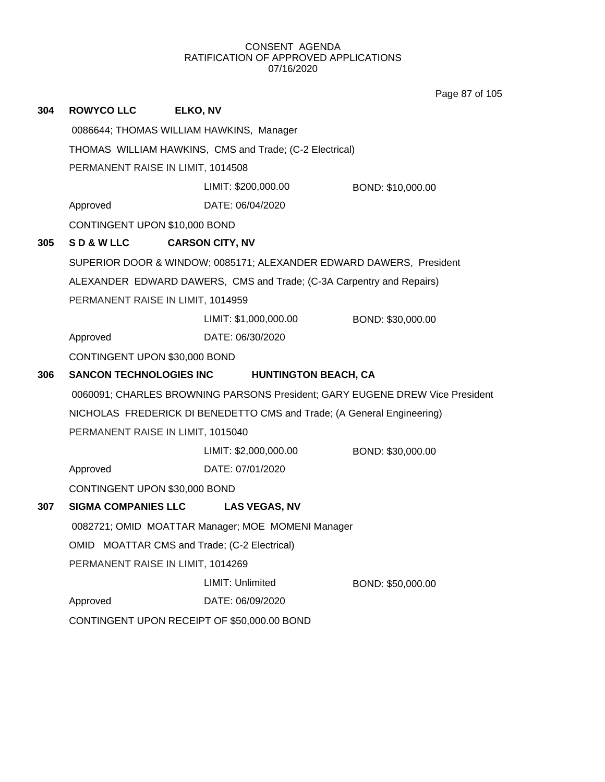Page 87 of 105

| 304 | <b>ROWYCO LLC</b>                                                                                 | ELKO, NV                                                             |                   |  |
|-----|---------------------------------------------------------------------------------------------------|----------------------------------------------------------------------|-------------------|--|
|     |                                                                                                   | 0086644; THOMAS WILLIAM HAWKINS, Manager                             |                   |  |
|     | THOMAS WILLIAM HAWKINS, CMS and Trade; (C-2 Electrical)                                           |                                                                      |                   |  |
|     | PERMANENT RAISE IN LIMIT, 1014508                                                                 |                                                                      |                   |  |
|     |                                                                                                   | LIMIT: \$200,000.00                                                  | BOND: \$10,000.00 |  |
|     | Approved                                                                                          | DATE: 06/04/2020                                                     |                   |  |
|     | CONTINGENT UPON \$10,000 BOND                                                                     |                                                                      |                   |  |
| 305 | SD&WLLC                                                                                           | <b>CARSON CITY, NV</b>                                               |                   |  |
|     |                                                                                                   | SUPERIOR DOOR & WINDOW; 0085171; ALEXANDER EDWARD DAWERS, President  |                   |  |
|     |                                                                                                   | ALEXANDER EDWARD DAWERS, CMS and Trade; (C-3A Carpentry and Repairs) |                   |  |
|     | PERMANENT RAISE IN LIMIT, 1014959                                                                 |                                                                      |                   |  |
|     |                                                                                                   | LIMIT: \$1,000,000.00                                                | BOND: \$30,000.00 |  |
|     | Approved                                                                                          | DATE: 06/30/2020                                                     |                   |  |
|     | CONTINGENT UPON \$30,000 BOND                                                                     |                                                                      |                   |  |
| 306 | <b>SANCON TECHNOLOGIES INC</b><br><b>HUNTINGTON BEACH, CA</b>                                     |                                                                      |                   |  |
|     | 0060091; CHARLES BROWNING PARSONS President; GARY EUGENE DREW Vice President                      |                                                                      |                   |  |
|     | NICHOLAS FREDERICK DI BENEDETTO CMS and Trade; (A General Engineering)                            |                                                                      |                   |  |
|     | PERMANENT RAISE IN LIMIT, 1015040                                                                 |                                                                      |                   |  |
|     |                                                                                                   | LIMIT: \$2,000,000.00                                                | BOND: \$30,000.00 |  |
|     | Approved                                                                                          | DATE: 07/01/2020                                                     |                   |  |
|     | CONTINGENT UPON \$30,000 BOND                                                                     |                                                                      |                   |  |
| 307 | <b>SIGMA COMPANIES LLC</b>                                                                        | <b>LAS VEGAS, NV</b>                                                 |                   |  |
|     | 0082721; OMID MOATTAR Manager; MOE MOMENI Manager<br>OMID MOATTAR CMS and Trade; (C-2 Electrical) |                                                                      |                   |  |
|     |                                                                                                   |                                                                      |                   |  |
|     | PERMANENT RAISE IN LIMIT, 1014269                                                                 |                                                                      |                   |  |
|     |                                                                                                   | LIMIT: Unlimited                                                     | BOND: \$50,000.00 |  |
|     | Approved                                                                                          | DATE: 06/09/2020                                                     |                   |  |
|     | CONTINGENT UPON RECEIPT OF \$50,000.00 BOND                                                       |                                                                      |                   |  |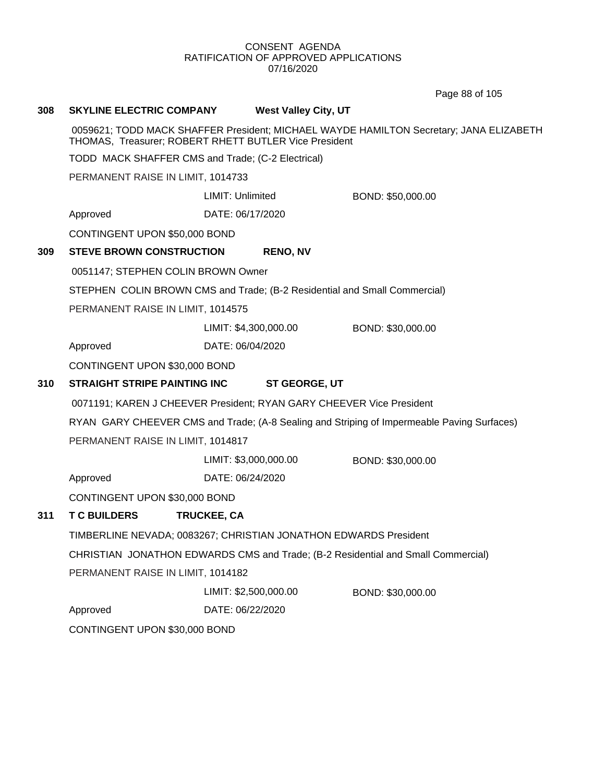Page 88 of 105

| 308 | <b>SKYLINE ELECTRIC COMPANY</b>                                           |                       | <b>West Valley City, UT</b> |                                                                                            |
|-----|---------------------------------------------------------------------------|-----------------------|-----------------------------|--------------------------------------------------------------------------------------------|
|     | THOMAS, Treasurer; ROBERT RHETT BUTLER Vice President                     |                       |                             | 0059621; TODD MACK SHAFFER President; MICHAEL WAYDE HAMILTON Secretary; JANA ELIZABETH     |
|     | TODD MACK SHAFFER CMS and Trade; (C-2 Electrical)                         |                       |                             |                                                                                            |
|     | PERMANENT RAISE IN LIMIT, 1014733                                         |                       |                             |                                                                                            |
|     |                                                                           | LIMIT: Unlimited      |                             | BOND: \$50,000.00                                                                          |
|     | Approved                                                                  | DATE: 06/17/2020      |                             |                                                                                            |
|     | CONTINGENT UPON \$50,000 BOND                                             |                       |                             |                                                                                            |
| 309 | <b>STEVE BROWN CONSTRUCTION</b>                                           |                       | <b>RENO, NV</b>             |                                                                                            |
|     | 0051147; STEPHEN COLIN BROWN Owner                                        |                       |                             |                                                                                            |
|     | STEPHEN COLIN BROWN CMS and Trade; (B-2 Residential and Small Commercial) |                       |                             |                                                                                            |
|     | PERMANENT RAISE IN LIMIT, 1014575                                         |                       |                             |                                                                                            |
|     |                                                                           | LIMIT: \$4,300,000.00 |                             | BOND: \$30,000.00                                                                          |
|     | Approved                                                                  | DATE: 06/04/2020      |                             |                                                                                            |
|     | CONTINGENT UPON \$30,000 BOND                                             |                       |                             |                                                                                            |
| 310 | <b>STRAIGHT STRIPE PAINTING INC</b>                                       |                       | <b>ST GEORGE, UT</b>        |                                                                                            |
|     | 0071191; KAREN J CHEEVER President; RYAN GARY CHEEVER Vice President      |                       |                             |                                                                                            |
|     |                                                                           |                       |                             | RYAN GARY CHEEVER CMS and Trade; (A-8 Sealing and Striping of Impermeable Paving Surfaces) |
|     | PERMANENT RAISE IN LIMIT, 1014817                                         |                       |                             |                                                                                            |
|     |                                                                           | LIMIT: \$3,000,000.00 |                             | BOND: \$30,000.00                                                                          |
|     | Approved                                                                  | DATE: 06/24/2020      |                             |                                                                                            |
|     | CONTINGENT UPON \$30,000 BOND                                             |                       |                             |                                                                                            |
| 311 | <b>T C BUILDERS</b>                                                       | TRUCKEE, CA           |                             |                                                                                            |
|     | TIMBERLINE NEVADA; 0083267; CHRISTIAN JONATHON EDWARDS President          |                       |                             |                                                                                            |
|     |                                                                           |                       |                             | CHRISTIAN JONATHON EDWARDS CMS and Trade; (B-2 Residential and Small Commercial)           |
|     | PERMANENT RAISE IN LIMIT, 1014182                                         |                       |                             |                                                                                            |
|     |                                                                           | LIMIT: \$2,500,000.00 |                             | BOND: \$30,000.00                                                                          |
|     | Approved                                                                  | DATE: 06/22/2020      |                             |                                                                                            |
|     | CONTINGENT UPON \$30,000 BOND                                             |                       |                             |                                                                                            |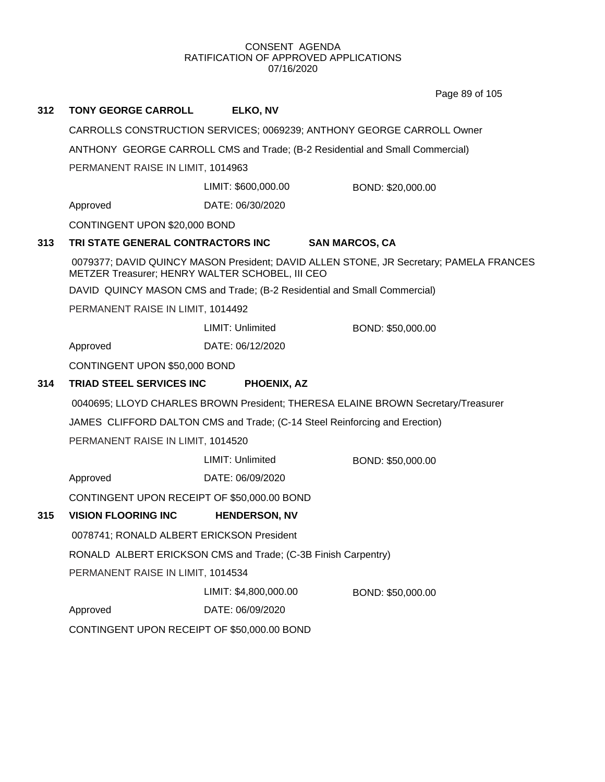Page 89 of 105

| 312 | <b>TONY GEORGE CARROLL</b>                                               | ELKO, NV                |                                                                                        |  |
|-----|--------------------------------------------------------------------------|-------------------------|----------------------------------------------------------------------------------------|--|
|     |                                                                          |                         | CARROLLS CONSTRUCTION SERVICES; 0069239; ANTHONY GEORGE CARROLL Owner                  |  |
|     |                                                                          |                         | ANTHONY GEORGE CARROLL CMS and Trade; (B-2 Residential and Small Commercial)           |  |
|     | PERMANENT RAISE IN LIMIT, 1014963                                        |                         |                                                                                        |  |
|     |                                                                          | LIMIT: \$600,000.00     | BOND: \$20,000.00                                                                      |  |
|     | Approved                                                                 | DATE: 06/30/2020        |                                                                                        |  |
|     | CONTINGENT UPON \$20,000 BOND                                            |                         |                                                                                        |  |
| 313 | TRI STATE GENERAL CONTRACTORS INC                                        |                         | <b>SAN MARCOS, CA</b>                                                                  |  |
|     | METZER Treasurer; HENRY WALTER SCHOBEL, III CEO                          |                         | 0079377; DAVID QUINCY MASON President; DAVID ALLEN STONE, JR Secretary; PAMELA FRANCES |  |
|     | DAVID QUINCY MASON CMS and Trade; (B-2 Residential and Small Commercial) |                         |                                                                                        |  |
|     | PERMANENT RAISE IN LIMIT, 1014492                                        |                         |                                                                                        |  |
|     |                                                                          | <b>LIMIT: Unlimited</b> | BOND: \$50,000.00                                                                      |  |
|     | Approved                                                                 | DATE: 06/12/2020        |                                                                                        |  |
|     | CONTINGENT UPON \$50,000 BOND                                            |                         |                                                                                        |  |
| 314 | <b>TRIAD STEEL SERVICES INC</b>                                          | PHOENIX, AZ             |                                                                                        |  |
|     |                                                                          |                         | 0040695; LLOYD CHARLES BROWN President; THERESA ELAINE BROWN Secretary/Treasurer       |  |
|     |                                                                          |                         | JAMES CLIFFORD DALTON CMS and Trade; (C-14 Steel Reinforcing and Erection)             |  |
|     | PERMANENT RAISE IN LIMIT, 1014520                                        |                         |                                                                                        |  |
|     |                                                                          | LIMIT: Unlimited        | BOND: \$50,000.00                                                                      |  |
|     | Approved                                                                 | DATE: 06/09/2020        |                                                                                        |  |
|     | CONTINGENT UPON RECEIPT OF \$50,000.00 BOND                              |                         |                                                                                        |  |
| 315 | <b>VISION FLOORING INC</b>                                               | <b>HENDERSON, NV</b>    |                                                                                        |  |
|     | 0078741; RONALD ALBERT ERICKSON President                                |                         |                                                                                        |  |
|     | RONALD ALBERT ERICKSON CMS and Trade; (C-3B Finish Carpentry)            |                         |                                                                                        |  |
|     | PERMANENT RAISE IN LIMIT, 1014534                                        |                         |                                                                                        |  |
|     |                                                                          | LIMIT: \$4,800,000.00   | BOND: \$50,000.00                                                                      |  |
|     | Approved                                                                 | DATE: 06/09/2020        |                                                                                        |  |
|     | CONTINGENT UPON RECEIPT OF \$50,000.00 BOND                              |                         |                                                                                        |  |
|     |                                                                          |                         |                                                                                        |  |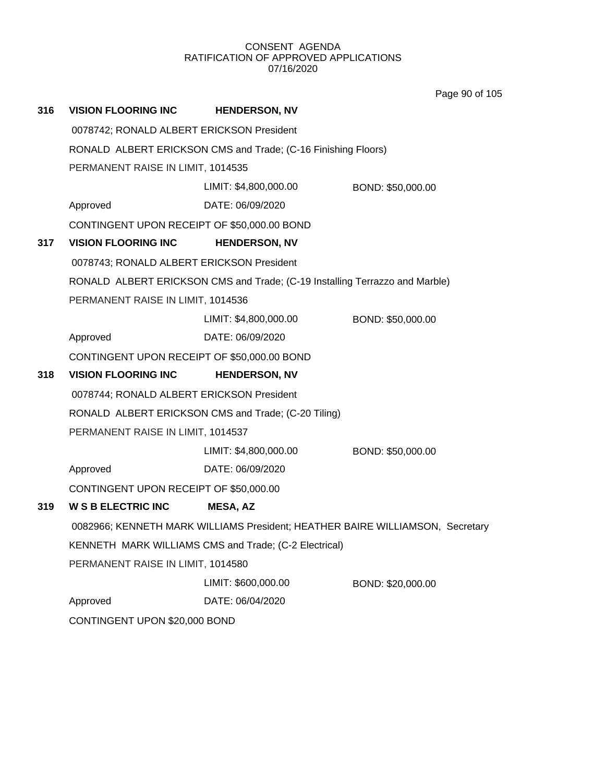Page 90 of 105

| 316 | <b>VISION FLOORING INC</b>                                                    | <b>HENDERSON, NV</b>                                                        |                   |  |  |
|-----|-------------------------------------------------------------------------------|-----------------------------------------------------------------------------|-------------------|--|--|
|     | 0078742; RONALD ALBERT ERICKSON President                                     |                                                                             |                   |  |  |
|     |                                                                               | RONALD ALBERT ERICKSON CMS and Trade; (C-16 Finishing Floors)               |                   |  |  |
|     | PERMANENT RAISE IN LIMIT, 1014535                                             |                                                                             |                   |  |  |
|     |                                                                               | LIMIT: \$4,800,000.00                                                       | BOND: \$50,000.00 |  |  |
|     | Approved                                                                      | DATE: 06/09/2020                                                            |                   |  |  |
|     |                                                                               | CONTINGENT UPON RECEIPT OF \$50,000.00 BOND                                 |                   |  |  |
| 317 | <b>VISION FLOORING INC</b>                                                    | <b>HENDERSON, NV</b>                                                        |                   |  |  |
|     | 0078743; RONALD ALBERT ERICKSON President                                     |                                                                             |                   |  |  |
|     |                                                                               | RONALD ALBERT ERICKSON CMS and Trade; (C-19 Installing Terrazzo and Marble) |                   |  |  |
|     | PERMANENT RAISE IN LIMIT, 1014536                                             |                                                                             |                   |  |  |
|     |                                                                               | LIMIT: \$4,800,000.00                                                       | BOND: \$50,000.00 |  |  |
|     | Approved                                                                      | DATE: 06/09/2020                                                            |                   |  |  |
|     |                                                                               | CONTINGENT UPON RECEIPT OF \$50,000.00 BOND                                 |                   |  |  |
| 318 | <b>VISION FLOORING INC</b>                                                    | <b>HENDERSON, NV</b>                                                        |                   |  |  |
|     | 0078744; RONALD ALBERT ERICKSON President                                     |                                                                             |                   |  |  |
|     | RONALD ALBERT ERICKSON CMS and Trade; (C-20 Tiling)                           |                                                                             |                   |  |  |
|     | PERMANENT RAISE IN LIMIT, 1014537                                             |                                                                             |                   |  |  |
|     |                                                                               | LIMIT: \$4,800,000.00                                                       | BOND: \$50,000.00 |  |  |
|     | Approved                                                                      | DATE: 06/09/2020                                                            |                   |  |  |
|     | CONTINGENT UPON RECEIPT OF \$50,000.00                                        |                                                                             |                   |  |  |
| 319 | <b>W S B ELECTRIC INC</b>                                                     | <b>MESA, AZ</b>                                                             |                   |  |  |
|     | 0082966; KENNETH MARK WILLIAMS President; HEATHER BAIRE WILLIAMSON, Secretary |                                                                             |                   |  |  |
|     | KENNETH MARK WILLIAMS CMS and Trade; (C-2 Electrical)                         |                                                                             |                   |  |  |
|     | PERMANENT RAISE IN LIMIT, 1014580                                             |                                                                             |                   |  |  |
|     |                                                                               | LIMIT: \$600,000.00                                                         | BOND: \$20,000.00 |  |  |
|     | Approved                                                                      | DATE: 06/04/2020                                                            |                   |  |  |
|     | CONTINGENT UPON \$20,000 BOND                                                 |                                                                             |                   |  |  |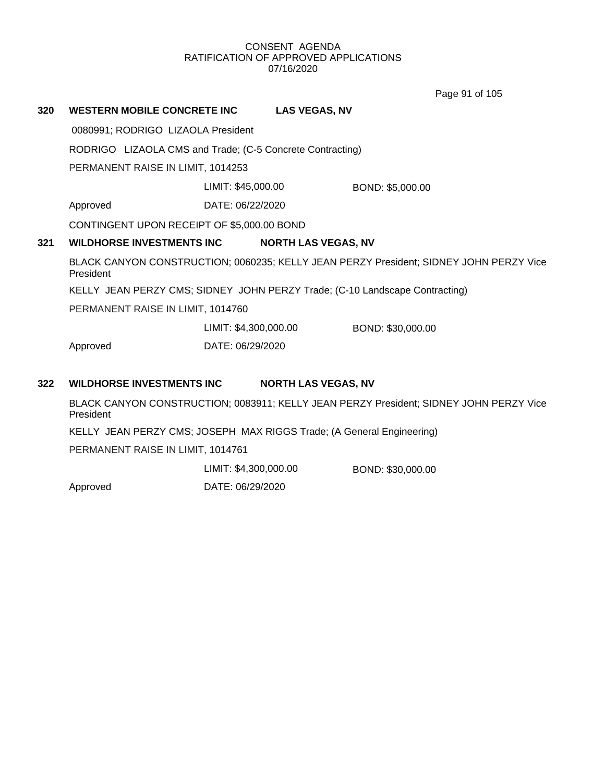Page 91 of 105

**320 WESTERN MOBILE CONCRETE INC LAS VEGAS, NV** 0080991; RODRIGO LIZAOLA President RODRIGO LIZAOLA CMS and Trade; (C-5 Concrete Contracting) PERMANENT RAISE IN LIMIT, 1014253 Approved DATE: 06/22/2020 LIMIT: \$45,000.00 BOND: \$5,000.00 CONTINGENT UPON RECEIPT OF \$5,000.00 BOND **321 WILDHORSE INVESTMENTS INC NORTH LAS VEGAS, NV** BLACK CANYON CONSTRUCTION; 0060235; KELLY JEAN PERZY President; SIDNEY JOHN PERZY Vice President KELLY JEAN PERZY CMS; SIDNEY JOHN PERZY Trade; (C-10 Landscape Contracting) PERMANENT RAISE IN LIMIT, 1014760 Approved DATE: 06/29/2020 LIMIT: \$4,300,000.00 BOND: \$30,000.00

## **322 WILDHORSE INVESTMENTS INC NORTH LAS VEGAS, NV**

BLACK CANYON CONSTRUCTION; 0083911; KELLY JEAN PERZY President; SIDNEY JOHN PERZY Vice President

KELLY JEAN PERZY CMS; JOSEPH MAX RIGGS Trade; (A General Engineering)

PERMANENT RAISE IN LIMIT, 1014761

LIMIT: \$4,300,000.00 BOND: \$30,000.00

Approved DATE: 06/29/2020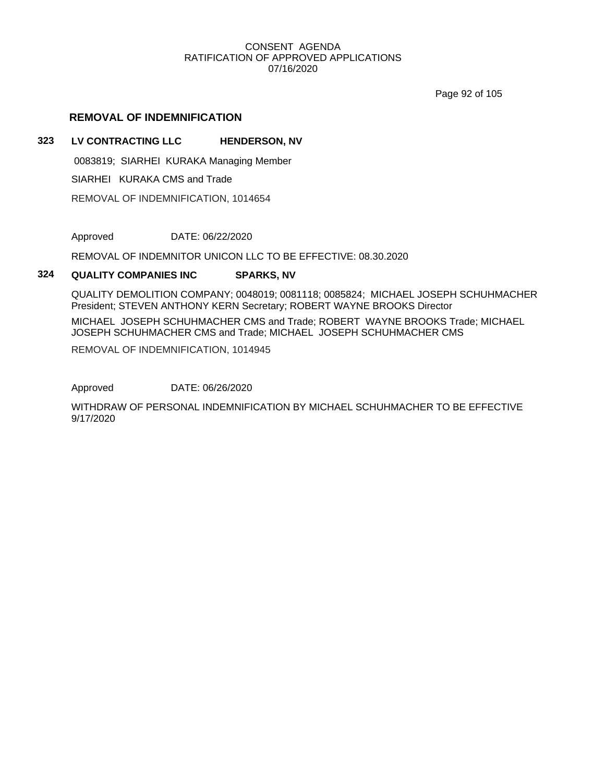Page 92 of 105

# **REMOVAL OF INDEMNIFICATION**

# **323 LV CONTRACTING LLC HENDERSON, NV**

0083819; SIARHEI KURAKA Managing Member

SIARHEI KURAKA CMS and Trade

REMOVAL OF INDEMNIFICATION, 1014654

Approved DATE: 06/22/2020

REMOVAL OF INDEMNITOR UNICON LLC TO BE EFFECTIVE: 08.30.2020

## **324 QUALITY COMPANIES INC SPARKS, NV**

QUALITY DEMOLITION COMPANY; 0048019; 0081118; 0085824; MICHAEL JOSEPH SCHUHMACHER President; STEVEN ANTHONY KERN Secretary; ROBERT WAYNE BROOKS Director

MICHAEL JOSEPH SCHUHMACHER CMS and Trade; ROBERT WAYNE BROOKS Trade; MICHAEL JOSEPH SCHUHMACHER CMS and Trade; MICHAEL JOSEPH SCHUHMACHER CMS

REMOVAL OF INDEMNIFICATION, 1014945

Approved DATE: 06/26/2020

WITHDRAW OF PERSONAL INDEMNIFICATION BY MICHAEL SCHUHMACHER TO BE EFFECTIVE 9/17/2020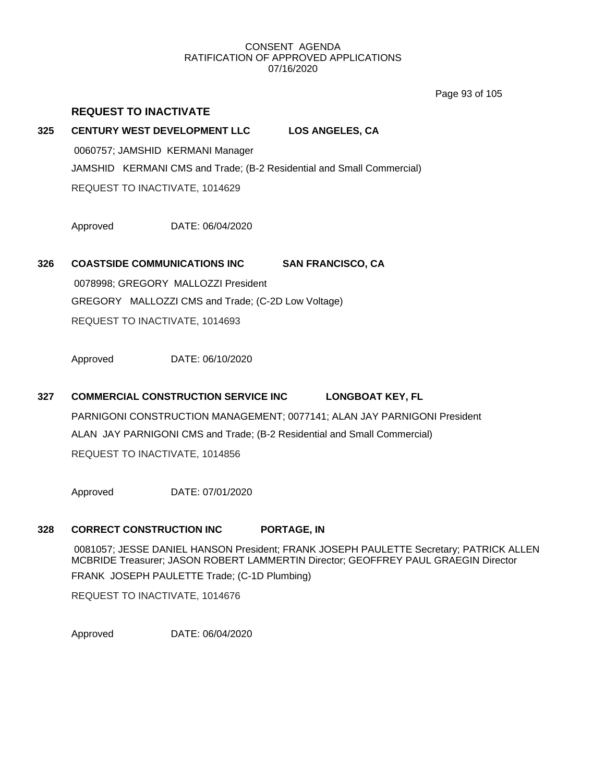Page 93 of 105

# **REQUEST TO INACTIVATE**

# **325 CENTURY WEST DEVELOPMENT LLC LOS ANGELES, CA**

0060757; JAMSHID KERMANI Manager JAMSHID KERMANI CMS and Trade; (B-2 Residential and Small Commercial) REQUEST TO INACTIVATE, 1014629

Approved DATE: 06/04/2020

**326 COASTSIDE COMMUNICATIONS INC SAN FRANCISCO, CA** 0078998; GREGORY MALLOZZI President GREGORY MALLOZZI CMS and Trade; (C-2D Low Voltage)

REQUEST TO INACTIVATE, 1014693

Approved DATE: 06/10/2020

# **327 COMMERCIAL CONSTRUCTION SERVICE INC LONGBOAT KEY, FL** PARNIGONI CONSTRUCTION MANAGEMENT; 0077141; ALAN JAY PARNIGONI President ALAN JAY PARNIGONI CMS and Trade; (B-2 Residential and Small Commercial) REQUEST TO INACTIVATE, 1014856

Approved DATE: 07/01/2020

# **328 CORRECT CONSTRUCTION INC PORTAGE, IN**

0081057; JESSE DANIEL HANSON President; FRANK JOSEPH PAULETTE Secretary; PATRICK ALLEN MCBRIDE Treasurer; JASON ROBERT LAMMERTIN Director; GEOFFREY PAUL GRAEGIN Director FRANK JOSEPH PAULETTE Trade; (C-1D Plumbing) REQUEST TO INACTIVATE, 1014676

Approved DATE: 06/04/2020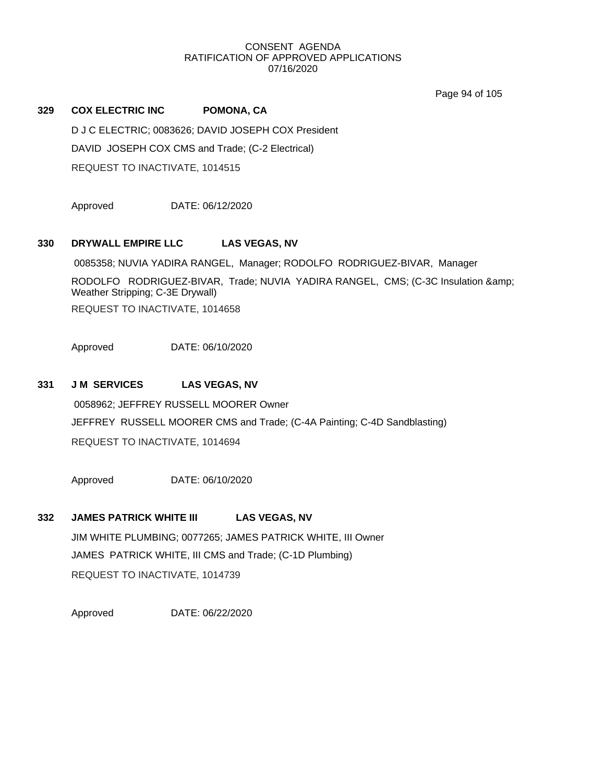Page 94 of 105

# **329 COX ELECTRIC INC POMONA, CA** D J C ELECTRIC; 0083626; DAVID JOSEPH COX President DAVID JOSEPH COX CMS and Trade; (C-2 Electrical) REQUEST TO INACTIVATE, 1014515

Approved DATE: 06/12/2020

# **330 DRYWALL EMPIRE LLC LAS VEGAS, NV**

0085358; NUVIA YADIRA RANGEL, Manager; RODOLFO RODRIGUEZ-BIVAR, Manager RODOLFO RODRIGUEZ-BIVAR, Trade; NUVIA YADIRA RANGEL, CMS; (C-3C Insulation & Weather Stripping; C-3E Drywall) REQUEST TO INACTIVATE, 1014658

Approved DATE: 06/10/2020

# **331 J M SERVICES LAS VEGAS, NV**

0058962; JEFFREY RUSSELL MOORER Owner JEFFREY RUSSELL MOORER CMS and Trade; (C-4A Painting; C-4D Sandblasting) REQUEST TO INACTIVATE, 1014694

Approved DATE: 06/10/2020

# **332 JAMES PATRICK WHITE III LAS VEGAS, NV**

JIM WHITE PLUMBING; 0077265; JAMES PATRICK WHITE, III Owner JAMES PATRICK WHITE, III CMS and Trade; (C-1D Plumbing) REQUEST TO INACTIVATE, 1014739

Approved DATE: 06/22/2020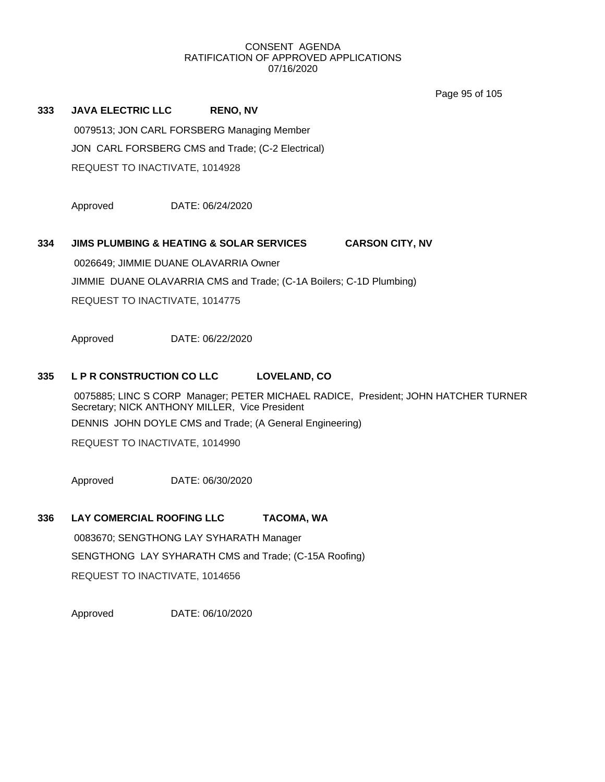Page 95 of 105

**333 JAVA ELECTRIC LLC RENO, NV** 0079513; JON CARL FORSBERG Managing Member JON CARL FORSBERG CMS and Trade; (C-2 Electrical) REQUEST TO INACTIVATE, 1014928

Approved DATE: 06/24/2020

# **334 JIMS PLUMBING & HEATING & SOLAR SERVICES CARSON CITY, NV**

0026649; JIMMIE DUANE OLAVARRIA Owner JIMMIE DUANE OLAVARRIA CMS and Trade; (C-1A Boilers; C-1D Plumbing) REQUEST TO INACTIVATE, 1014775

Approved DATE: 06/22/2020

## **335 L P R CONSTRUCTION CO LLC LOVELAND, CO**

0075885; LINC S CORP Manager; PETER MICHAEL RADICE, President; JOHN HATCHER TURNER Secretary; NICK ANTHONY MILLER, Vice President DENNIS JOHN DOYLE CMS and Trade; (A General Engineering)

REQUEST TO INACTIVATE, 1014990

Approved DATE: 06/30/2020

# **336 LAY COMERCIAL ROOFING LLC TACOMA, WA**

0083670; SENGTHONG LAY SYHARATH Manager SENGTHONG LAY SYHARATH CMS and Trade; (C-15A Roofing) REQUEST TO INACTIVATE, 1014656

Approved DATE: 06/10/2020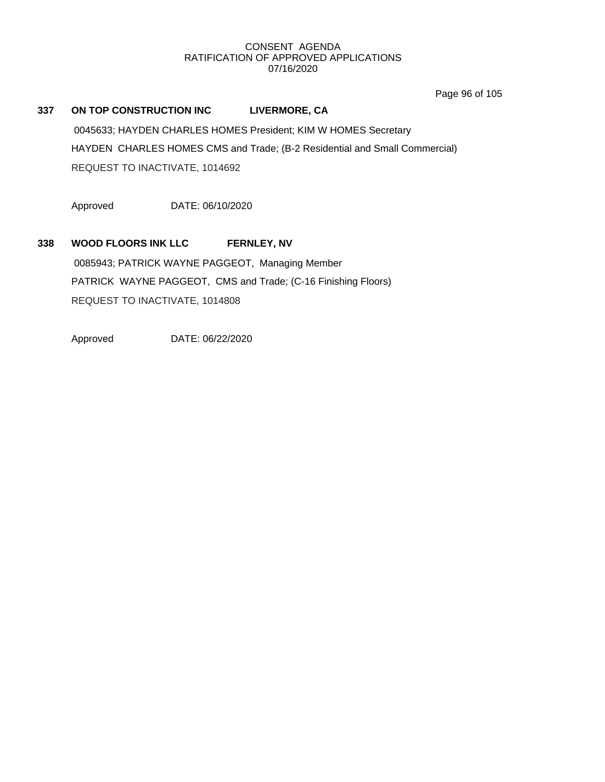Page 96 of 105

# **337 ON TOP CONSTRUCTION INC LIVERMORE, CA**

0045633; HAYDEN CHARLES HOMES President; KIM W HOMES Secretary HAYDEN CHARLES HOMES CMS and Trade; (B-2 Residential and Small Commercial) REQUEST TO INACTIVATE, 1014692

Approved DATE: 06/10/2020

# **338 WOOD FLOORS INK LLC FERNLEY, NV**

0085943; PATRICK WAYNE PAGGEOT, Managing Member PATRICK WAYNE PAGGEOT, CMS and Trade; (C-16 Finishing Floors) REQUEST TO INACTIVATE, 1014808

Approved DATE: 06/22/2020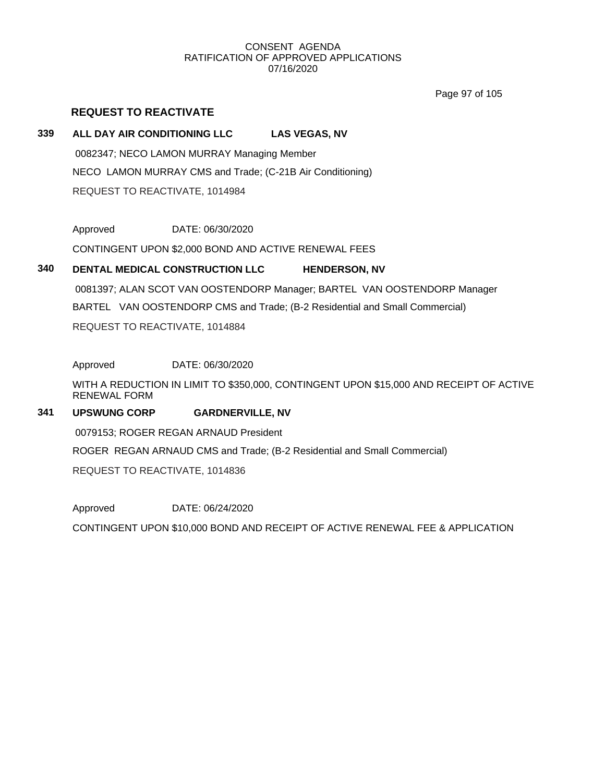Page 97 of 105

# **REQUEST TO REACTIVATE**

# **339 ALL DAY AIR CONDITIONING LLC LAS VEGAS, NV**

0082347; NECO LAMON MURRAY Managing Member NECO LAMON MURRAY CMS and Trade; (C-21B Air Conditioning) REQUEST TO REACTIVATE, 1014984

Approved DATE: 06/30/2020

CONTINGENT UPON \$2,000 BOND AND ACTIVE RENEWAL FEES

# **340 DENTAL MEDICAL CONSTRUCTION LLC HENDERSON, NV**

0081397; ALAN SCOT VAN OOSTENDORP Manager; BARTEL VAN OOSTENDORP Manager BARTEL VAN OOSTENDORP CMS and Trade; (B-2 Residential and Small Commercial) REQUEST TO REACTIVATE, 1014884

Approved DATE: 06/30/2020

WITH A REDUCTION IN LIMIT TO \$350,000, CONTINGENT UPON \$15,000 AND RECEIPT OF ACTIVE RENEWAL FORM

# **341 UPSWUNG CORP GARDNERVILLE, NV**

0079153; ROGER REGAN ARNAUD President

ROGER REGAN ARNAUD CMS and Trade; (B-2 Residential and Small Commercial)

REQUEST TO REACTIVATE, 1014836

Approved DATE: 06/24/2020

CONTINGENT UPON \$10,000 BOND AND RECEIPT OF ACTIVE RENEWAL FEE & APPLICATION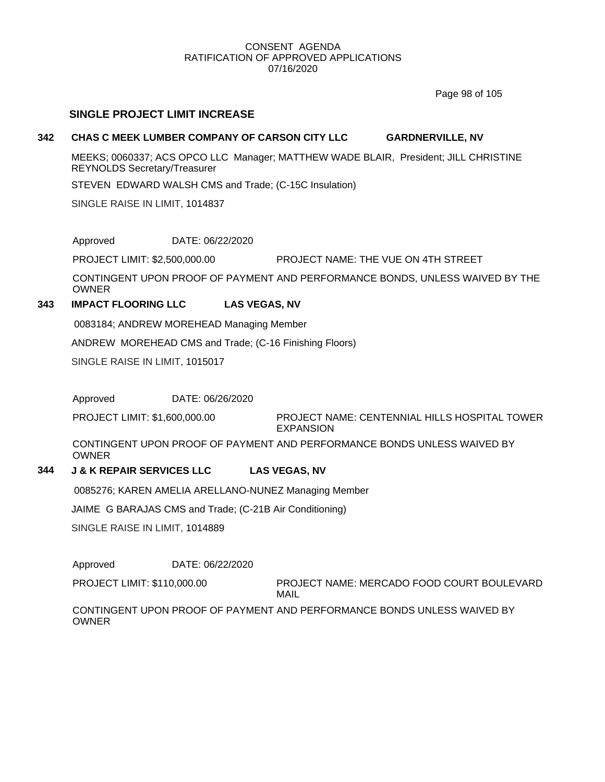Page 98 of 105

# **SINGLE PROJECT LIMIT INCREASE**

# **342 CHAS C MEEK LUMBER COMPANY OF CARSON CITY LLC GARDNERVILLE, NV**

MEEKS; 0060337; ACS OPCO LLC Manager; MATTHEW WADE BLAIR, President; JILL CHRISTINE REYNOLDS Secretary/Treasurer

STEVEN EDWARD WALSH CMS and Trade; (C-15C Insulation)

SINGLE RAISE IN LIMIT, 1014837

Approved DATE: 06/22/2020

PROJECT LIMIT: \$2,500,000.00 PROJECT NAME: THE VUE ON 4TH STREET

CONTINGENT UPON PROOF OF PAYMENT AND PERFORMANCE BONDS, UNLESS WAIVED BY THE OWNER

# **343 IMPACT FLOORING LLC LAS VEGAS, NV**

0083184; ANDREW MOREHEAD Managing Member

ANDREW MOREHEAD CMS and Trade; (C-16 Finishing Floors)

SINGLE RAISE IN LIMIT, 1015017

Approved DATE: 06/26/2020

PROJECT NAME: CENTENNIAL HILLS HOSPITAL TOWER EXPANSION PROJECT LIMIT: \$1,600,000.00

CONTINGENT UPON PROOF OF PAYMENT AND PERFORMANCE BONDS UNLESS WAIVED BY OWNER

# **344 J & K REPAIR SERVICES LLC LAS VEGAS, NV**

0085276; KAREN AMELIA ARELLANO-NUNEZ Managing Member

JAIME G BARAJAS CMS and Trade; (C-21B Air Conditioning)

SINGLE RAISE IN LIMIT, 1014889

Approved DATE: 06/22/2020

PROJECT NAME: MERCADO FOOD COURT BOULEVARD MAIL PROJECT LIMIT: \$110,000.00

CONTINGENT UPON PROOF OF PAYMENT AND PERFORMANCE BONDS UNLESS WAIVED BY **OWNER**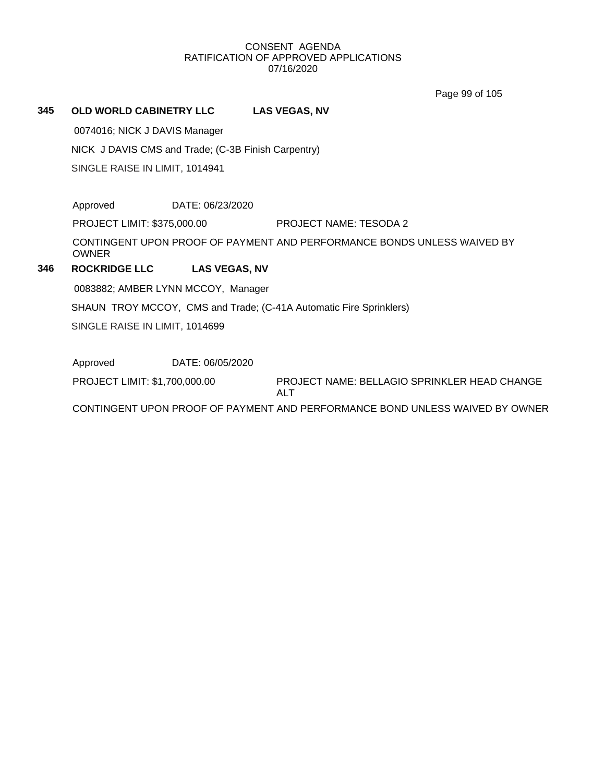Page 99 of 105

# **345 OLD WORLD CABINETRY LLC LAS VEGAS, NV**

0074016; NICK J DAVIS Manager

NICK J DAVIS CMS and Trade; (C-3B Finish Carpentry)

SINGLE RAISE IN LIMIT, 1014941

Approved DATE: 06/23/2020

PROJECT LIMIT: \$375,000.00 PROJECT NAME: TESODA 2

CONTINGENT UPON PROOF OF PAYMENT AND PERFORMANCE BONDS UNLESS WAIVED BY OWNER

# **346 ROCKRIDGE LLC LAS VEGAS, NV**

0083882; AMBER LYNN MCCOY, Manager

SHAUN TROY MCCOY, CMS and Trade; (C-41A Automatic Fire Sprinklers)

SINGLE RAISE IN LIMIT, 1014699

Approved DATE: 06/05/2020

PROJECT NAME: BELLAGIO SPRINKLER HEAD CHANGE PROJECT LIMIT: \$1,700,000.00

ALT

CONTINGENT UPON PROOF OF PAYMENT AND PERFORMANCE BOND UNLESS WAIVED BY OWNER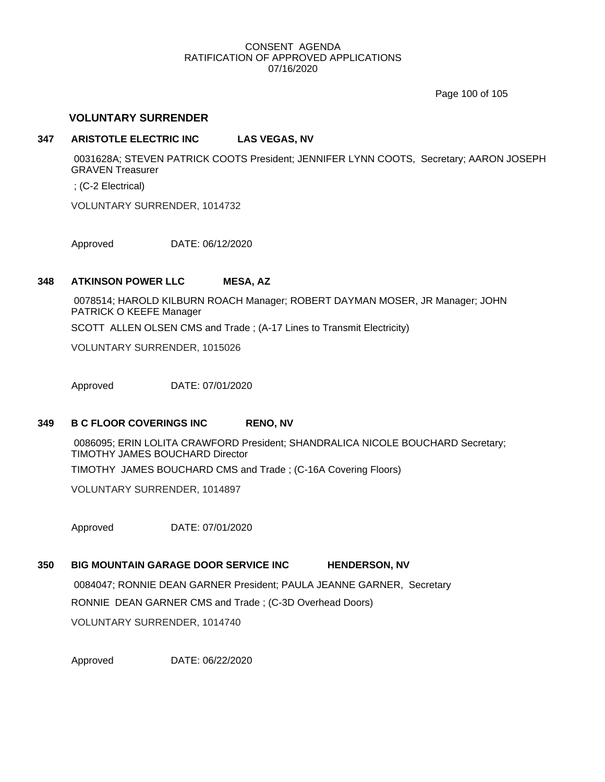Page 100 of 105

# **VOLUNTARY SURRENDER**

# **347 ARISTOTLE ELECTRIC INC LAS VEGAS, NV**

0031628A; STEVEN PATRICK COOTS President; JENNIFER LYNN COOTS, Secretary; AARON JOSEPH GRAVEN Treasurer

; (C-2 Electrical)

VOLUNTARY SURRENDER, 1014732

Approved DATE: 06/12/2020

## **348 ATKINSON POWER LLC MESA, AZ**

0078514; HAROLD KILBURN ROACH Manager; ROBERT DAYMAN MOSER, JR Manager; JOHN PATRICK O KEEFE Manager SCOTT ALLEN OLSEN CMS and Trade ; (A-17 Lines to Transmit Electricity)

VOLUNTARY SURRENDER, 1015026

Approved DATE: 07/01/2020

## **349 B C FLOOR COVERINGS INC RENO, NV**

0086095; ERIN LOLITA CRAWFORD President; SHANDRALICA NICOLE BOUCHARD Secretary; TIMOTHY JAMES BOUCHARD Director TIMOTHY JAMES BOUCHARD CMS and Trade ; (C-16A Covering Floors)

VOLUNTARY SURRENDER, 1014897

Approved DATE: 07/01/2020

**350 BIG MOUNTAIN GARAGE DOOR SERVICE INC HENDERSON, NV**

0084047; RONNIE DEAN GARNER President; PAULA JEANNE GARNER, Secretary RONNIE DEAN GARNER CMS and Trade ; (C-3D Overhead Doors) VOLUNTARY SURRENDER, 1014740

Approved DATE: 06/22/2020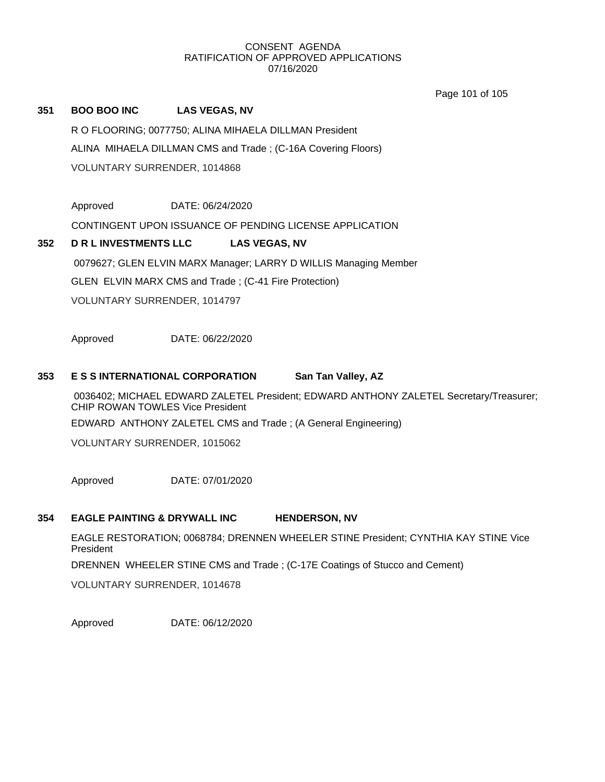Page 101 of 105

# **351 BOO BOO INC LAS VEGAS, NV**

R O FLOORING; 0077750; ALINA MIHAELA DILLMAN President ALINA MIHAELA DILLMAN CMS and Trade ; (C-16A Covering Floors) VOLUNTARY SURRENDER, 1014868

Approved DATE: 06/24/2020

CONTINGENT UPON ISSUANCE OF PENDING LICENSE APPLICATION

# **352 D R L INVESTMENTS LLC LAS VEGAS, NV** 0079627; GLEN ELVIN MARX Manager; LARRY D WILLIS Managing Member GLEN ELVIN MARX CMS and Trade ; (C-41 Fire Protection) VOLUNTARY SURRENDER, 1014797

Approved DATE: 06/22/2020

# **353 E S S INTERNATIONAL CORPORATION San Tan Valley, AZ**

0036402; MICHAEL EDWARD ZALETEL President; EDWARD ANTHONY ZALETEL Secretary/Treasurer; CHIP ROWAN TOWLES Vice President

EDWARD ANTHONY ZALETEL CMS and Trade ; (A General Engineering)

VOLUNTARY SURRENDER, 1015062

Approved DATE: 07/01/2020

# **354 EAGLE PAINTING & DRYWALL INC HENDERSON, NV**

EAGLE RESTORATION; 0068784; DRENNEN WHEELER STINE President; CYNTHIA KAY STINE Vice President

DRENNEN WHEELER STINE CMS and Trade ; (C-17E Coatings of Stucco and Cement)

VOLUNTARY SURRENDER, 1014678

Approved DATE: 06/12/2020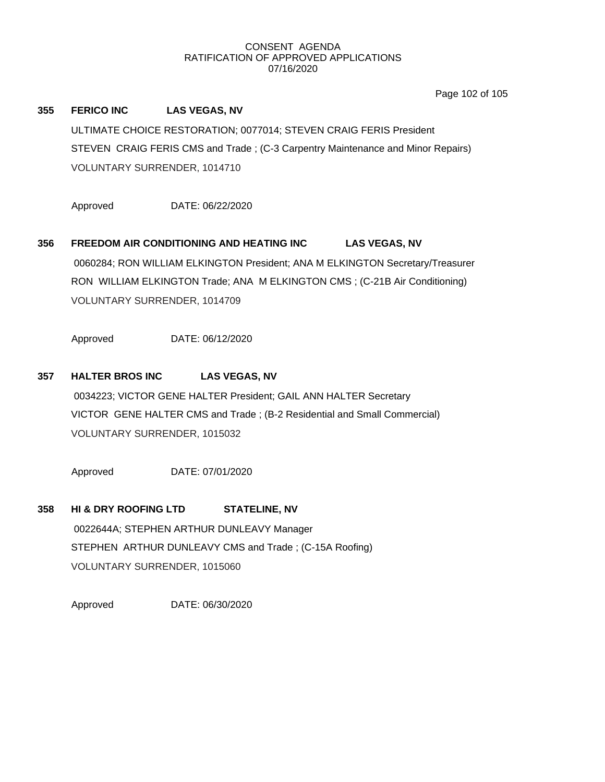Page 102 of 105

# **355 FERICO INC LAS VEGAS, NV** ULTIMATE CHOICE RESTORATION; 0077014; STEVEN CRAIG FERIS President STEVEN CRAIG FERIS CMS and Trade ; (C-3 Carpentry Maintenance and Minor Repairs) VOLUNTARY SURRENDER, 1014710

Approved DATE: 06/22/2020

**356 FREEDOM AIR CONDITIONING AND HEATING INC LAS VEGAS, NV** 0060284; RON WILLIAM ELKINGTON President; ANA M ELKINGTON Secretary/Treasurer RON WILLIAM ELKINGTON Trade; ANA M ELKINGTON CMS ; (C-21B Air Conditioning) VOLUNTARY SURRENDER, 1014709

Approved DATE: 06/12/2020

# **357 HALTER BROS INC LAS VEGAS, NV**

0034223; VICTOR GENE HALTER President; GAIL ANN HALTER Secretary VICTOR GENE HALTER CMS and Trade ; (B-2 Residential and Small Commercial) VOLUNTARY SURRENDER, 1015032

Approved DATE: 07/01/2020

# **358 HI & DRY ROOFING LTD STATELINE, NV** 0022644A; STEPHEN ARTHUR DUNLEAVY Manager STEPHEN ARTHUR DUNLEAVY CMS and Trade ; (C-15A Roofing) VOLUNTARY SURRENDER, 1015060

Approved DATE: 06/30/2020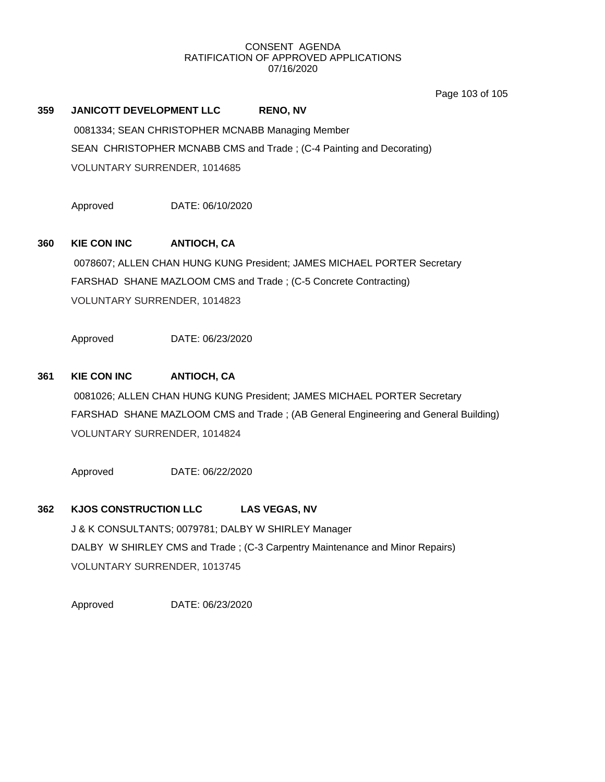Page 103 of 105

# **359 JANICOTT DEVELOPMENT LLC RENO, NV**

0081334; SEAN CHRISTOPHER MCNABB Managing Member SEAN CHRISTOPHER MCNABB CMS and Trade ; (C-4 Painting and Decorating) VOLUNTARY SURRENDER, 1014685

Approved DATE: 06/10/2020

# **360 KIE CON INC ANTIOCH, CA**

0078607; ALLEN CHAN HUNG KUNG President; JAMES MICHAEL PORTER Secretary FARSHAD SHANE MAZLOOM CMS and Trade ; (C-5 Concrete Contracting) VOLUNTARY SURRENDER, 1014823

Approved DATE: 06/23/2020

# **361 KIE CON INC ANTIOCH, CA**

0081026; ALLEN CHAN HUNG KUNG President; JAMES MICHAEL PORTER Secretary FARSHAD SHANE MAZLOOM CMS and Trade ; (AB General Engineering and General Building) VOLUNTARY SURRENDER, 1014824

Approved DATE: 06/22/2020

# **362 KJOS CONSTRUCTION LLC LAS VEGAS, NV**

J & K CONSULTANTS; 0079781; DALBY W SHIRLEY Manager DALBY W SHIRLEY CMS and Trade ; (C-3 Carpentry Maintenance and Minor Repairs) VOLUNTARY SURRENDER, 1013745

Approved DATE: 06/23/2020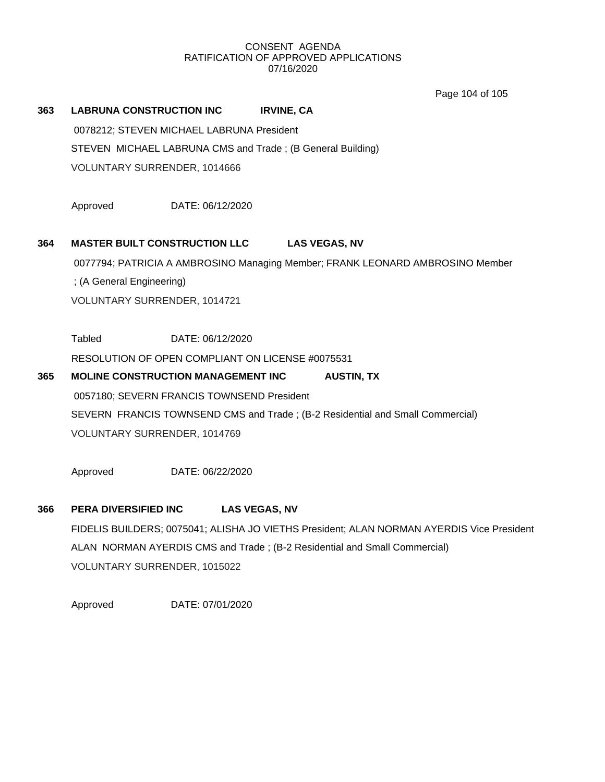Page 104 of 105

# **363 LABRUNA CONSTRUCTION INC IRVINE, CA** 0078212; STEVEN MICHAEL LABRUNA President

STEVEN MICHAEL LABRUNA CMS and Trade ; (B General Building)

VOLUNTARY SURRENDER, 1014666

Approved DATE: 06/12/2020

# **364 MASTER BUILT CONSTRUCTION LLC LAS VEGAS, NV**

0077794; PATRICIA A AMBROSINO Managing Member; FRANK LEONARD AMBROSINO Member

; (A General Engineering)

VOLUNTARY SURRENDER, 1014721

Tabled DATE: 06/12/2020

RESOLUTION OF OPEN COMPLIANT ON LICENSE #0075531

# **365 MOLINE CONSTRUCTION MANAGEMENT INC AUSTIN, TX** 0057180; SEVERN FRANCIS TOWNSEND President SEVERN FRANCIS TOWNSEND CMS and Trade ; (B-2 Residential and Small Commercial) VOLUNTARY SURRENDER, 1014769

Approved DATE: 06/22/2020

# **366 PERA DIVERSIFIED INC LAS VEGAS, NV**

FIDELIS BUILDERS; 0075041; ALISHA JO VIETHS President; ALAN NORMAN AYERDIS Vice President ALAN NORMAN AYERDIS CMS and Trade ; (B-2 Residential and Small Commercial) VOLUNTARY SURRENDER, 1015022

Approved DATE: 07/01/2020